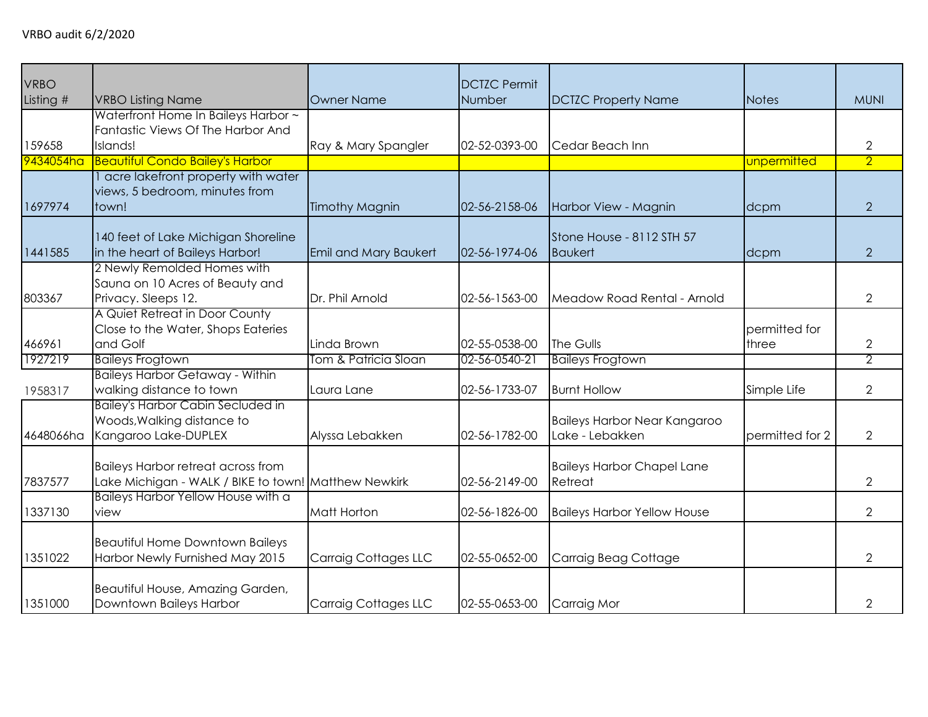| <b>VRBO</b><br>Listing # | <b>VRBO Listing Name</b>                                                                          | <b>Owner Name</b>           | <b>DCTZC Permit</b><br>Number | <b>DCTZC Property Name</b>                             | Notes                  | <b>MUNI</b>    |
|--------------------------|---------------------------------------------------------------------------------------------------|-----------------------------|-------------------------------|--------------------------------------------------------|------------------------|----------------|
| 159658                   | Waterfront Home In Baileys Harbor ~<br>Fantastic Views Of The Harbor And<br>Islands!              | Ray & Mary Spangler         | 02-52-0393-00                 | Cedar Beach Inn                                        |                        | $\overline{2}$ |
| 9434054ha                | <b>Beautiful Condo Bailey's Harbor</b>                                                            |                             |                               |                                                        | unpermitted            | $\overline{2}$ |
| 1697974                  | acre lakefront property with water<br>views, 5 bedroom, minutes from<br>town!                     | <b>Timothy Magnin</b>       | 02-56-2158-06                 | Harbor View - Magnin                                   | dcpm                   | 2              |
| 1441585                  | 140 feet of Lake Michigan Shoreline<br>in the heart of Baileys Harbor!                            | Emil and Mary Baukert       | 02-56-1974-06                 | Stone House - 8112 STH 57<br><b>Baukert</b>            | dcpm                   | $\overline{2}$ |
| 803367                   | 2 Newly Remolded Homes with<br>Sauna on 10 Acres of Beauty and<br>Privacy. Sleeps 12.             | Dr. Phil Arnold             | 02-56-1563-00                 | Meadow Road Rental - Arnold                            |                        | $\overline{2}$ |
| 466961                   | A Quiet Retreat in Door County<br>Close to the Water, Shops Eateries<br>and Golf                  | Linda Brown                 | 02-55-0538-00                 | The Gulls                                              | permitted for<br>three | $\overline{2}$ |
| 1927219                  | <b>Baileys Frogtown</b>                                                                           | Tom & Patricia Sloan        | 02-56-0540-21                 | <b>Baileys Frogtown</b>                                |                        | $\overline{2}$ |
| 1958317                  | <b>Baileys Harbor Getaway - Within</b><br>walking distance to town                                | Laura Lane                  | 02-56-1733-07                 | <b>Burnt Hollow</b>                                    | Simple Life            | $\overline{2}$ |
| 4648066ha                | <b>Bailey's Harbor Cabin Secluded in</b><br>Woods, Walking distance to<br>Kangaroo Lake-DUPLEX    | Alyssa Lebakken             | 02-56-1782-00                 | <b>Baileys Harbor Near Kangaroo</b><br>Lake - Lebakken | permitted for 2        | $\overline{2}$ |
| 7837577                  | <b>Baileys Harbor retreat across from</b><br>Lake Michigan - WALK / BIKE to town! Matthew Newkirk |                             | 02-56-2149-00                 | <b>Baileys Harbor Chapel Lane</b><br>Retreat           |                        | $\overline{2}$ |
| 1337130                  | Baileys Harbor Yellow House with a<br>view                                                        | Matt Horton                 | 02-56-1826-00                 | <b>Baileys Harbor Yellow House</b>                     |                        | $\overline{2}$ |
| 1351022                  | <b>Beautiful Home Downtown Baileys</b><br>Harbor Newly Furnished May 2015                         | <b>Carraig Cottages LLC</b> | 02-55-0652-00                 | Carraig Beag Cottage                                   |                        | $\overline{2}$ |
| 1351000                  | Beautiful House, Amazing Garden,<br>Downtown Baileys Harbor                                       | <b>Carraig Cottages LLC</b> | 02-55-0653-00                 | Carraig Mor                                            |                        | $\overline{2}$ |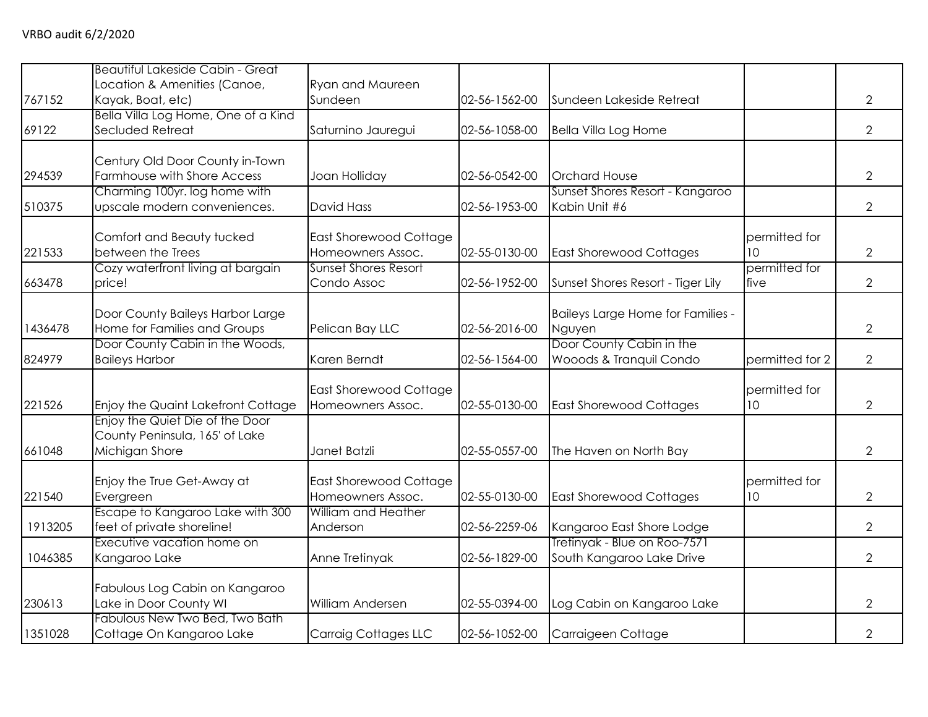|         | <b>Beautiful Lakeside Cabin - Great</b>     |                                                  |               |                                   |                     |                |
|---------|---------------------------------------------|--------------------------------------------------|---------------|-----------------------------------|---------------------|----------------|
|         | Location & Amenities (Canoe,                | <b>Ryan and Maureen</b>                          |               |                                   |                     |                |
| 767152  | Kayak, Boat, etc)                           | Sundeen                                          | 02-56-1562-00 | Sundeen Lakeside Retreat          |                     | $\overline{2}$ |
|         | Bella Villa Log Home, One of a Kind         |                                                  |               |                                   |                     |                |
| 69122   | Secluded Retreat                            | Saturnino Jauregui                               | 02-56-1058-00 | <b>Bella Villa Log Home</b>       |                     | $\overline{2}$ |
|         |                                             |                                                  |               |                                   |                     |                |
|         | Century Old Door County in-Town             |                                                  |               |                                   |                     |                |
| 294539  | Farmhouse with Shore Access                 | Joan Holliday                                    | 02-56-0542-00 | <b>Orchard House</b>              |                     | $\overline{2}$ |
|         | Charming 100yr. log home with               |                                                  |               | Sunset Shores Resort - Kangaroo   |                     |                |
| 510375  | upscale modern conveniences.                | <b>David Hass</b>                                | 02-56-1953-00 | Kabin Unit #6                     |                     | $\overline{2}$ |
|         |                                             |                                                  |               |                                   |                     |                |
|         | Comfort and Beauty tucked                   | East Shorewood Cottage                           |               |                                   | permitted for       |                |
| 221533  | between the Trees                           | Homeowners Assoc.<br><b>Sunset Shores Resort</b> | 02-55-0130-00 | <b>East Shorewood Cottages</b>    | 10<br>permitted for | $\overline{2}$ |
| 663478  | Cozy waterfront living at bargain<br>price! | Condo Assoc                                      | 02-56-1952-00 |                                   | five                | $\overline{2}$ |
|         |                                             |                                                  |               | Sunset Shores Resort - Tiger Lily |                     |                |
|         | Door County Baileys Harbor Large            |                                                  |               | Baileys Large Home for Families - |                     |                |
| 1436478 | Home for Families and Groups                | Pelican Bay LLC                                  | 02-56-2016-00 | Nguyen                            |                     | $\overline{2}$ |
|         | Door County Cabin in the Woods,             |                                                  |               | Door County Cabin in the          |                     |                |
| 824979  | <b>Baileys Harbor</b>                       | Karen Berndt                                     | 02-56-1564-00 | Wooods & Tranquil Condo           | permitted for 2     | $\overline{2}$ |
|         |                                             |                                                  |               |                                   |                     |                |
|         |                                             | East Shorewood Cottage                           |               |                                   | permitted for       |                |
| 221526  | Enjoy the Quaint Lakefront Cottage          | Homeowners Assoc.                                | 02-55-0130-00 | <b>East Shorewood Cottages</b>    | 10                  | $\overline{2}$ |
|         | Enjoy the Quiet Die of the Door             |                                                  |               |                                   |                     |                |
|         | County Peninsula, 165' of Lake              |                                                  |               |                                   |                     |                |
| 661048  | Michigan Shore                              | Janet Batzli                                     | 02-55-0557-00 | The Haven on North Bay            |                     | $\overline{2}$ |
|         |                                             |                                                  |               |                                   |                     |                |
|         | Enjoy the True Get-Away at                  | <b>East Shorewood Cottage</b>                    |               |                                   | permitted for       |                |
| 221540  | Evergreen                                   | Homeowners Assoc.                                | 02-55-0130-00 | <b>East Shorewood Cottages</b>    | 10                  | $\overline{2}$ |
|         | Escape to Kangaroo Lake with 300            | William and Heather                              |               |                                   |                     |                |
| 1913205 | feet of private shoreline!                  | Anderson                                         | 02-56-2259-06 | Kangaroo East Shore Lodge         |                     | 2              |
|         | Executive vacation home on                  |                                                  |               | Tretinyak - Blue on Roo-7571      |                     |                |
| 1046385 | Kangaroo Lake                               | Anne Tretinyak                                   | 02-56-1829-00 | South Kangaroo Lake Drive         |                     | $\overline{2}$ |
|         |                                             |                                                  |               |                                   |                     |                |
|         | Fabulous Log Cabin on Kangaroo              |                                                  |               |                                   |                     |                |
| 230613  | Lake in Door County WI                      | William Andersen                                 | 02-55-0394-00 | Log Cabin on Kangaroo Lake        |                     | $\overline{2}$ |
|         | Fabulous New Two Bed, Two Bath              |                                                  |               |                                   |                     |                |
| 1351028 | Cottage On Kangaroo Lake                    | Carraig Cottages LLC                             | 02-56-1052-00 | Carraigeen Cottage                |                     | $\overline{2}$ |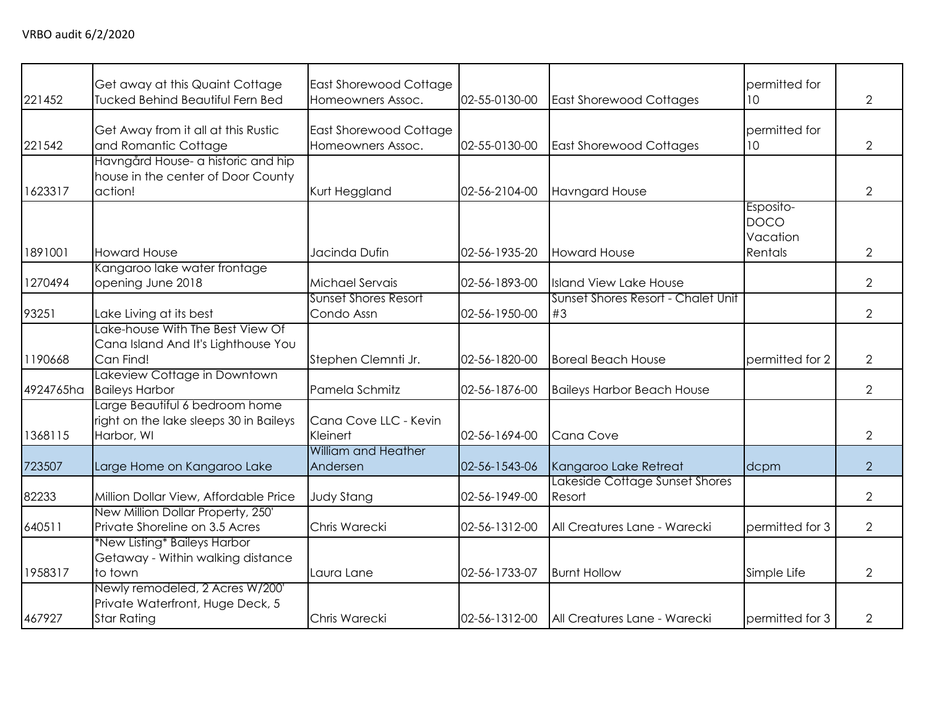| 221452    | Get away at this Quaint Cottage<br><b>Tucked Behind Beautiful Fern Bed</b>                | East Shorewood Cottage<br>Homeowners Assoc. | 02-55-0130-00 | <b>East Shorewood Cottages</b>           | permitted for<br>10                             | $\overline{2}$ |
|-----------|-------------------------------------------------------------------------------------------|---------------------------------------------|---------------|------------------------------------------|-------------------------------------------------|----------------|
| 221542    | Get Away from it all at this Rustic<br>and Romantic Cottage                               | East Shorewood Cottage<br>Homeowners Assoc. | 02-55-0130-00 | <b>East Shorewood Cottages</b>           | permitted for<br>10 <sup>°</sup>                | 2              |
| 1623317   | Havngård House- a historic and hip<br>house in the center of Door County<br>action!       | Kurt Heggland                               | 02-56-2104-00 | <b>Havngard House</b>                    |                                                 | 2              |
| 1891001   | <b>Howard House</b>                                                                       | Jacinda Dufin                               | 02-56-1935-20 | <b>Howard House</b>                      | Esposito-<br><b>DOCO</b><br>Vacation<br>Rentals | $\overline{2}$ |
| 1270494   | Kangaroo lake water frontage<br>opening June 2018                                         | Michael Servais                             | 02-56-1893-00 | <b>Island View Lake House</b>            |                                                 | $\overline{2}$ |
| 93251     | Lake Living at its best                                                                   | <b>Sunset Shores Resort</b><br>Condo Assn   | 02-56-1950-00 | Sunset Shores Resort - Chalet Unit<br>#3 |                                                 | $\overline{2}$ |
| 1190668   | Lake-house With The Best View Of<br>Cana Island And It's Lighthouse You<br>Can Find!      | Stephen Clemnti Jr.                         | 02-56-1820-00 | <b>Boreal Beach House</b>                | permitted for 2                                 | $\overline{2}$ |
| 4924765ha | Lakeview Cottage in Downtown<br><b>Baileys Harbor</b>                                     | Pamela Schmitz                              | 02-56-1876-00 | <b>Baileys Harbor Beach House</b>        |                                                 | $\overline{2}$ |
| 1368115   | Large Beautiful 6 bedroom home<br>right on the lake sleeps 30 in Baileys<br>Harbor, WI    | Cana Cove LLC - Kevin<br>Kleinert           | 02-56-1694-00 | Cana Cove                                |                                                 | $\overline{2}$ |
| 723507    | Large Home on Kangaroo Lake                                                               | William and Heather<br>Andersen             | 02-56-1543-06 | Kangaroo Lake Retreat                    | dcpm                                            | $\overline{2}$ |
| 82233     | Million Dollar View, Affordable Price                                                     | <b>Judy Stang</b>                           | 02-56-1949-00 | Lakeside Cottage Sunset Shores<br>Resort |                                                 | $\overline{2}$ |
| 640511    | New Million Dollar Property, 250'<br>Private Shoreline on 3.5 Acres                       | Chris Warecki                               | 02-56-1312-00 | All Creatures Lane - Warecki             | permitted for 3                                 | $\overline{2}$ |
| 1958317   | *New Listing* Baileys Harbor<br>Getaway - Within walking distance<br>to town              | Laura Lane                                  | 02-56-1733-07 | <b>Burnt Hollow</b>                      | Simple Life                                     | $\overline{2}$ |
| 467927    | Newly remodeled, 2 Acres W/200'<br>Private Waterfront, Huge Deck, 5<br><b>Star Rating</b> | Chris Warecki                               | 02-56-1312-00 | All Creatures Lane - Warecki             | permitted for 3                                 | 2              |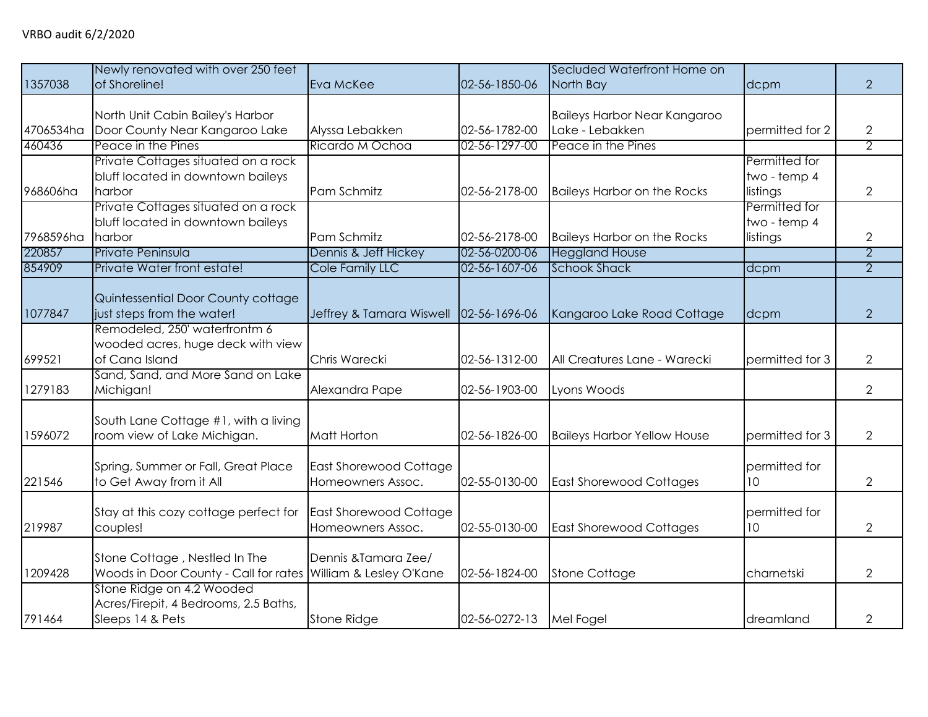|           | Newly renovated with over 250 feet    |                          |               | Secluded Waterfront Home on         |                 |                |
|-----------|---------------------------------------|--------------------------|---------------|-------------------------------------|-----------------|----------------|
| 1357038   | of Shoreline!                         | Eva McKee                | 02-56-1850-06 | North Bay                           | dcpm            | $\overline{2}$ |
|           |                                       |                          |               |                                     |                 |                |
|           | North Unit Cabin Bailey's Harbor      |                          |               | <b>Baileys Harbor Near Kangaroo</b> |                 |                |
| 4706534ha | Door County Near Kangaroo Lake        | Alyssa Lebakken          | 02-56-1782-00 | Lake - Lebakken                     | permitted for 2 | 2              |
| 460436    | Peace in the Pines                    | Ricardo M Ochoa          | 02-56-1297-00 | <b>Peace in the Pines</b>           |                 | $\overline{2}$ |
|           | Private Cottages situated on a rock   |                          |               |                                     | Permitted for   |                |
|           | bluff located in downtown baileys     |                          |               |                                     | two - temp 4    |                |
| 968606ha  | harbor                                | Pam Schmitz              | 02-56-2178-00 | <b>Baileys Harbor on the Rocks</b>  | listings        | 2              |
|           | Private Cottages situated on a rock   |                          |               |                                     | Permitted for   |                |
|           | bluff located in downtown baileys     |                          |               |                                     | two - temp 4    |                |
| 7968596ha | harbor                                | Pam Schmitz              | 02-56-2178-00 | <b>Baileys Harbor on the Rocks</b>  | listings        | 2              |
| 220857    | Private Peninsula                     | Dennis & Jeff Hickey     | 02-56-0200-06 | <b>Heggland House</b>               |                 | $\overline{2}$ |
| 854909    | Private Water front estate!           | Cole Family LLC          | 02-56-1607-06 | <b>Schook Shack</b>                 | dcpm            | $\overline{2}$ |
|           |                                       |                          |               |                                     |                 |                |
|           | Quintessential Door County cottage    |                          |               |                                     |                 |                |
| 1077847   | just steps from the water!            | Jeffrey & Tamara Wiswell | 02-56-1696-06 | Kangaroo Lake Road Cottage          | dcpm            | $\overline{2}$ |
|           | Remodeled, 250' waterfrontm 6         |                          |               |                                     |                 |                |
|           | wooded acres, huge deck with view     |                          |               |                                     |                 |                |
| 699521    | of Cana Island                        | Chris Warecki            | 02-56-1312-00 | All Creatures Lane - Warecki        | permitted for 3 | $\overline{2}$ |
|           | Sand, Sand, and More Sand on Lake     |                          |               |                                     |                 |                |
| 1279183   | Michigan!                             | Alexandra Pape           | 02-56-1903-00 | Lyons Woods                         |                 | $\overline{2}$ |
|           |                                       |                          |               |                                     |                 |                |
|           | South Lane Cottage #1, with a living  |                          |               |                                     |                 |                |
| 1596072   | room view of Lake Michigan.           | <b>Matt Horton</b>       | 02-56-1826-00 | <b>Baileys Harbor Yellow House</b>  | permitted for 3 | $\overline{2}$ |
|           |                                       |                          |               |                                     |                 |                |
|           | Spring, Summer or Fall, Great Place   | East Shorewood Cottage   |               |                                     | permitted for   |                |
| 221546    | to Get Away from it All               | Homeowners Assoc.        | 02-55-0130-00 | <b>East Shorewood Cottages</b>      | 10              | 2              |
|           |                                       |                          |               |                                     |                 |                |
|           | Stay at this cozy cottage perfect for | East Shorewood Cottage   |               |                                     | permitted for   |                |
| 219987    | couples!                              | Homeowners Assoc.        | 02-55-0130-00 | <b>East Shorewood Cottages</b>      | 10              | $\overline{2}$ |
|           |                                       |                          |               |                                     |                 |                |
|           | Stone Cottage, Nestled In The         | Dennis & Tamara Zee/     |               |                                     |                 |                |
| 1209428   | Woods in Door County - Call for rates | William & Lesley O'Kane  | 02-56-1824-00 | <b>Stone Cottage</b>                | charnetski      | $\overline{2}$ |
|           | Stone Ridge on 4.2 Wooded             |                          |               |                                     |                 |                |
|           | Acres/Firepit, 4 Bedrooms, 2.5 Baths, |                          |               |                                     |                 |                |
| 791464    | Sleeps 14 & Pets                      | <b>Stone Ridge</b>       | 02-56-0272-13 | Mel Fogel                           | dreamland       | 2              |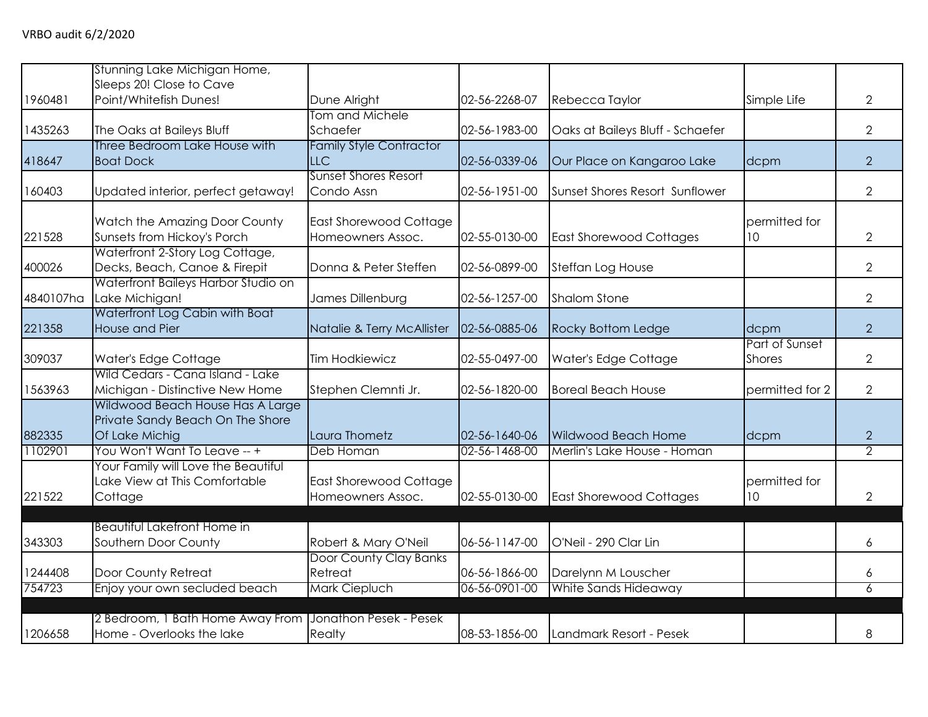|           | Stunning Lake Michigan Home,                                        |                                |               |                                  |                 |                |
|-----------|---------------------------------------------------------------------|--------------------------------|---------------|----------------------------------|-----------------|----------------|
| 1960481   | Sleeps 20! Close to Cave<br>Point/Whitefish Dunes!                  | Dune Alright                   | 02-56-2268-07 | Rebecca Taylor                   | Simple Life     | $\overline{2}$ |
|           |                                                                     | Tom and Michele                |               |                                  |                 |                |
| 1435263   | The Oaks at Baileys Bluff                                           | Schaefer                       | 02-56-1983-00 | Oaks at Baileys Bluff - Schaefer |                 | $\overline{2}$ |
|           | Three Bedroom Lake House with                                       | <b>Family Style Contractor</b> |               |                                  |                 |                |
| 418647    | <b>Boat Dock</b>                                                    | <b>LLC</b>                     | 02-56-0339-06 | Our Place on Kangaroo Lake       | dcpm            | $\overline{2}$ |
|           |                                                                     | <b>Sunset Shores Resort</b>    |               |                                  |                 |                |
| 160403    | Updated interior, perfect getaway!                                  | Condo Assn                     | 02-56-1951-00 | Sunset Shores Resort Sunflower   |                 | $\overline{2}$ |
|           | Watch the Amazing Door County                                       | <b>East Shorewood Cottage</b>  |               |                                  | permitted for   |                |
| 221528    | Sunsets from Hickoy's Porch                                         | Homeowners Assoc.              | 02-55-0130-00 | <b>East Shorewood Cottages</b>   | 10              | $\overline{2}$ |
|           | Waterfront 2-Story Log Cottage,                                     |                                |               |                                  |                 |                |
| 400026    | Decks, Beach, Canoe & Firepit                                       | Donna & Peter Steffen          | 02-56-0899-00 | Steffan Log House                |                 | $\overline{2}$ |
|           | Waterfront Baileys Harbor Studio on                                 |                                |               |                                  |                 |                |
| 4840107ha | Lake Michigan!                                                      | James Dillenburg               | 02-56-1257-00 | Shalom Stone                     |                 | $\overline{2}$ |
|           | Waterfront Log Cabin with Boat                                      |                                |               |                                  |                 |                |
| 221358    | House and Pier                                                      | Natalie & Terry McAllister     | 02-56-0885-06 | Rocky Bottom Ledge               | dcpm            | $\overline{2}$ |
|           |                                                                     |                                |               |                                  | Part of Sunset  |                |
| 309037    | Water's Edge Cottage                                                | <b>Tim Hodkiewicz</b>          | 02-55-0497-00 | Water's Edge Cottage             | <b>Shores</b>   | $\overline{2}$ |
|           | Wild Cedars - Cana Island - Lake                                    |                                |               |                                  |                 |                |
| 1563963   | Michigan - Distinctive New Home<br>Wildwood Beach House Has A Large | Stephen Clemnti Jr.            | 02-56-1820-00 | <b>Boreal Beach House</b>        | permitted for 2 | $\overline{2}$ |
|           | Private Sandy Beach On The Shore                                    |                                |               |                                  |                 |                |
| 882335    | Of Lake Michig                                                      | Laura Thometz                  | 02-56-1640-06 | <b>Wildwood Beach Home</b>       | dcpm            | $\overline{2}$ |
| 1102901   | You Won't Want To Leave -- +                                        | Deb Homan                      | 02-56-1468-00 | Merlin's Lake House - Homan      |                 | $\overline{2}$ |
|           | Your Family will Love the Beautiful                                 |                                |               |                                  |                 |                |
|           | Lake View at This Comfortable                                       | East Shorewood Cottage         |               |                                  | permitted for   |                |
| 221522    | Cottage                                                             | Homeowners Assoc.              | 02-55-0130-00 | <b>East Shorewood Cottages</b>   | 10              | $\overline{2}$ |
|           |                                                                     |                                |               |                                  |                 |                |
|           | <b>Beautiful Lakefront Home in</b>                                  |                                |               |                                  |                 |                |
| 343303    | Southern Door County                                                | Robert & Mary O'Neil           | 06-56-1147-00 | O'Neil - 290 Clar Lin            |                 | 6              |
|           |                                                                     | Door County Clay Banks         |               |                                  |                 |                |
| 1244408   | Door County Retreat                                                 | Retreat                        | 06-56-1866-00 | Darelynn M Louscher              |                 | 6              |
| 754723    | Enjoy your own secluded beach                                       | Mark Ciepluch                  | 06-56-0901-00 | White Sands Hideaway             |                 | 6              |
|           | 2 Bedroom, 1 Bath Home Away From                                    | Jonathon Pesek - Pesek         |               |                                  |                 |                |
| 1206658   | Home - Overlooks the lake                                           | Realty                         | 08-53-1856-00 | Landmark Resort - Pesek          |                 | 8              |
|           |                                                                     |                                |               |                                  |                 |                |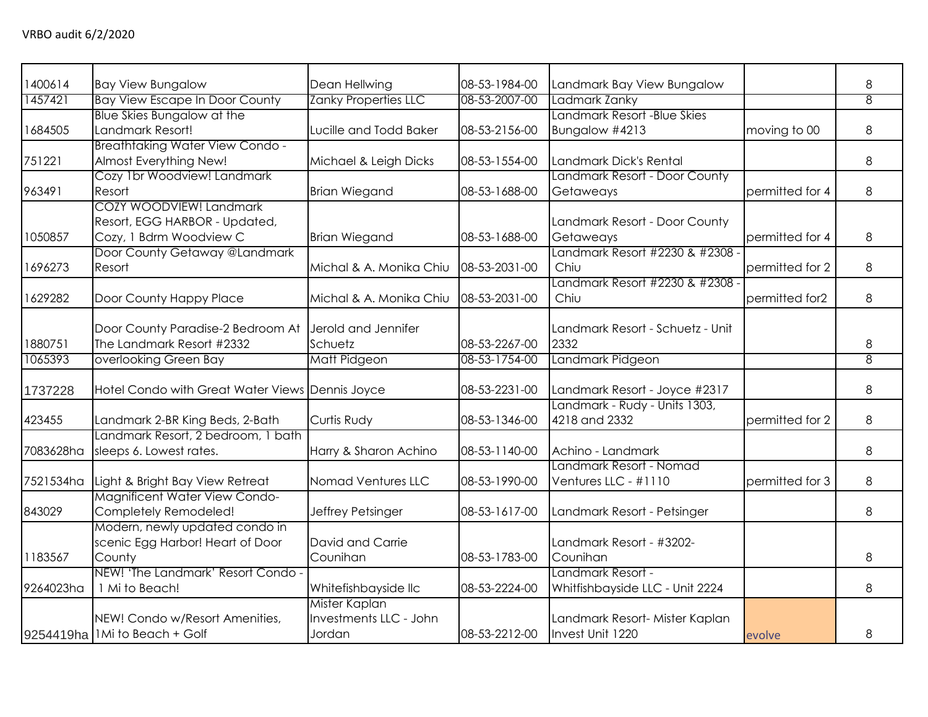| 1400614   | <b>Bay View Bungalow</b>                                                            | Dean Hellwing                                     | 08-53-1984-00 | Landmark Bay View Bungalow                           |                 | 8              |
|-----------|-------------------------------------------------------------------------------------|---------------------------------------------------|---------------|------------------------------------------------------|-----------------|----------------|
| 1457421   | <b>Bay View Escape In Door County</b>                                               | <b>Zanky Properties LLC</b>                       | 08-53-2007-00 | Ladmark Zanky                                        |                 | $\overline{8}$ |
| 1684505   | <b>Blue Skies Bungalow at the</b><br>Landmark Resort!                               | Lucille and Todd Baker                            | 08-53-2156-00 | Landmark Resort - Blue Skies<br>Bungalow #4213       | moving to 00    | 8              |
| 751221    | <b>Breathtaking Water View Condo -</b><br>Almost Everything New!                    | Michael & Leigh Dicks                             | 08-53-1554-00 | Landmark Dick's Rental                               |                 | 8              |
| 963491    | Cozy 1br Woodview! Landmark<br>Resort                                               | <b>Brian Wiegand</b>                              | 08-53-1688-00 | Landmark Resort - Door County<br>Getaweays           | permitted for 4 | 8              |
| 1050857   | COZY WOODVIEW! Landmark<br>Resort, EGG HARBOR - Updated,<br>Cozy, 1 Bdrm Woodview C | <b>Brian Wiegand</b>                              | 08-53-1688-00 | Landmark Resort - Door County<br>Getaweays           | permitted for 4 | 8              |
| 1696273   | Door County Getaway @Landmark<br>Resort                                             | Michal & A. Monika Chiu                           | 08-53-2031-00 | Landmark Resort #2230 & #2308 ·<br>Chiu              | permitted for 2 | 8              |
| 1629282   | Door County Happy Place                                                             | Michal & A. Monika Chiu                           | 08-53-2031-00 | Landmark Resort #2230 & #2308 -<br>Chiu              | permitted for2  | 8              |
| 1880751   | Door County Paradise-2 Bedroom At<br>The Landmark Resort #2332                      | Jerold and Jennifer<br>Schuetz                    | 08-53-2267-00 | Landmark Resort - Schuetz - Unit<br>2332             |                 | 8              |
| 1065393   | overlooking Green Bay                                                               | Matt Pidgeon                                      | 08-53-1754-00 | Landmark Pidgeon                                     |                 | 8              |
| 1737228   | Hotel Condo with Great Water Views Dennis Joyce                                     |                                                   | 08-53-2231-00 | Landmark Resort - Joyce #2317                        |                 | 8              |
| 423455    | Landmark 2-BR King Beds, 2-Bath                                                     | Curtis Rudy                                       | 08-53-1346-00 | Landmark - Rudy - Units 1303,<br>4218 and 2332       | permitted for 2 | 8              |
| 7083628ha | Landmark Resort, 2 bedroom, 1 bath<br>sleeps 6. Lowest rates.                       | Harry & Sharon Achino                             | 08-53-1140-00 | Achino - Landmark                                    |                 | 8              |
| 7521534ha | Light & Bright Bay View Retreat                                                     | Nomad Ventures LLC                                | 08-53-1990-00 | Landmark Resort - Nomad<br>Ventures LLC - #1110      | permitted for 3 | 8              |
| 843029    | Magnificent Water View Condo-<br>Completely Remodeled!                              | Jeffrey Petsinger                                 | 08-53-1617-00 | Landmark Resort - Petsinger                          |                 | 8              |
| 1183567   | Modern, newly updated condo in<br>scenic Egg Harbor! Heart of Door<br>County        | David and Carrie<br>Counihan                      | 08-53-1783-00 | Landmark Resort - #3202-<br>Counihan                 |                 | 8              |
| 9264023ha | NEW! 'The Landmark' Resort Condo -<br>1 Mi to Beach!                                | Whitefishbayside llc                              | 08-53-2224-00 | Landmark Resort -<br>Whitfishbayside LLC - Unit 2224 |                 | 8              |
|           | NEW! Condo w/Resort Amenities,<br>9254419ha   1Mi to Beach + Golf                   | Mister Kaplan<br>Investments LLC - John<br>Jordan | 08-53-2212-00 | Landmark Resort- Mister Kaplan<br>Invest Unit 1220   | evolve          | 8              |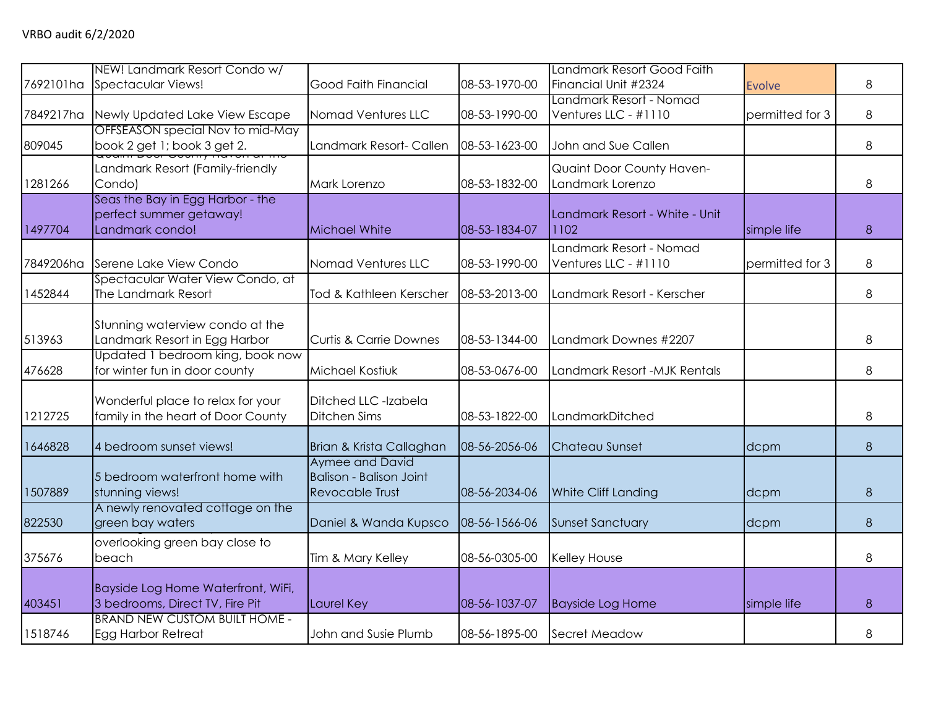| 7692101ha | NEW! Landmark Resort Condo w/<br>Spectacular Views!                            | Good Faith Financial                                                        | 08-53-1970-00 | Landmark Resort Good Faith<br>Financial Unit #2324 | <b>Evolve</b>   | 8 |
|-----------|--------------------------------------------------------------------------------|-----------------------------------------------------------------------------|---------------|----------------------------------------------------|-----------------|---|
| 7849217ha | Newly Updated Lake View Escape                                                 | Nomad Ventures LLC                                                          | 08-53-1990-00 | Landmark Resort - Nomad<br>Ventures LLC - #1110    | permitted for 3 | 8 |
| 809045    | OFFSEASON special Nov to mid-May<br>book 2 get 1; book 3 get 2.                | Landmark Resort- Callen                                                     | 08-53-1623-00 | John and Sue Callen                                |                 | 8 |
| 1281266   | Landmark Resort (Family-friendly<br>Condo)                                     | Mark Lorenzo                                                                | 08-53-1832-00 | Quaint Door County Haven-<br>Landmark Lorenzo      |                 | 8 |
| 1497704   | Seas the Bay in Egg Harbor - the<br>perfect summer getaway!<br>Landmark condo! | Michael White                                                               | 08-53-1834-07 | Landmark Resort - White - Unit<br>1102             | simple life     | 8 |
| 7849206ha | Serene Lake View Condo                                                         | Nomad Ventures LLC                                                          | 08-53-1990-00 | Landmark Resort - Nomad<br>Ventures LLC - #1110    | permitted for 3 | 8 |
| 1452844   | Spectacular Water View Condo, at<br>The Landmark Resort                        | Tod & Kathleen Kerscher                                                     | 08-53-2013-00 | Landmark Resort - Kerscher                         |                 | 8 |
| 513963    | Stunning waterview condo at the<br>Landmark Resort in Egg Harbor               | <b>Curtis &amp; Carrie Downes</b>                                           | 08-53-1344-00 | Landmark Downes #2207                              |                 | 8 |
| 476628    | Updated 1 bedroom king, book now<br>for winter fun in door county              | Michael Kostiuk                                                             | 08-53-0676-00 | Landmark Resort -MJK Rentals                       |                 | 8 |
| 1212725   | Wonderful place to relax for your<br>family in the heart of Door County        | Ditched LLC -Izabela<br><b>Ditchen Sims</b>                                 | 08-53-1822-00 | LandmarkDitched                                    |                 | 8 |
| 1646828   | 4 bedroom sunset views!                                                        | Brian & Krista Callaghan                                                    | 08-56-2056-06 | Chateau Sunset                                     | dcpm            | 8 |
| 1507889   | 5 bedroom waterfront home with<br>stunning views!                              | Aymee and David<br><b>Balison - Balison Joint</b><br><b>Revocable Trust</b> | 08-56-2034-06 | White Cliff Landing                                | dcpm            | 8 |
| 822530    | A newly renovated cottage on the<br>green bay waters                           | Daniel & Wanda Kupsco                                                       | 08-56-1566-06 | <b>Sunset Sanctuary</b>                            | dcpm            | 8 |
| 375676    | overlooking green bay close to<br>beach                                        | Tim & Mary Kelley                                                           | 08-56-0305-00 | Kelley House                                       |                 | 8 |
| 403451    | Bayside Log Home Waterfront, WiFi,<br>3 bedrooms, Direct TV, Fire Pit          | Laurel Key                                                                  | 08-56-1037-07 | <b>Bayside Log Home</b>                            | simple life     | 8 |
| 1518746   | <b>BRAND NEW CUSTOM BUILT HOME -</b><br>Egg Harbor Retreat                     | John and Susie Plumb                                                        | 08-56-1895-00 | Secret Meadow                                      |                 | 8 |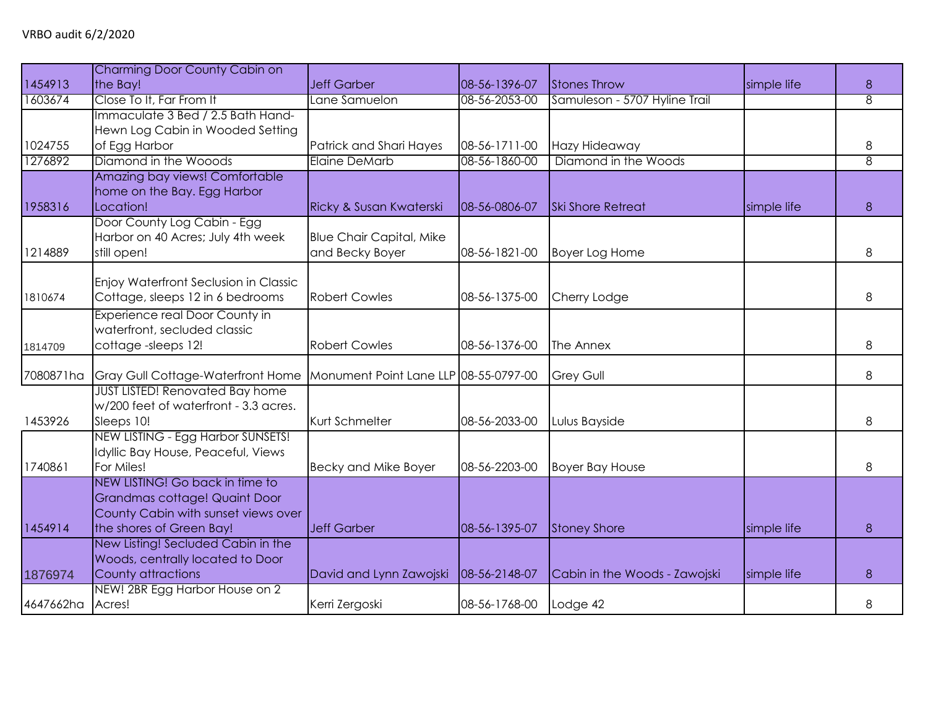| 1454913   | Charming Door County Cabin on<br>the Bay!                                                                                           | <b>Jeff Garber</b>                                 | 08-56-1396-07 | <b>Stones Throw</b>           | simple life | 8              |
|-----------|-------------------------------------------------------------------------------------------------------------------------------------|----------------------------------------------------|---------------|-------------------------------|-------------|----------------|
| 1603674   | Close To It, Far From It                                                                                                            | Lane Samuelon                                      | 08-56-2053-00 | Samuleson - 5707 Hyline Trail |             | 8              |
| 1024755   | Immaculate 3 Bed / 2.5 Bath Hand-<br>Hewn Log Cabin in Wooded Setting<br>of Egg Harbor                                              | Patrick and Shari Hayes                            | 08-56-1711-00 | Hazy Hideaway                 |             | 8              |
| 1276892   | Diamond in the Wooods                                                                                                               | <b>Elaine DeMarb</b>                               | 08-56-1860-00 | Diamond in the Woods          |             | $\overline{8}$ |
| 1958316   | Amazing bay views! Comfortable<br>home on the Bay. Egg Harbor<br>Location!                                                          | Ricky & Susan Kwaterski                            | 08-56-0806-07 | <b>Ski Shore Retreat</b>      | simple life | 8              |
| 1214889   | Door County Log Cabin - Egg<br>Harbor on 40 Acres; July 4th week<br>still open!                                                     | <b>Blue Chair Capital, Mike</b><br>and Becky Boyer | 08-56-1821-00 | <b>Boyer Log Home</b>         |             | 8              |
| 1810674   | Enjoy Waterfront Seclusion in Classic<br>Cottage, sleeps 12 in 6 bedrooms                                                           | <b>Robert Cowles</b>                               | 08-56-1375-00 | Cherry Lodge                  |             | 8              |
| 1814709   | Experience real Door County in<br>waterfront, secluded classic<br>cottage-sleeps 12!                                                | <b>Robert Cowles</b>                               | 08-56-1376-00 | The Annex                     |             | 8              |
| 7080871ha | Gray Gull Cottage-Waterfront Home                                                                                                   | Monument Point Lane LLP 08-55-0797-00              |               | <b>Grey Gull</b>              |             | 8              |
| 1453926   | <b>JUST LISTED! Renovated Bay home</b><br>w/200 feet of waterfront - 3.3 acres.<br>Sleeps 10!                                       | Kurt Schmelter                                     | 08-56-2033-00 | Lulus Bayside                 |             | 8              |
| 1740861   | NEW LISTING - Egg Harbor SUNSETS!<br>Idyllic Bay House, Peaceful, Views<br>For Miles!                                               | Becky and Mike Boyer                               | 08-56-2203-00 | <b>Boyer Bay House</b>        |             | 8              |
| 1454914   | NEW LISTING! Go back in time to<br>Grandmas cottage! Quaint Door<br>County Cabin with sunset views over<br>the shores of Green Bay! | <b>Jeff Garber</b>                                 | 08-56-1395-07 | <b>Stoney Shore</b>           | simple life | 8              |
| 1876974   | New Listing! Secluded Cabin in the<br>Woods, centrally located to Door<br>County attractions                                        | David and Lynn Zawojski                            | 08-56-2148-07 | Cabin in the Woods - Zawojski | simple life | 8              |
| 4647662ha | NEW! 2BR Egg Harbor House on 2<br>Acres!                                                                                            | Kerri Zergoski                                     | 08-56-1768-00 | Lodge 42                      |             | 8              |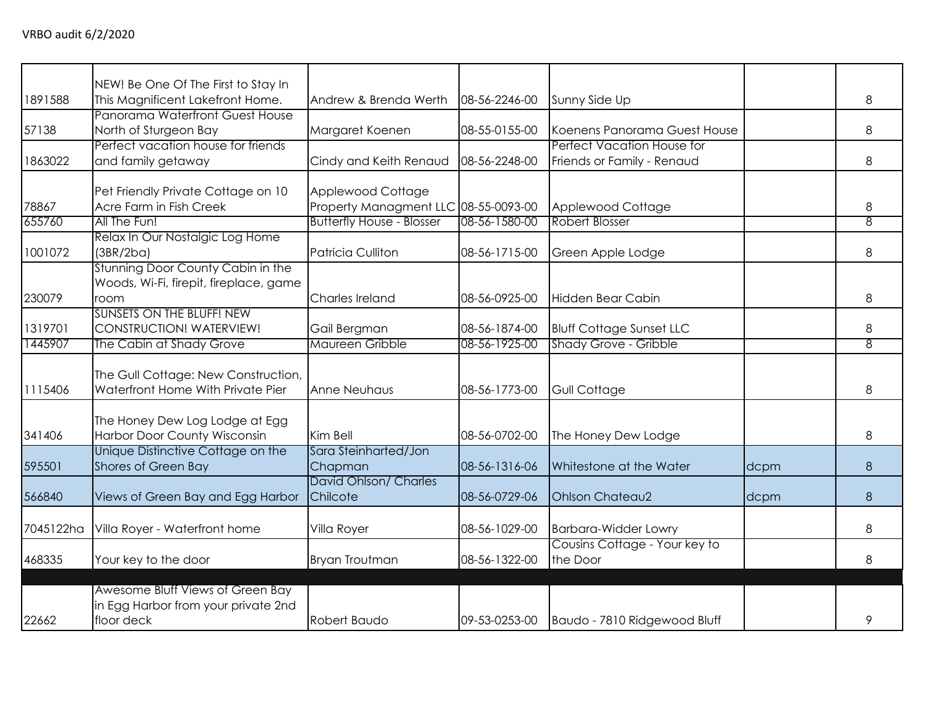| 1891588         | NEW! Be One Of The First to Stay In<br>This Magnificent Lakefront Home.               | Andrew & Brenda Werth                                                                         | 08-56-2246-00 | Sunny Side Up                                            |      | 8              |
|-----------------|---------------------------------------------------------------------------------------|-----------------------------------------------------------------------------------------------|---------------|----------------------------------------------------------|------|----------------|
| 57138           | Panorama Waterfront Guest House<br>North of Sturgeon Bay                              | Margaret Koenen                                                                               | 08-55-0155-00 | Koenens Panorama Guest House                             |      | 8              |
| 1863022         | Perfect vacation house for friends<br>and family getaway                              | Cindy and Keith Renaud                                                                        | 08-56-2248-00 | Perfect Vacation House for<br>Friends or Family - Renaud |      | 8              |
| 78867<br>655760 | Pet Friendly Private Cottage on 10<br>Acre Farm in Fish Creek<br>All The Fun!         | Applewood Cottage<br>Property Managment LLC 08-55-0093-00<br><b>Butterfly House - Blosser</b> | 08-56-1580-00 | Applewood Cottage<br>Robert Blosser                      |      | 8<br>8         |
| 1001072         | Relax In Our Nostalgic Log Home<br>(3BR/2ba)                                          | Patricia Culliton                                                                             | 08-56-1715-00 | Green Apple Lodge                                        |      | 8              |
| 230079          | Stunning Door County Cabin in the<br>Woods, Wi-Fi, firepit, fireplace, game<br>room   | Charles Ireland                                                                               | 08-56-0925-00 | Hidden Bear Cabin                                        |      | 8              |
| 1319701         | <b>SUNSETS ON THE BLUFF! NEW</b><br>CONSTRUCTION! WATERVIEW!                          | Gail Bergman                                                                                  | 08-56-1874-00 | <b>Bluff Cottage Sunset LLC</b>                          |      | 8              |
| 1445907         | The Cabin at Shady Grove                                                              | Maureen Gribble                                                                               | 08-56-1925-00 | Shady Grove - Gribble                                    |      | $\overline{8}$ |
| 1115406         | The Gull Cottage: New Construction,<br>Waterfront Home With Private Pier              | Anne Neuhaus                                                                                  | 08-56-1773-00 | <b>Gull Cottage</b>                                      |      | 8              |
| 341406          | The Honey Dew Log Lodge at Egg<br>Harbor Door County Wisconsin                        | Kim Bell                                                                                      | 08-56-0702-00 | The Honey Dew Lodge                                      |      | 8              |
| 595501          | Unique Distinctive Cottage on the<br>Shores of Green Bay                              | Sara Steinharted/Jon<br>Chapman                                                               | 08-56-1316-06 | Whitestone at the Water                                  | dcpm | 8              |
| 566840          | Views of Green Bay and Egg Harbor                                                     | David Ohlson/ Charles<br>Chilcote                                                             | 08-56-0729-06 | <b>Ohlson Chateau2</b>                                   | dcpm | 8              |
| 7045122ha       | Villa Royer - Waterfront home                                                         | Villa Royer                                                                                   | 08-56-1029-00 | <b>Barbara-Widder Lowry</b>                              |      | 8              |
| 468335          | Your key to the door                                                                  | Bryan Troutman                                                                                | 08-56-1322-00 | Cousins Cottage - Your key to<br>the Door                |      | 8              |
| 22662           | Awesome Bluff Views of Green Bay<br>in Egg Harbor from your private 2nd<br>floor deck | Robert Baudo                                                                                  |               | 09-53-0253-00 Baudo - 7810 Ridgewood Bluff               |      | 9              |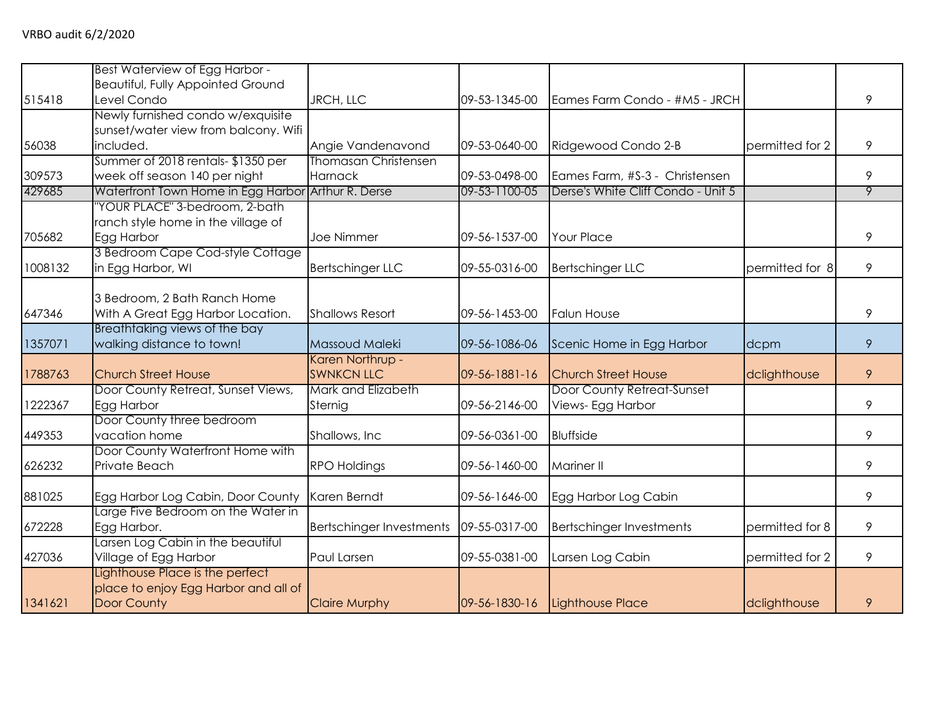|         | Best Waterview of Egg Harbor -           |                                 |               |                                    |                 |   |
|---------|------------------------------------------|---------------------------------|---------------|------------------------------------|-----------------|---|
|         | <b>Beautiful, Fully Appointed Ground</b> |                                 |               |                                    |                 |   |
| 515418  | Level Condo                              | JRCH, LLC                       | 09-53-1345-00 | Eames Farm Condo - #M5 - JRCH      |                 | 9 |
|         | Newly furnished condo w/exquisite        |                                 |               |                                    |                 |   |
|         | sunset/water view from balcony. Wifi     |                                 |               |                                    |                 |   |
| 56038   | included.                                | Angie Vandenavond               | 09-53-0640-00 | Ridgewood Condo 2-B                | permitted for 2 | 9 |
|         | Summer of 2018 rentals-\$1350 per        | <b>Thomasan Christensen</b>     |               |                                    |                 |   |
| 309573  | week off season 140 per night            | Harnack                         | 09-53-0498-00 | Eames Farm, #S-3 - Christensen     |                 | 9 |
| 429685  | Waterfront Town Home in Egg Harbor       | Arthur R. Derse                 | 09-53-1100-05 | Derse's White Cliff Condo - Unit 5 |                 | 9 |
|         | 'YOUR PLACE" 3-bedroom, 2-bath           |                                 |               |                                    |                 |   |
|         | ranch style home in the village of       |                                 |               |                                    |                 |   |
| 705682  | Egg Harbor                               | <b>Joe Nimmer</b>               | 09-56-1537-00 | <b>Your Place</b>                  |                 | 9 |
|         | 3 Bedroom Cape Cod-style Cottage         |                                 |               |                                    |                 |   |
| 1008132 | in Egg Harbor, WI                        | <b>Bertschinger LLC</b>         | 09-55-0316-00 | <b>Bertschinger LLC</b>            | permitted for 8 | 9 |
|         |                                          |                                 |               |                                    |                 |   |
|         | 3 Bedroom, 2 Bath Ranch Home             |                                 |               |                                    |                 |   |
| 647346  | With A Great Egg Harbor Location.        | <b>Shallows Resort</b>          | 09-56-1453-00 | <b>Falun House</b>                 |                 | 9 |
|         | Breathtaking views of the bay            |                                 |               |                                    |                 |   |
| 1357071 | walking distance to town!                | Massoud Maleki                  | 09-56-1086-06 | Scenic Home in Egg Harbor          | dcpm            | 9 |
|         |                                          | Karen Northrup -                |               |                                    |                 |   |
| 1788763 | <b>Church Street House</b>               | <b>SWNKCN LLC</b>               | 09-56-1881-16 | <b>Church Street House</b>         | dclighthouse    | 9 |
|         | Door County Retreat, Sunset Views,       | Mark and Elizabeth              |               | Door County Retreat-Sunset         |                 |   |
| 1222367 | Egg Harbor                               | Sternig                         | 09-56-2146-00 | Views- Egg Harbor                  |                 | 9 |
|         | Door County three bedroom                |                                 |               |                                    |                 |   |
| 449353  | vacation home                            | Shallows, Inc                   | 09-56-0361-00 | <b>Bluffside</b>                   |                 | 9 |
|         | Door County Waterfront Home with         |                                 |               |                                    |                 |   |
| 626232  | Private Beach                            | <b>RPO Holdings</b>             | 09-56-1460-00 | Mariner II                         |                 | 9 |
|         |                                          |                                 |               |                                    |                 |   |
| 881025  | Egg Harbor Log Cabin, Door County        | Karen Berndt                    | 09-56-1646-00 | Egg Harbor Log Cabin               |                 | 9 |
|         | Large Five Bedroom on the Water in       |                                 |               |                                    |                 |   |
| 672228  | Egg Harbor.                              | <b>Bertschinger Investments</b> | 09-55-0317-00 | <b>Bertschinger Investments</b>    | permitted for 8 | 9 |
|         | Larsen Log Cabin in the beautiful        |                                 |               |                                    |                 |   |
| 427036  | Village of Egg Harbor                    | Paul Larsen                     | 09-55-0381-00 | Larsen Log Cabin                   | permitted for 2 | 9 |
|         | Lighthouse Place is the perfect          |                                 |               |                                    |                 |   |
|         | place to enjoy Egg Harbor and all of     |                                 |               |                                    |                 |   |
| 1341621 | Door County                              | <b>Claire Murphy</b>            | 09-56-1830-16 | Lighthouse Place                   | dclighthouse    | 9 |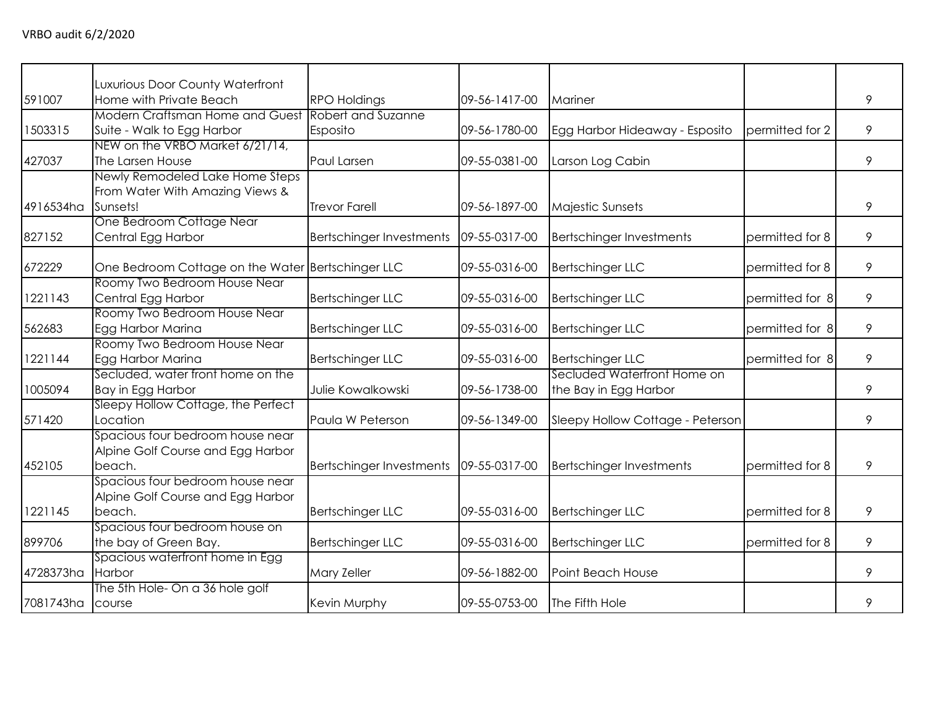|           | Luxurious Door County Waterfront                   |                          |               |                                  |                 |   |
|-----------|----------------------------------------------------|--------------------------|---------------|----------------------------------|-----------------|---|
| 591007    | Home with Private Beach                            | <b>RPO Holdings</b>      | 09-56-1417-00 | Mariner                          |                 | 9 |
|           | Modern Craftsman Home and Guest Robert and Suzanne |                          |               |                                  |                 |   |
| 1503315   | Suite - Walk to Egg Harbor                         | Esposito                 | 09-56-1780-00 | Egg Harbor Hideaway - Esposito   | permitted for 2 | 9 |
|           | NEW on the VRBO Market 6/21/14,                    |                          |               |                                  |                 |   |
| 427037    | The Larsen House                                   | <b>Paul Larsen</b>       | 09-55-0381-00 | Larson Log Cabin                 |                 | 9 |
|           | Newly Remodeled Lake Home Steps                    |                          |               |                                  |                 |   |
|           | From Water With Amazing Views &                    |                          |               |                                  |                 |   |
| 4916534ha | Sunsets!                                           | <b>Trevor Farell</b>     | 09-56-1897-00 | <b>Majestic Sunsets</b>          |                 | 9 |
|           | One Bedroom Cottage Near                           |                          |               |                                  |                 |   |
| 827152    | Central Egg Harbor                                 | Bertschinger Investments | 09-55-0317-00 | <b>Bertschinger Investments</b>  | permitted for 8 | 9 |
| 672229    | One Bedroom Cottage on the Water Bertschinger LLC  |                          | 09-55-0316-00 | <b>Bertschinger LLC</b>          | permitted for 8 | 9 |
|           | Roomy Two Bedroom House Near                       |                          |               |                                  |                 |   |
| 1221143   | Central Egg Harbor                                 | <b>Bertschinger LLC</b>  | 09-55-0316-00 | <b>Bertschinger LLC</b>          | permitted for 8 | 9 |
|           | Roomy Two Bedroom House Near                       |                          |               |                                  |                 |   |
| 562683    | Egg Harbor Marina                                  | <b>Bertschinger LLC</b>  | 09-55-0316-00 | <b>Bertschinger LLC</b>          | permitted for 8 | 9 |
|           | Roomy Two Bedroom House Near                       |                          |               |                                  |                 |   |
| 1221144   | Egg Harbor Marina                                  | <b>Bertschinger LLC</b>  | 09-55-0316-00 | <b>Bertschinger LLC</b>          | permitted for 8 | 9 |
|           | Secluded, water front home on the                  |                          |               | Secluded Waterfront Home on      |                 |   |
| 1005094   | Bay in Egg Harbor                                  | Julie Kowalkowski        | 09-56-1738-00 | the Bay in Egg Harbor            |                 | 9 |
|           | Sleepy Hollow Cottage, the Perfect                 |                          |               |                                  |                 |   |
| 571420    | Location                                           | Paula W Peterson         | 09-56-1349-00 | Sleepy Hollow Cottage - Peterson |                 | 9 |
|           | Spacious four bedroom house near                   |                          |               |                                  |                 |   |
|           | Alpine Golf Course and Egg Harbor                  |                          |               |                                  |                 |   |
| 452105    | beach.                                             | Bertschinger Investments | 09-55-0317-00 | <b>Bertschinger Investments</b>  | permitted for 8 | 9 |
|           | Spacious four bedroom house near                   |                          |               |                                  |                 |   |
|           | Alpine Golf Course and Egg Harbor                  |                          |               |                                  |                 |   |
| 1221145   | beach.                                             | <b>Bertschinger LLC</b>  | 09-55-0316-00 | <b>Bertschinger LLC</b>          | permitted for 8 | 9 |
|           | Spacious four bedroom house on                     |                          |               |                                  |                 |   |
| 899706    | the bay of Green Bay.                              | <b>Bertschinger LLC</b>  | 09-55-0316-00 | <b>Bertschinger LLC</b>          | permitted for 8 | 9 |
|           | Spacious waterfront home in Egg                    |                          |               |                                  |                 |   |
| 4728373ha | Harbor                                             | Mary Zeller              | 09-56-1882-00 | Point Beach House                |                 | 9 |
|           | The 5th Hole- On a 36 hole golf                    |                          |               |                                  |                 |   |
| 7081743ha | course                                             | Kevin Murphy             | 09-55-0753-00 | The Fifth Hole                   |                 | 9 |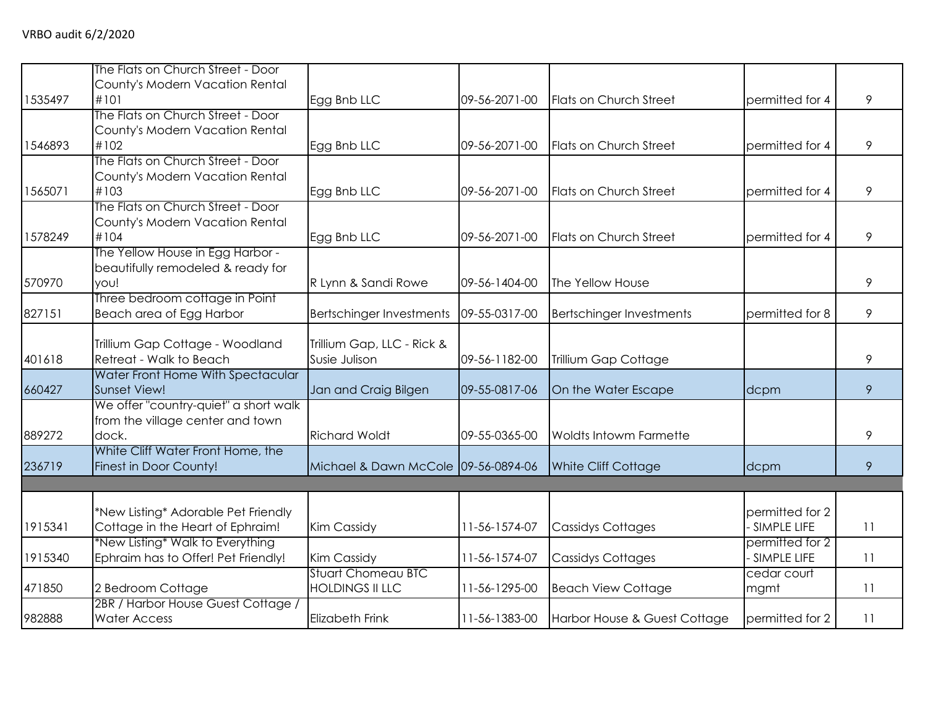|         | The Flats on Church Street - Door     |                                     |               |                                 |                 |    |
|---------|---------------------------------------|-------------------------------------|---------------|---------------------------------|-----------------|----|
|         | County's Modern Vacation Rental       |                                     |               |                                 |                 |    |
| 1535497 | #101                                  | Egg Bnb LLC                         | 09-56-2071-00 | <b>Flats on Church Street</b>   | permitted for 4 | 9  |
|         | The Flats on Church Street - Door     |                                     |               |                                 |                 |    |
|         | County's Modern Vacation Rental       |                                     |               |                                 |                 |    |
| 1546893 | #102                                  | Egg Bnb LLC                         | 09-56-2071-00 | <b>Flats on Church Street</b>   | permitted for 4 | 9  |
|         | The Flats on Church Street - Door     |                                     |               |                                 |                 |    |
|         | County's Modern Vacation Rental       |                                     |               |                                 |                 |    |
| 1565071 | #103                                  | Egg Bnb LLC                         | 09-56-2071-00 | Flats on Church Street          | permitted for 4 | 9  |
|         | The Flats on Church Street - Door     |                                     |               |                                 |                 |    |
|         | County's Modern Vacation Rental       |                                     |               |                                 |                 |    |
| 1578249 | #104                                  | Egg Bnb LLC                         | 09-56-2071-00 | Flats on Church Street          | permitted for 4 | 9  |
|         | The Yellow House in Egg Harbor -      |                                     |               |                                 |                 |    |
|         | beautifully remodeled & ready for     |                                     |               |                                 |                 |    |
| 570970  | you!                                  | R Lynn & Sandi Rowe                 | 09-56-1404-00 | The Yellow House                |                 | 9  |
|         | Three bedroom cottage in Point        |                                     |               |                                 |                 |    |
| 827151  | Beach area of Egg Harbor              | <b>Bertschinger Investments</b>     | 09-55-0317-00 | <b>Bertschinger Investments</b> | permitted for 8 | 9  |
|         |                                       |                                     |               |                                 |                 |    |
|         | Trillium Gap Cottage - Woodland       | Trillium Gap, LLC - Rick &          |               |                                 |                 |    |
| 401618  | Retreat - Walk to Beach               | Susie Julison                       | 09-56-1182-00 | Trillium Gap Cottage            |                 | 9  |
|         | Water Front Home With Spectacular     |                                     |               |                                 |                 |    |
| 660427  | Sunset View!                          | Jan and Craig Bilgen                | 09-55-0817-06 | On the Water Escape             | dcpm            | 9  |
|         | We offer "country-quiet" a short walk |                                     |               |                                 |                 |    |
|         | from the village center and town      |                                     |               |                                 |                 |    |
| 889272  | dock.                                 | <b>Richard Woldt</b>                | 09-55-0365-00 | <b>Woldts Intowm Farmette</b>   |                 | 9  |
|         | White Cliff Water Front Home, the     |                                     |               |                                 |                 |    |
| 236719  | Finest in Door County!                | Michael & Dawn McCole 09-56-0894-06 |               | White Cliff Cottage             | dcpm            | 9  |
|         |                                       |                                     |               |                                 |                 |    |
|         |                                       |                                     |               |                                 |                 |    |
|         | *New Listing* Adorable Pet Friendly   |                                     |               |                                 | permitted for 2 |    |
| 1915341 | Cottage in the Heart of Ephraim!      | Kim Cassidy                         | 11-56-1574-07 | <b>Cassidys Cottages</b>        | - SIMPLE LIFE   | 11 |
|         | *New Listing* Walk to Everything      |                                     |               |                                 | permitted for 2 |    |
| 1915340 | Ephraim has to Offer! Pet Friendly!   | Kim Cassidy                         | 11-56-1574-07 | <b>Cassidys Cottages</b>        | - SIMPLE LIFE   | 11 |
|         |                                       | <b>Stuart Chomeau BTC</b>           |               |                                 | cedar court     |    |
| 471850  | 2 Bedroom Cottage                     | <b>HOLDINGS II LLC</b>              | 11-56-1295-00 | <b>Beach View Cottage</b>       | mgmt            | 11 |
|         | 2BR / Harbor House Guest Cottage /    |                                     |               |                                 |                 |    |
| 982888  | <b>Water Access</b>                   | <b>Elizabeth Frink</b>              | 11-56-1383-00 | Harbor House & Guest Cottage    | permitted for 2 | 11 |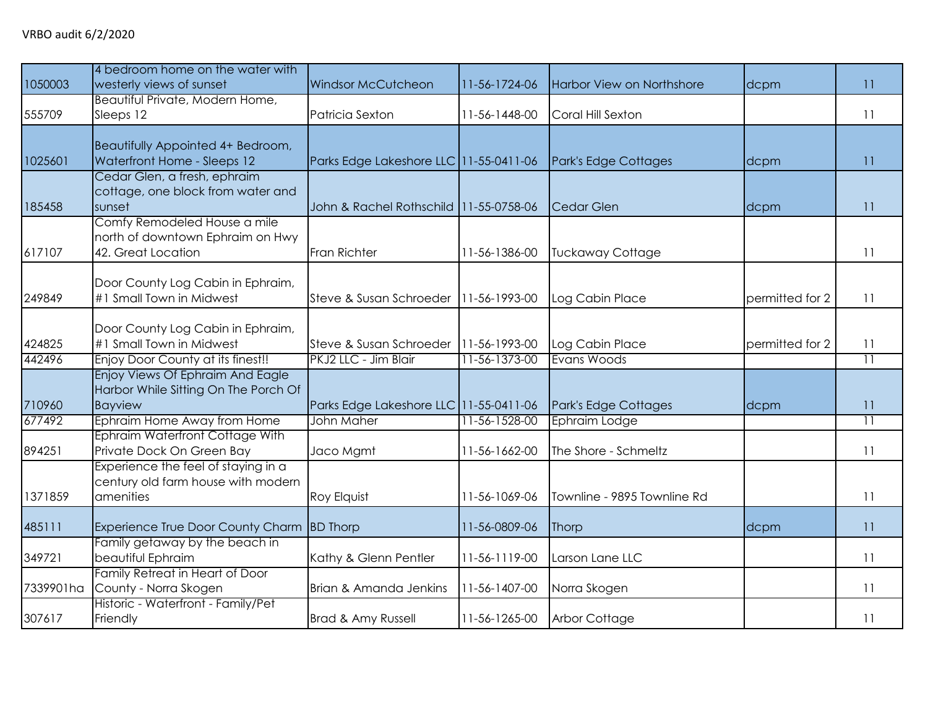| 1050003   | 4 bedroom home on the water with<br>westerly views of sunset                           | <b>Windsor McCutcheon</b>                | 11-56-1724-06 | Harbor View on Northshore   | dcpm            | 11              |
|-----------|----------------------------------------------------------------------------------------|------------------------------------------|---------------|-----------------------------|-----------------|-----------------|
| 555709    | Beautiful Private, Modern Home,<br>Sleeps 12                                           | Patricia Sexton                          | 11-56-1448-00 | Coral Hill Sexton           |                 | 11              |
| 1025601   | Beautifully Appointed 4+ Bedroom,<br>Waterfront Home - Sleeps 12                       | Parks Edge Lakeshore LLC 11-55-0411-06   |               | Park's Edge Cottages        | dcpm            | 11              |
| 185458    | Cedar Glen, a fresh, ephraim<br>cottage, one block from water and<br>sunset            | John & Rachel Rothschild   11-55-0758-06 |               | <b>Cedar Glen</b>           | dcpm            | 11              |
| 617107    | Comfy Remodeled House a mile<br>north of downtown Ephraim on Hwy<br>42. Great Location | Fran Richter                             | 11-56-1386-00 | <b>Tuckaway Cottage</b>     |                 | 11              |
| 249849    | Door County Log Cabin in Ephraim,<br>#1 Small Town in Midwest                          | Steve & Susan Schroeder                  | 11-56-1993-00 | Log Cabin Place             | permitted for 2 | 11              |
| 424825    | Door County Log Cabin in Ephraim,<br>#1 Small Town in Midwest                          | Steve & Susan Schroeder                  | 11-56-1993-00 | Log Cabin Place             | permitted for 2 | 11              |
| 442496    | Enjoy Door County at its finest!!<br>Enjoy Views Of Ephraim And Eagle                  | PKJ2 LLC - Jim Blair                     | 11-56-1373-00 | Evans Woods                 |                 | $\overline{11}$ |
| 710960    | Harbor While Sitting On The Porch Of<br><b>Bayview</b>                                 | Parks Edge Lakeshore LLC 11-55-0411-06   |               | Park's Edge Cottages        | dcpm            | 11              |
| 677492    | Ephraim Home Away from Home<br>Ephraim Waterfront Cottage With                         | John Maher                               | 11-56-1528-00 | Ephraim Lodge               |                 | $\overline{11}$ |
| 894251    | Private Dock On Green Bay                                                              | Jaco Mgmt                                | 11-56-1662-00 | The Shore - Schmeltz        |                 | 11              |
| 1371859   | Experience the feel of staying in a<br>century old farm house with modern<br>amenities | <b>Roy Elquist</b>                       | 11-56-1069-06 | Townline - 9895 Townline Rd |                 | 11              |
| 485111    | Experience True Door County Charm                                                      | <b>BD</b> Thorp                          | 11-56-0809-06 | Thorp                       | dcpm            | 11              |
| 349721    | Family getaway by the beach in<br>beautiful Ephraim                                    | Kathy & Glenn Pentler                    | 11-56-1119-00 | Larson Lane LLC             |                 | 11              |
| 7339901ha | Family Retreat in Heart of Door<br>County - Norra Skogen                               | Brian & Amanda Jenkins                   | 11-56-1407-00 | Norra Skogen                |                 | 11              |
| 307617    | Historic - Waterfront - Family/Pet<br>Friendly                                         | Brad & Amy Russell                       | 11-56-1265-00 | <b>Arbor Cottage</b>        |                 | 11              |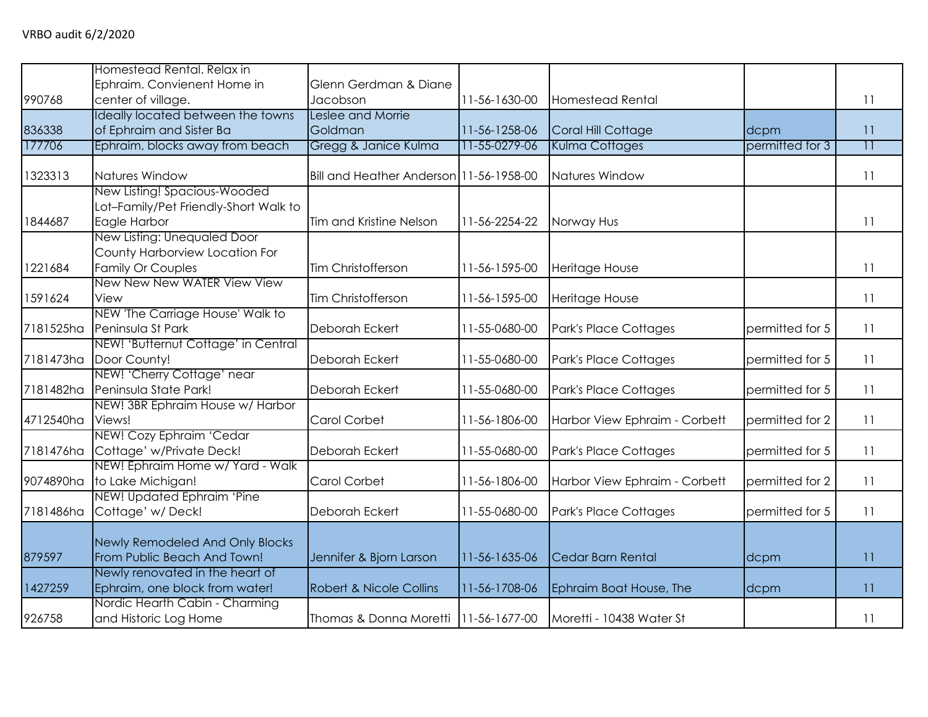|           | Homestead Rental. Relax in                                        |                                         |               |                               |                 |                 |
|-----------|-------------------------------------------------------------------|-----------------------------------------|---------------|-------------------------------|-----------------|-----------------|
|           | Ephraim. Convienent Home in                                       | Glenn Gerdman & Diane                   |               |                               |                 |                 |
| 990768    | center of village.                                                | Jacobson                                | 11-56-1630-00 | <b>Homestead Rental</b>       |                 | 11              |
|           | Ideally located between the towns                                 | Leslee and Morrie                       |               |                               |                 |                 |
| 836338    | of Ephraim and Sister Ba                                          | Goldman                                 | 11-56-1258-06 | Coral Hill Cottage            | dcpm            | 11              |
| 177706    | Ephraim, blocks away from beach                                   | Gregg & Janice Kulma                    | 11-55-0279-06 | Kulma Cottages                | permitted for 3 | $\overline{11}$ |
| 1323313   | Natures Window                                                    | Bill and Heather Anderson 11-56-1958-00 |               | Natures Window                |                 | 11              |
|           | New Listing! Spacious-Wooded                                      |                                         |               |                               |                 |                 |
|           | Lot-Family/Pet Friendly-Short Walk to                             |                                         |               |                               |                 |                 |
| 1844687   | Eagle Harbor                                                      | Tim and Kristine Nelson                 | 11-56-2254-22 | Norway Hus                    |                 | 11              |
|           | New Listing: Unequaled Door                                       |                                         |               |                               |                 |                 |
|           | County Harborview Location For                                    |                                         |               |                               |                 |                 |
| 1221684   | Family Or Couples                                                 | Tim Christofferson                      | 11-56-1595-00 | Heritage House                |                 | 11              |
|           | New New New WATER View View                                       |                                         |               |                               |                 |                 |
| 1591624   | View                                                              | <b>Tim Christofferson</b>               | 11-56-1595-00 | Heritage House                |                 | 11              |
|           | NEW 'The Carriage House' Walk to                                  |                                         |               |                               |                 |                 |
| 7181525ha | Peninsula St Park                                                 | Deborah Eckert                          | 11-55-0680-00 | Park's Place Cottages         | permitted for 5 | 11              |
|           | NEW! 'Butternut Cottage' in Central                               |                                         |               |                               |                 |                 |
| 7181473ha | Door County!                                                      | Deborah Eckert                          | 11-55-0680-00 | Park's Place Cottages         | permitted for 5 | 11              |
|           | NEW! 'Cherry Cottage' near                                        |                                         |               |                               |                 |                 |
| 7181482ha | Peninsula State Park!                                             | Deborah Eckert                          | 11-55-0680-00 | Park's Place Cottages         | permitted for 5 | 11              |
|           | NEW! 3BR Ephraim House w/ Harbor                                  |                                         |               |                               |                 |                 |
| 4712540ha | Views!                                                            | <b>Carol Corbet</b>                     | 11-56-1806-00 | Harbor View Ephraim - Corbett | permitted for 2 | 11              |
|           | NEW! Cozy Ephraim 'Cedar                                          |                                         |               |                               |                 |                 |
| 7181476ha | Cottage' w/Private Deck!                                          | Deborah Eckert                          | 11-55-0680-00 | Park's Place Cottages         | permitted for 5 | 11              |
|           | NEW! Ephraim Home w/ Yard - Walk                                  |                                         |               |                               |                 |                 |
| 9074890ha | to Lake Michigan!                                                 | Carol Corbet                            | 11-56-1806-00 | Harbor View Ephraim - Corbett | permitted for 2 | 11              |
|           | NEW! Updated Ephraim 'Pine                                        |                                         |               |                               |                 |                 |
| 7181486ha | Cottage' w/Deck!                                                  | Deborah Eckert                          | 11-55-0680-00 | Park's Place Cottages         | permitted for 5 | 11              |
|           |                                                                   |                                         |               |                               |                 |                 |
|           | Newly Remodeled And Only Blocks                                   |                                         |               |                               |                 |                 |
| 879597    | From Public Beach And Town!                                       | Jennifer & Bjorn Larson                 | 11-56-1635-06 | Cedar Barn Rental             | dcpm            | 11              |
| 1427259   | Newly renovated in the heart of<br>Ephraim, one block from water! | <b>Robert &amp; Nicole Collins</b>      | 11-56-1708-06 | Ephraim Boat House, The       | dcpm            | 11              |
|           | Nordic Hearth Cabin - Charming                                    |                                         |               |                               |                 |                 |
| 926758    | and Historic Log Home                                             | Thomas & Donna Moretti   11-56-1677-00  |               | Moretti - 10438 Water St      |                 | <b>11</b>       |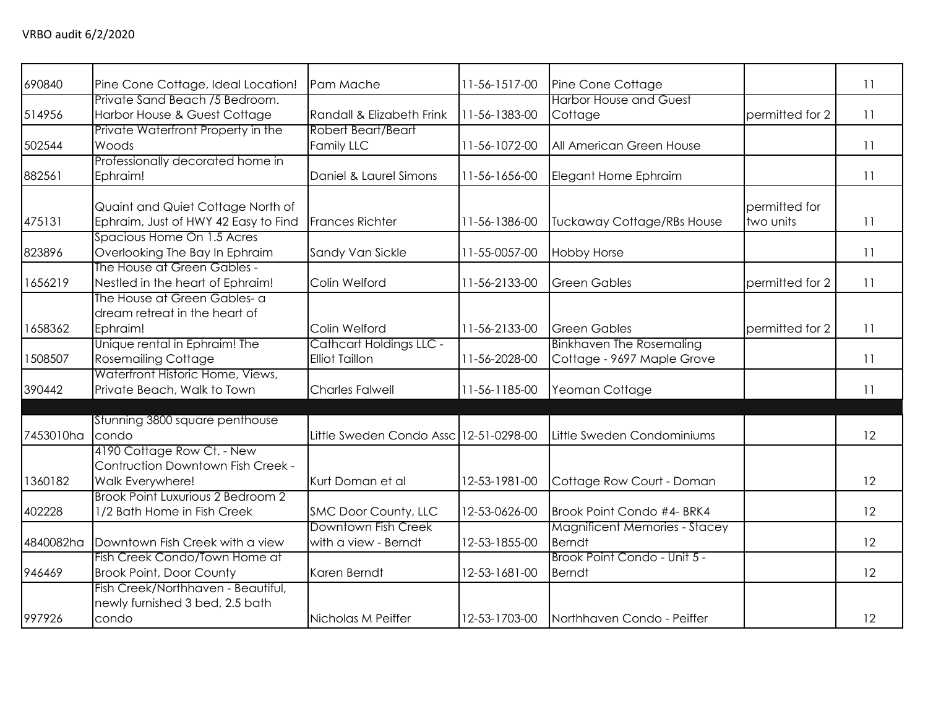| 690840    | Pine Cone Cottage, Ideal Location!   | Pam Mache                              | 11-56-1517-00 | Pine Cone Cottage                    |                 | 11 |
|-----------|--------------------------------------|----------------------------------------|---------------|--------------------------------------|-----------------|----|
|           | Private Sand Beach /5 Bedroom.       |                                        |               | <b>Harbor House and Guest</b>        |                 |    |
| 514956    | Harbor House & Guest Cottage         | Randall & Elizabeth Frink              | 11-56-1383-00 | Cottage                              | permitted for 2 | 11 |
|           | Private Waterfront Property in the   | Robert Beart/Beart                     |               |                                      |                 |    |
| 502544    | Woods                                | Family LLC                             | 11-56-1072-00 | All American Green House             |                 | 11 |
|           | Professionally decorated home in     |                                        |               |                                      |                 |    |
| 882561    | Ephraim!                             | Daniel & Laurel Simons                 | 11-56-1656-00 | Elegant Home Ephraim                 |                 | 11 |
|           |                                      |                                        |               |                                      | permitted for   |    |
|           | Quaint and Quiet Cottage North of    |                                        |               |                                      |                 |    |
| 475131    | Ephraim, Just of HWY 42 Easy to Find | Frances Richter                        | 11-56-1386-00 | <b>Tuckaway Cottage/RBs House</b>    | two units       | 11 |
|           | Spacious Home On 1.5 Acres           |                                        |               |                                      |                 |    |
| 823896    | Overlooking The Bay In Ephraim       | Sandy Van Sickle                       | 11-55-0057-00 | <b>Hobby Horse</b>                   |                 | 11 |
|           | The House at Green Gables -          |                                        |               |                                      |                 |    |
| 1656219   | Nestled in the heart of Ephraim!     | Colin Welford                          | 11-56-2133-00 | <b>Green Gables</b>                  | permitted for 2 | 11 |
|           | The House at Green Gables- a         |                                        |               |                                      |                 |    |
|           | dream retreat in the heart of        |                                        |               |                                      |                 |    |
| 1658362   | Ephraim!                             | Colin Welford                          | 11-56-2133-00 | <b>Green Gables</b>                  | permitted for 2 | 11 |
|           | Unique rental in Ephraim! The        | <b>Cathcart Holdings LLC -</b>         |               | <b>Binkhaven The Rosemaling</b>      |                 |    |
| 1508507   | <b>Rosemailing Cottage</b>           | <b>Elliot Taillon</b>                  | 11-56-2028-00 | Cottage - 9697 Maple Grove           |                 | 11 |
|           | Waterfront Historic Home, Views,     |                                        |               |                                      |                 |    |
| 390442    | Private Beach, Walk to Town          | <b>Charles Falwell</b>                 | 11-56-1185-00 | Yeoman Cottage                       |                 | 11 |
|           |                                      |                                        |               |                                      |                 |    |
|           | Stunning 3800 square penthouse       |                                        |               |                                      |                 |    |
| 7453010ha | condo                                | Little Sweden Condo Assc 12-51-0298-00 |               | Little Sweden Condominiums           |                 | 12 |
|           | 4190 Cottage Row Ct. - New           |                                        |               |                                      |                 |    |
|           | Contruction Downtown Fish Creek -    |                                        |               |                                      |                 |    |
| 1360182   | Walk Everywhere!                     | Kurt Doman et al                       | 12-53-1981-00 | Cottage Row Court - Doman            |                 | 12 |
|           | Brook Point Luxurious 2 Bedroom 2    |                                        |               |                                      |                 |    |
| 402228    | 1/2 Bath Home in Fish Creek          | SMC Door County, LLC                   | 12-53-0626-00 | Brook Point Condo #4- BRK4           |                 | 12 |
|           |                                      | Downtown Fish Creek                    |               | <b>Magnificent Memories - Stacey</b> |                 |    |
| 4840082ha | Downtown Fish Creek with a view      | with a view - Berndt                   | 12-53-1855-00 | <b>Berndt</b>                        |                 | 12 |
|           | Fish Creek Condo/Town Home at        |                                        |               | Brook Point Condo - Unit 5 -         |                 |    |
| 946469    | <b>Brook Point, Door County</b>      | Karen Berndt                           | 12-53-1681-00 | <b>Berndt</b>                        |                 | 12 |
|           | Fish Creek/Northhaven - Beautiful,   |                                        |               |                                      |                 |    |
|           | newly furnished 3 bed, 2.5 bath      |                                        |               |                                      |                 |    |
| 997926    | condo                                | Nicholas M Peiffer                     | 12-53-1703-00 | Northhaven Condo - Peiffer           |                 | 12 |
|           |                                      |                                        |               |                                      |                 |    |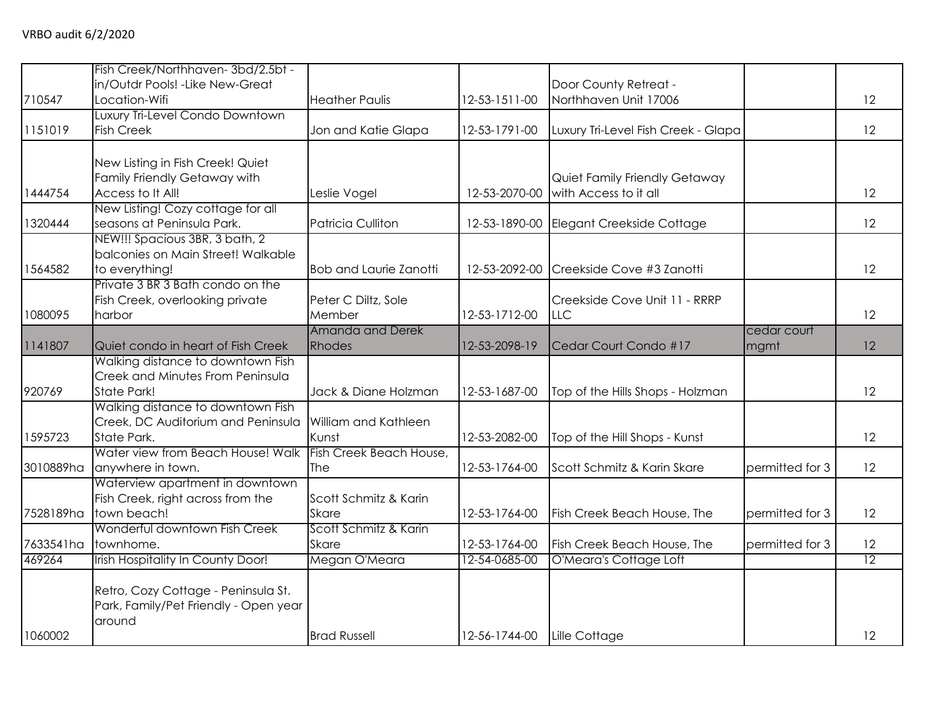|           | Fish Creek/Northhaven-3bd/2.5bt -<br>in/Outdr Pools! - Like New-Great |                               |               | Door County Retreat -               |                 |                 |
|-----------|-----------------------------------------------------------------------|-------------------------------|---------------|-------------------------------------|-----------------|-----------------|
| 710547    | Location-Wifi                                                         | <b>Heather Paulis</b>         | 12-53-1511-00 | Northhaven Unit 17006               |                 | 12              |
|           | Luxury Tri-Level Condo Downtown                                       |                               |               |                                     |                 |                 |
| 1151019   | <b>Fish Creek</b>                                                     | Jon and Katie Glapa           | 12-53-1791-00 | Luxury Tri-Level Fish Creek - Glapa |                 | 12              |
|           |                                                                       |                               |               |                                     |                 |                 |
|           | New Listing in Fish Creek! Quiet                                      |                               |               |                                     |                 |                 |
|           | Family Friendly Getaway with                                          |                               |               | Quiet Family Friendly Getaway       |                 |                 |
| 1444754   | Access to It All!                                                     | Leslie Vogel                  | 12-53-2070-00 | with Access to it all               |                 | 12              |
|           | New Listing! Cozy cottage for all                                     |                               |               |                                     |                 |                 |
| 1320444   | seasons at Peninsula Park.                                            | Patricia Culliton             | 12-53-1890-00 | Elegant Creekside Cottage           |                 | 12              |
|           | NEW!!! Spacious 3BR, 3 bath, 2                                        |                               |               |                                     |                 |                 |
| 1564582   | balconies on Main Street! Walkable                                    | <b>Bob and Laurie Zanotti</b> | 12-53-2092-00 | Creekside Cove #3 Zanotti           |                 | 12              |
|           | to everything!<br>Private 3 BR 3 Bath condo on the                    |                               |               |                                     |                 |                 |
|           | Fish Creek, overlooking private                                       | Peter C Diltz, Sole           |               | Creekside Cove Unit 11 - RRRP       |                 |                 |
| 1080095   | harbor                                                                | Member                        | 12-53-1712-00 | LLC                                 |                 | 12              |
|           |                                                                       | Amanda and Derek              |               |                                     | cedar court     |                 |
| 1141807   | Quiet condo in heart of Fish Creek                                    | Rhodes                        | 12-53-2098-19 | Cedar Court Condo #17               | mgmt            | 12              |
|           | Walking distance to downtown Fish                                     |                               |               |                                     |                 |                 |
|           | Creek and Minutes From Peninsula                                      |                               |               |                                     |                 |                 |
| 920769    | State Park!                                                           | Jack & Diane Holzman          | 12-53-1687-00 | Top of the Hills Shops - Holzman    |                 | 12              |
|           | Walking distance to downtown Fish                                     |                               |               |                                     |                 |                 |
|           | Creek, DC Auditorium and Peninsula                                    | William and Kathleen          |               |                                     |                 |                 |
| 1595723   | State Park.                                                           | Kunst                         | 12-53-2082-00 | Top of the Hill Shops - Kunst       |                 | 12              |
|           | Water view from Beach House! Walk                                     | Fish Creek Beach House,       |               |                                     |                 |                 |
| 3010889ha | anywhere in town.                                                     | The                           | 12-53-1764-00 | Scott Schmitz & Karin Skare         | permitted for 3 | 12              |
|           | Waterview apartment in downtown                                       |                               |               |                                     |                 |                 |
|           | Fish Creek, right across from the                                     | Scott Schmitz & Karin         |               |                                     |                 |                 |
| 7528189ha | town beach!                                                           | <b>Skare</b>                  | 12-53-1764-00 | Fish Creek Beach House, The         | permitted for 3 | 12              |
|           | Wonderful downtown Fish Creek                                         | Scott Schmitz & Karin         |               |                                     |                 |                 |
| 7633541ha | townhome.                                                             | <b>Skare</b>                  | 12-53-1764-00 | Fish Creek Beach House, The         | permitted for 3 | 12              |
| 469264    | Irish Hospitality In County Door!                                     | Megan O'Meara                 | 12-54-0685-00 | O'Meara's Cottage Loft              |                 | $\overline{12}$ |
|           |                                                                       |                               |               |                                     |                 |                 |
|           | Retro, Cozy Cottage - Peninsula St.                                   |                               |               |                                     |                 |                 |
|           | Park, Family/Pet Friendly - Open year                                 |                               |               |                                     |                 |                 |
|           | around                                                                |                               |               |                                     |                 |                 |
| 1060002   |                                                                       | <b>Brad Russell</b>           | 12-56-1744-00 | Lille Cottage                       |                 | 12              |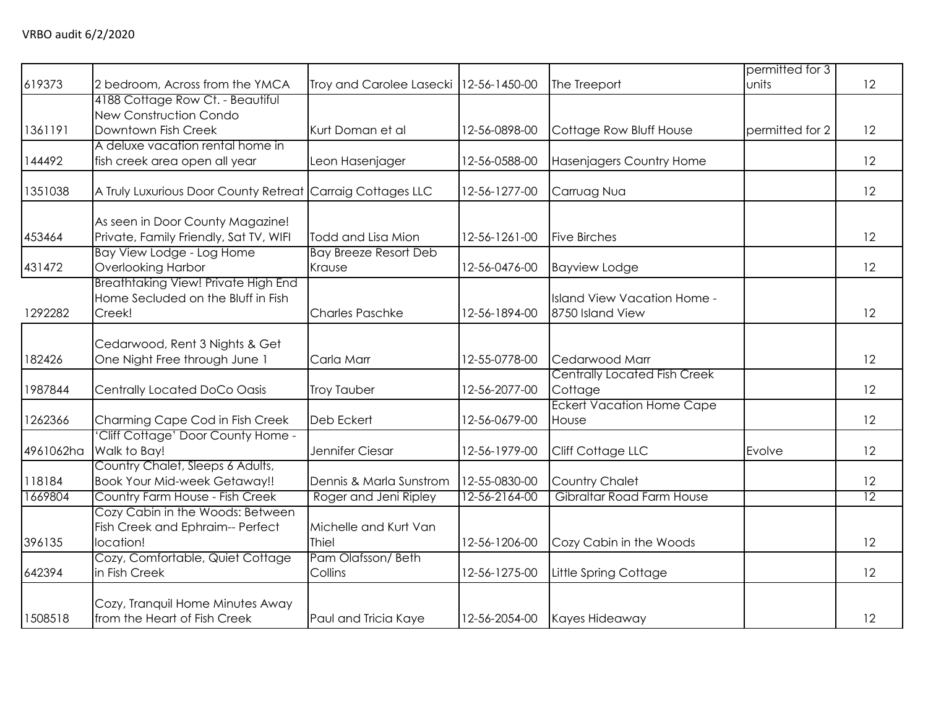| 619373<br>Troy and Carolee Lasecki   12-56-1450-00<br>2 bedroom, Across from the YMCA<br>The Treeport<br>units<br>4188 Cottage Row Ct. - Beautiful<br>New Construction Condo | 12<br>12 |
|------------------------------------------------------------------------------------------------------------------------------------------------------------------------------|----------|
|                                                                                                                                                                              |          |
|                                                                                                                                                                              |          |
|                                                                                                                                                                              |          |
| Downtown Fish Creek<br>1361191<br>Kurt Doman et al<br>12-56-0898-00<br>Cottage Row Bluff House<br>permitted for 2                                                            |          |
| A deluxe vacation rental home in                                                                                                                                             |          |
| 144492<br>fish creek area open all year<br>12-56-0588-00<br>Hasenjagers Country Home<br>Leon Hasenjager                                                                      | 12       |
| A Truly Luxurious Door County Retreat Carraig Cottages LLC<br>1351038<br>12-56-1277-00<br>Carruag Nua                                                                        | 12       |
| As seen in Door County Magazine!                                                                                                                                             |          |
| Private, Family Friendly, Sat TV, WIFI<br>453464<br>Todd and Lisa Mion<br>12-56-1261-00<br><b>Five Birches</b>                                                               | 12       |
| Bay View Lodge - Log Home<br><b>Bay Breeze Resort Deb</b>                                                                                                                    |          |
| Overlooking Harbor<br>431472<br>12-56-0476-00<br>Krause<br><b>Bayview Lodge</b>                                                                                              | 12       |
| <b>Breathtaking View! Private High End</b>                                                                                                                                   |          |
| Home Secluded on the Bluff in Fish<br>Island View Vacation Home -                                                                                                            |          |
| 1292282<br>Creek!<br><b>Charles Paschke</b><br>12-56-1894-00<br>8750 Island View                                                                                             | 12       |
|                                                                                                                                                                              |          |
| Cedarwood, Rent 3 Nights & Get                                                                                                                                               |          |
| 182426<br>One Night Free through June 1<br>12-55-0778-00<br>Carla Marr<br>Cedarwood Marr                                                                                     | 12       |
| <b>Centrally Located Fish Creek</b><br>1987844                                                                                                                               | 12       |
| Centrally Located DoCo Oasis<br>12-56-2077-00<br>Cottage<br><b>Troy Tauber</b><br><b>Eckert Vacation Home Cape</b>                                                           |          |
| 1262366<br>Deb Eckert<br>12-56-0679-00                                                                                                                                       | 12       |
| Charming Cape Cod in Fish Creek<br>House<br>'Cliff Cottage' Door County Home -                                                                                               |          |
| Walk to Bay!<br>4961062ha<br>Jennifer Ciesar<br>Cliff Cottage LLC<br>12-56-1979-00<br>Evolve                                                                                 | 12       |
| Country Chalet, Sleeps 6 Adults,                                                                                                                                             |          |
| <b>Book Your Mid-week Getaway!!</b><br>118184<br>12-55-0830-00<br><b>Country Chalet</b><br>Dennis & Marla Sunstrom                                                           | 12       |
| Country Farm House - Fish Creek<br>Gibraltar Road Farm House<br>1669804<br>Roger and Jeni Ripley<br>12-56-2164-00                                                            | 12       |
| Cozy Cabin in the Woods: Between                                                                                                                                             |          |
| Fish Creek and Ephraim-- Perfect<br>Michelle and Kurt Van                                                                                                                    |          |
| 396135<br>location!<br><b>Thiel</b><br>12-56-1206-00<br>Cozy Cabin in the Woods                                                                                              | 12       |
| Pam Olafsson/Beth<br>Cozy, Comfortable, Quiet Cottage                                                                                                                        |          |
| 642394<br>in Fish Creek<br>Collins<br>12-56-1275-00<br>Little Spring Cottage                                                                                                 | 12       |
| Cozy, Tranquil Home Minutes Away                                                                                                                                             |          |
| 1508518<br>from the Heart of Fish Creek<br>Paul and Tricia Kaye<br>12-56-2054-00<br>Kayes Hideaway                                                                           | 12       |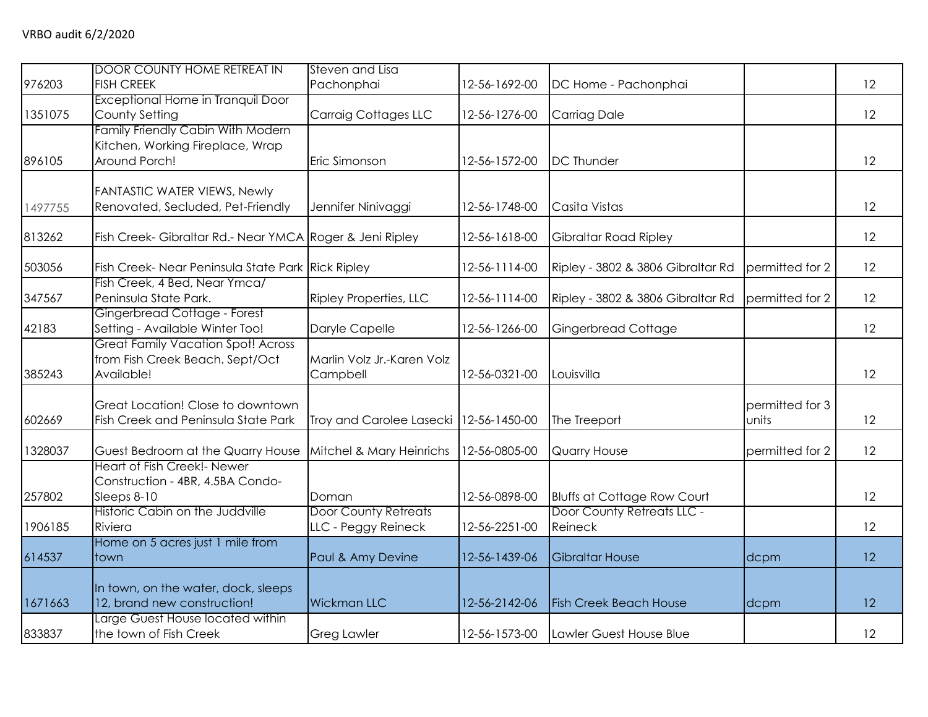| 976203  | <b>DOOR COUNTY HOME RETREAT IN</b><br><b>FISH CREEK</b>                                    | Steven and Lisa<br>Pachonphai                      | 12-56-1692-00 | DC Home - Pachonphai                  |                          | 12 |
|---------|--------------------------------------------------------------------------------------------|----------------------------------------------------|---------------|---------------------------------------|--------------------------|----|
| 1351075 | Exceptional Home in Tranquil Door<br>County Setting                                        | <b>Carraig Cottages LLC</b>                        | 12-56-1276-00 | <b>Carriag Dale</b>                   |                          | 12 |
| 896105  | Family Friendly Cabin With Modern<br>Kitchen, Working Fireplace, Wrap<br>Around Porch!     | Eric Simonson                                      | 12-56-1572-00 | <b>DC Thunder</b>                     |                          | 12 |
| 1497755 | FANTASTIC WATER VIEWS, Newly<br>Renovated, Secluded, Pet-Friendly                          | Jennifer Ninivaggi                                 | 12-56-1748-00 | Casita Vistas                         |                          | 12 |
| 813262  | Fish Creek- Gibraltar Rd.- Near YMCA Roger & Jeni Ripley                                   |                                                    | 12-56-1618-00 | Gibraltar Road Ripley                 |                          | 12 |
| 503056  | Fish Creek- Near Peninsula State Park Rick Ripley                                          |                                                    | 12-56-1114-00 | Ripley - 3802 & 3806 Gibraltar Rd     | permitted for 2          | 12 |
| 347567  | Fish Creek, 4 Bed, Near Ymca/<br>Peninsula State Park.                                     | Ripley Properties, LLC                             | 12-56-1114-00 | Ripley - 3802 & 3806 Gibraltar Rd     | permitted for 2          | 12 |
| 42183   | Gingerbread Cottage - Forest<br>Setting - Available Winter Too!                            | Daryle Capelle                                     | 12-56-1266-00 | Gingerbread Cottage                   |                          | 12 |
| 385243  | <b>Great Family Vacation Spot! Across</b><br>from Fish Creek Beach. Sept/Oct<br>Available! | Marlin Volz Jr.-Karen Volz<br>Campbell             | 12-56-0321-00 | Louisvilla                            |                          | 12 |
| 602669  | Great Location! Close to downtown<br>Fish Creek and Peninsula State Park                   | Troy and Carolee Lasecki 12-56-1450-00             |               | The Treeport                          | permitted for 3<br>units | 12 |
| 1328037 | Guest Bedroom at the Quarry House                                                          | Mitchel & Mary Heinrichs                           | 12-56-0805-00 | Quarry House                          | permitted for 2          | 12 |
| 257802  | Heart of Fish Creek!- Newer<br>Construction - 4BR, 4.5BA Condo-<br>Sleeps 8-10             | Doman                                              | 12-56-0898-00 | <b>Bluffs at Cottage Row Court</b>    |                          | 12 |
| 1906185 | Historic Cabin on the Juddville<br>Riviera                                                 | <b>Door County Retreats</b><br>LLC - Peggy Reineck | 12-56-2251-00 | Door County Retreats LLC -<br>Reineck |                          | 12 |
| 614537  | Home on 5 acres just 1 mile from<br>town                                                   | Paul & Amy Devine                                  | 12-56-1439-06 | <b>Gibraltar House</b>                | dcpm                     | 12 |
| 1671663 | In town, on the water, dock, sleeps<br>12, brand new construction!                         | <b>Wickman LLC</b>                                 | 12-56-2142-06 | <b>Fish Creek Beach House</b>         | dcpm                     | 12 |
| 833837  | Large Guest House located within<br>the town of Fish Creek                                 | <b>Greg Lawler</b>                                 | 12-56-1573-00 | Lawler Guest House Blue               |                          | 12 |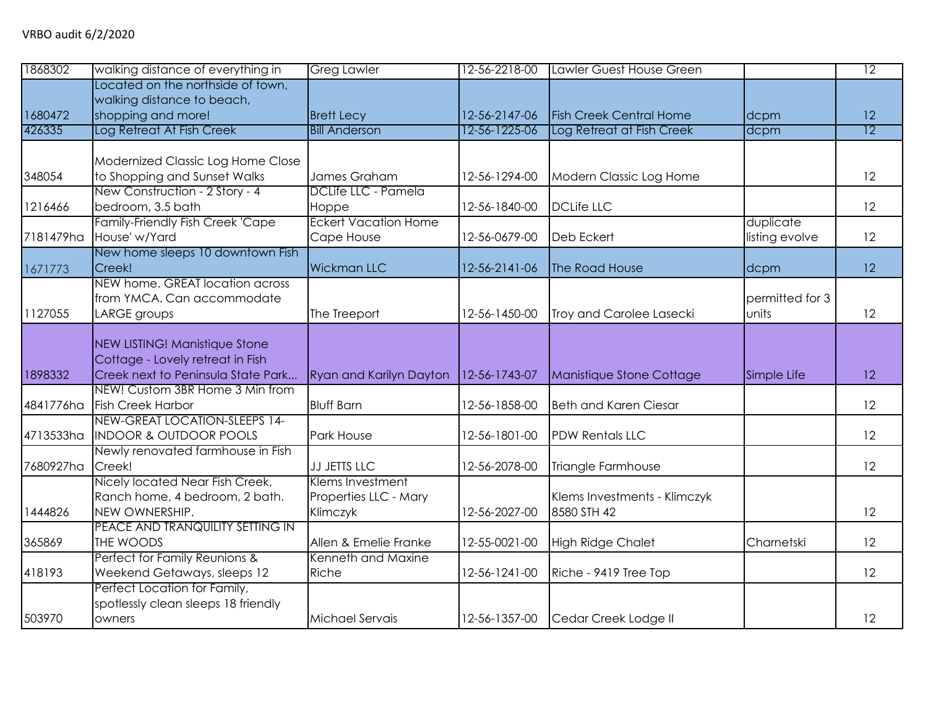| 1868302   | walking distance of everything in                                                                       | <b>Greg Lawler</b>                                    | 12-56-2218-00 | Lawler Guest House Green                    |                             | $\overline{12}$ |
|-----------|---------------------------------------------------------------------------------------------------------|-------------------------------------------------------|---------------|---------------------------------------------|-----------------------------|-----------------|
| 1680472   | Located on the northside of town,<br>walking distance to beach,<br>shopping and more!                   | <b>Brett Lecy</b>                                     | 12-56-2147-06 | <b>Fish Creek Central Home</b>              | dcpm                        | 12              |
| 426335    | Log Retreat At Fish Creek                                                                               | <b>Bill Anderson</b>                                  | 12-56-1225-06 | Log Retreat at Fish Creek                   | dcpm                        | $\overline{12}$ |
|           |                                                                                                         |                                                       |               |                                             |                             |                 |
| 348054    | Modernized Classic Log Home Close<br>to Shopping and Sunset Walks                                       | James Graham                                          | 12-56-1294-00 | Modern Classic Log Home                     |                             | 12              |
| 1216466   | New Construction - 2 Story - 4<br>bedroom, 3.5 bath                                                     | DCLife LLC - Pamela<br>Hoppe                          | 12-56-1840-00 | <b>DCLife LLC</b>                           |                             | 12              |
| 7181479ha | <b>Family-Friendly Fish Creek 'Cape</b><br>House' w/Yard                                                | <b>Eckert Vacation Home</b><br>Cape House             | 12-56-0679-00 | Deb Eckert                                  | duplicate<br>listing evolve | 12              |
| 1671773   | New home sleeps 10 downtown Fish<br>Creek!                                                              | <b>Wickman LLC</b>                                    | 12-56-2141-06 | The Road House                              | dcpm                        | 12              |
| 1127055   | NEW home. GREAT location across<br>from YMCA. Can accommodate<br>LARGE groups                           | The Treeport                                          | 12-56-1450-00 | Troy and Carolee Lasecki                    | permitted for 3<br>units    | 12              |
| 1898332   | NEW LISTING! Manistique Stone<br>Cottage - Lovely retreat in Fish<br>Creek next to Peninsula State Park | <b>Ryan and Karilyn Dayton</b>                        | 12-56-1743-07 | Manistique Stone Cottage                    | Simple Life                 | 12              |
| 4841776ha | NEW! Custom 3BR Home 3 Min from<br><b>Fish Creek Harbor</b>                                             | <b>Bluff Barn</b>                                     | 12-56-1858-00 | <b>Beth and Karen Ciesar</b>                |                             | 12              |
| 4713533ha | NEW-GREAT LOCATION-SLEEPS 14-<br><b>INDOOR &amp; OUTDOOR POOLS</b>                                      | Park House                                            | 12-56-1801-00 | <b>PDW Rentals LLC</b>                      |                             | 12              |
| 7680927ha | Newly renovated farmhouse in Fish<br>Creek!                                                             | JJ JETTS LLC                                          | 12-56-2078-00 | Triangle Farmhouse                          |                             | 12              |
| 1444826   | Nicely located Near Fish Creek,<br>Ranch home, 4 bedroom, 2 bath.<br>NEW OWNERSHIP.                     | Klems Investment<br>Properties LLC - Mary<br>Klimczyk | 12-56-2027-00 | Klems Investments - Klimczyk<br>8580 STH 42 |                             | 12              |
| 365869    | PEACE AND TRANQUILITY SETTING IN<br>THE WOODS                                                           | Allen & Emelie Franke                                 | 12-55-0021-00 | <b>High Ridge Chalet</b>                    | Charnetski                  | 12              |
| 418193    | Perfect for Family Reunions &<br>Weekend Getaways, sleeps 12                                            | Kenneth and Maxine<br>Riche                           | 12-56-1241-00 | Riche - 9419 Tree Top                       |                             | 12              |
| 503970    | Perfect Location for Family,<br>spotlessly clean sleeps 18 friendly<br>owners                           | Michael Servais                                       | 12-56-1357-00 | Cedar Creek Lodge II                        |                             | 12              |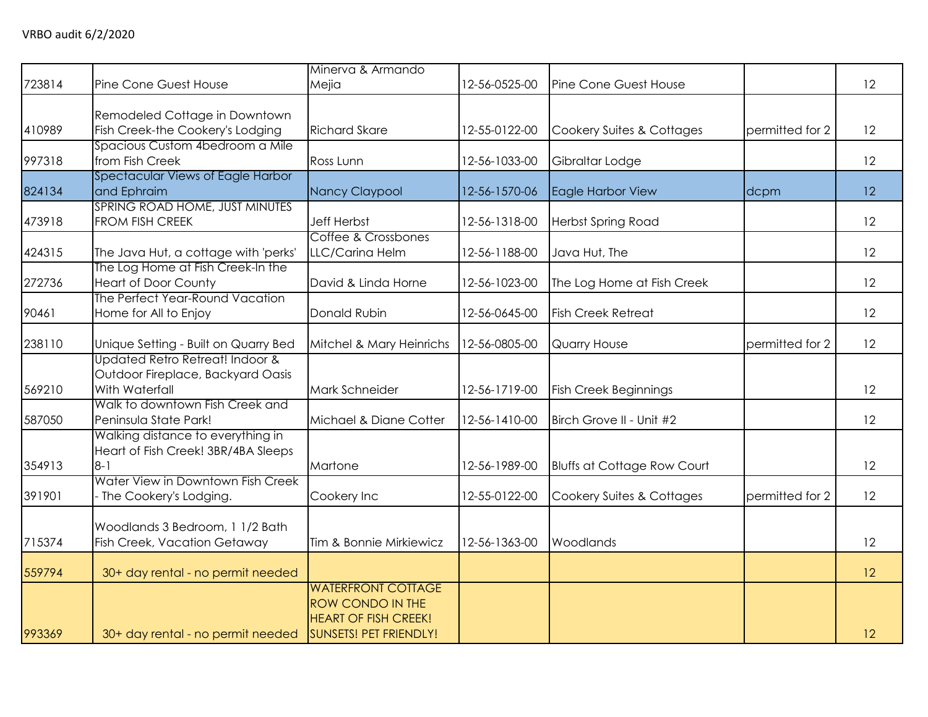| 723814 | Pine Cone Guest House                                                                  | Minerva & Armando<br>Mejia                                                                                    | 12-56-0525-00 | Pine Cone Guest House              |                 | 12 |
|--------|----------------------------------------------------------------------------------------|---------------------------------------------------------------------------------------------------------------|---------------|------------------------------------|-----------------|----|
| 410989 | Remodeled Cottage in Downtown<br>Fish Creek-the Cookery's Lodging                      | <b>Richard Skare</b>                                                                                          | 12-55-0122-00 | Cookery Suites & Cottages          | permitted for 2 | 12 |
| 997318 | Spacious Custom 4bedroom a Mile<br>from Fish Creek                                     | Ross Lunn                                                                                                     | 12-56-1033-00 | Gibraltar Lodge                    |                 | 12 |
| 824134 | Spectacular Views of Eagle Harbor<br>and Ephraim                                       | Nancy Claypool                                                                                                | 12-56-1570-06 | Eagle Harbor View                  | dcpm            | 12 |
| 473918 | SPRING ROAD HOME, JUST MINUTES<br>FROM FISH CREEK                                      | <b>Jeff Herbst</b>                                                                                            | 12-56-1318-00 | <b>Herbst Spring Road</b>          |                 | 12 |
| 424315 | The Java Hut, a cottage with 'perks'                                                   | Coffee & Crossbones<br>LLC/Carina Helm                                                                        | 12-56-1188-00 | Java Hut, The                      |                 | 12 |
| 272736 | The Log Home at Fish Creek-In the<br><b>Heart of Door County</b>                       | David & Linda Horne                                                                                           | 12-56-1023-00 | The Log Home at Fish Creek         |                 | 12 |
| 90461  | The Perfect Year-Round Vacation<br>Home for All to Enjoy                               | Donald Rubin                                                                                                  | 12-56-0645-00 | <b>Fish Creek Retreat</b>          |                 | 12 |
| 238110 | Unique Setting - Built on Quarry Bed                                                   | Mitchel & Mary Heinrichs                                                                                      | 12-56-0805-00 | Quarry House                       | permitted for 2 | 12 |
| 569210 | Updated Retro Retreat! Indoor &<br>Outdoor Fireplace, Backyard Oasis<br>With Waterfall | Mark Schneider                                                                                                | 12-56-1719-00 | <b>Fish Creek Beginnings</b>       |                 | 12 |
| 587050 | Walk to downtown Fish Creek and<br>Peninsula State Park!                               | Michael & Diane Cotter                                                                                        | 12-56-1410-00 | Birch Grove II - Unit #2           |                 | 12 |
| 354913 | Walking distance to everything in<br>Heart of Fish Creek! 3BR/4BA Sleeps<br>$8 - 1$    | Martone                                                                                                       | 12-56-1989-00 | <b>Bluffs at Cottage Row Court</b> |                 | 12 |
| 391901 | Water View in Downtown Fish Creek<br>- The Cookery's Lodging.                          | Cookery Inc                                                                                                   | 12-55-0122-00 | Cookery Suites & Cottages          | permitted for 2 | 12 |
| 715374 | Woodlands 3 Bedroom, 1 1/2 Bath<br>Fish Creek, Vacation Getaway                        | Tim & Bonnie Mirkiewicz                                                                                       | 12-56-1363-00 | Woodlands                          |                 | 12 |
| 559794 | 30+ day rental - no permit needed                                                      |                                                                                                               |               |                                    |                 | 12 |
| 993369 | 30+ day rental - no permit needed                                                      | <b>WATERFRONT COTTAGE</b><br>ROW CONDO IN THE<br><b>HEART OF FISH CREEK!</b><br><b>SUNSETS! PET FRIENDLY!</b> |               |                                    |                 | 12 |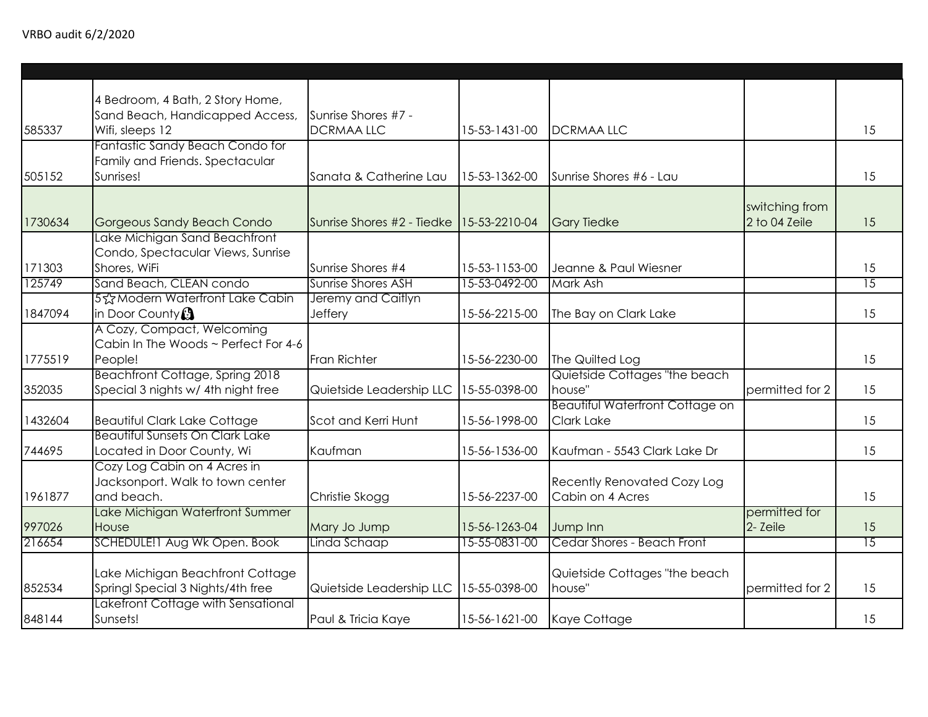| 585337  | 4 Bedroom, 4 Bath, 2 Story Home,<br>Sand Beach, Handicapped Access,<br>Wifi, sleeps 12 | Sunrise Shores #7 -<br><b>DCRMAALLC</b> | 15-53-1431-00 | <b>DCRMAA LLC</b>                      |                 | 15              |
|---------|----------------------------------------------------------------------------------------|-----------------------------------------|---------------|----------------------------------------|-----------------|-----------------|
|         |                                                                                        |                                         |               |                                        |                 |                 |
|         | Fantastic Sandy Beach Condo for                                                        |                                         |               |                                        |                 |                 |
|         | Family and Friends. Spectacular                                                        |                                         |               |                                        |                 |                 |
| 505152  | Sunrises!                                                                              | Sanata & Catherine Lau                  | 15-53-1362-00 | Sunrise Shores #6 - Lau                |                 | 15              |
|         |                                                                                        |                                         |               |                                        |                 |                 |
|         |                                                                                        |                                         |               |                                        | switching from  |                 |
| 1730634 | Gorgeous Sandy Beach Condo                                                             | Sunrise Shores #2 - Tiedke              | 15-53-2210-04 | <b>Gary Tiedke</b>                     | 2 to 04 Zeile   | 15              |
|         | Lake Michigan Sand Beachfront                                                          |                                         |               |                                        |                 |                 |
|         | Condo, Spectacular Views, Sunrise                                                      |                                         |               |                                        |                 |                 |
| 171303  | Shores, WiFi                                                                           | Sunrise Shores #4                       | 15-53-1153-00 | Jeanne & Paul Wiesner                  |                 | 15              |
| 125749  | Sand Beach, CLEAN condo                                                                | Sunrise Shores ASH                      | 15-53-0492-00 | Mark Ash                               |                 | $\overline{15}$ |
|         | 5% Modern Waterfront Lake Cabin                                                        | Jeremy and Caitlyn                      |               |                                        |                 |                 |
| 1847094 | in Door County <sup>3</sup>                                                            | Jeffery                                 | 15-56-2215-00 | The Bay on Clark Lake                  |                 | 15              |
|         | A Cozy, Compact, Welcoming                                                             |                                         |               |                                        |                 |                 |
|         | Cabin In The Woods ~ Perfect For 4-6                                                   |                                         |               |                                        |                 |                 |
| 1775519 | People!                                                                                | Fran Richter                            | 15-56-2230-00 | The Quilted Log                        |                 | 15              |
|         | Beachfront Cottage, Spring 2018                                                        |                                         |               | Quietside Cottages "the beach          |                 |                 |
| 352035  | Special 3 nights w/ 4th night free                                                     | Quietside Leadership LLC                | 15-55-0398-00 | house"                                 | permitted for 2 | 15              |
|         |                                                                                        |                                         |               | <b>Beautiful Waterfront Cottage on</b> |                 |                 |
| 1432604 | <b>Beautiful Clark Lake Cottage</b>                                                    | Scot and Kerri Hunt                     | 15-56-1998-00 | <b>Clark Lake</b>                      |                 | 15              |
|         | <b>Beautiful Sunsets On Clark Lake</b>                                                 |                                         |               |                                        |                 |                 |
| 744695  | Located in Door County, Wi                                                             | Kaufman                                 | 15-56-1536-00 | Kaufman - 5543 Clark Lake Dr           |                 | 15              |
|         | Cozy Log Cabin on 4 Acres in                                                           |                                         |               |                                        |                 |                 |
|         | Jacksonport. Walk to town center                                                       |                                         |               | <b>Recently Renovated Cozy Log</b>     |                 |                 |
| 1961877 | and beach.                                                                             | Christie Skogg                          | 15-56-2237-00 | Cabin on 4 Acres                       |                 | 15              |
|         | Lake Michigan Waterfront Summer                                                        |                                         |               |                                        | permitted for   |                 |
| 997026  | House                                                                                  | Mary Jo Jump                            | 15-56-1263-04 | Jump Inn                               | 2- Zeile        | 15              |
| 216654  | SCHEDULE! I Aug Wk Open. Book                                                          | Linda Schaap                            | 15-55-0831-00 | Cedar Shores - Beach Front             |                 | $\overline{15}$ |
|         |                                                                                        |                                         |               |                                        |                 |                 |
|         | Lake Michigan Beachfront Cottage                                                       |                                         |               | Quietside Cottages "the beach          |                 |                 |
| 852534  | Springl Special 3 Nights/4th free                                                      | Quietside Leadership LLC 15-55-0398-00  |               | house"                                 | permitted for 2 | 15              |
|         | Lakefront Cottage with Sensational                                                     |                                         |               |                                        |                 |                 |
| 848144  | Sunsets!                                                                               | Paul & Tricia Kaye                      | 15-56-1621-00 | Kaye Cottage                           |                 | 15              |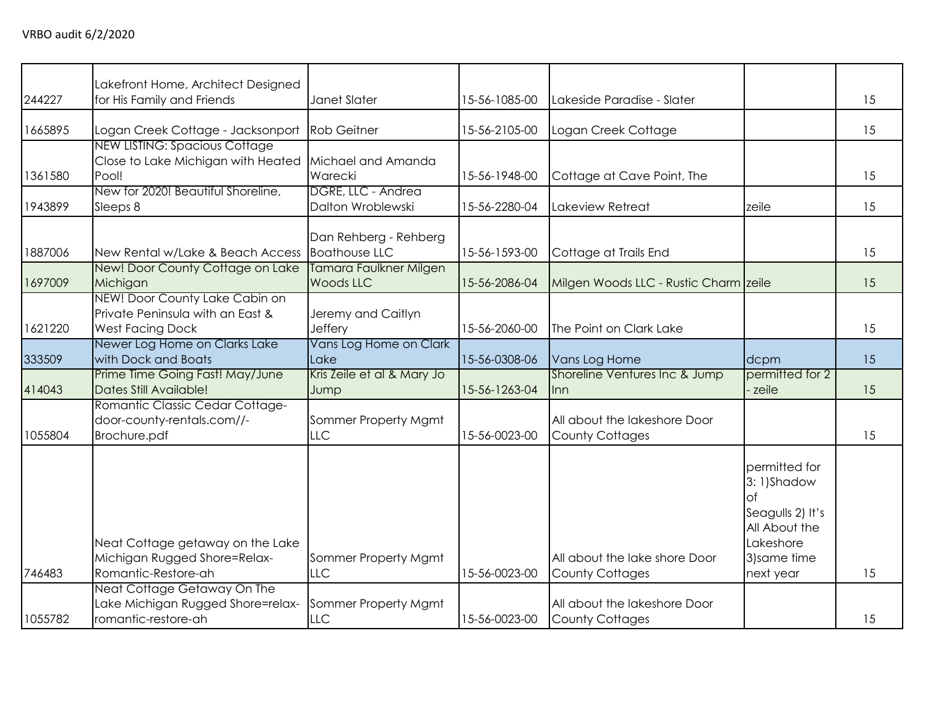| 244227            | Lakefront Home, Architect Designed<br>for His Family and Friends                                                                                                                   | Janet Slater                                                      | 15-56-1085-00                  | Lakeside Paradise - Slater                                                                                        |                                                         | 15       |
|-------------------|------------------------------------------------------------------------------------------------------------------------------------------------------------------------------------|-------------------------------------------------------------------|--------------------------------|-------------------------------------------------------------------------------------------------------------------|---------------------------------------------------------|----------|
|                   |                                                                                                                                                                                    |                                                                   |                                |                                                                                                                   |                                                         |          |
| 1665895           | Logan Creek Cottage - Jacksonport                                                                                                                                                  | <b>Rob Geitner</b>                                                | 15-56-2105-00                  | Logan Creek Cottage                                                                                               |                                                         | 15       |
|                   | <b>NEW LISTING: Spacious Cottage</b>                                                                                                                                               |                                                                   |                                |                                                                                                                   |                                                         |          |
|                   | Close to Lake Michigan with Heated                                                                                                                                                 | Michael and Amanda                                                |                                |                                                                                                                   |                                                         |          |
| 1361580           | Pool!                                                                                                                                                                              | Warecki                                                           | 15-56-1948-00                  | Cottage at Cave Point, The                                                                                        |                                                         | 15       |
|                   | New for 2020! Beautiful Shoreline,                                                                                                                                                 | DGRE, LLC - Andrea<br>Dalton Wroblewski                           | 15-56-2280-04                  | Lakeview Retreat                                                                                                  |                                                         | 15       |
| 1943899           | Sleeps 8                                                                                                                                                                           |                                                                   |                                |                                                                                                                   | zeile                                                   |          |
|                   |                                                                                                                                                                                    | Dan Rehberg - Rehberg                                             |                                |                                                                                                                   |                                                         |          |
| 1887006           | New Rental w/Lake & Beach Access                                                                                                                                                   | <b>Boathouse LLC</b>                                              | 15-56-1593-00                  | Cottage at Trails End                                                                                             |                                                         | 15       |
|                   | New! Door County Cottage on Lake                                                                                                                                                   | Tamara Faulkner Milgen                                            |                                |                                                                                                                   |                                                         |          |
| 1697009           | Michigan                                                                                                                                                                           | <b>Woods LLC</b>                                                  | 15-56-2086-04                  | Milgen Woods LLC - Rustic Charm zeile                                                                             |                                                         | 15       |
|                   | NEW! Door County Lake Cabin on                                                                                                                                                     |                                                                   |                                |                                                                                                                   |                                                         |          |
|                   | Private Peninsula with an East &                                                                                                                                                   | Jeremy and Caitlyn                                                |                                |                                                                                                                   |                                                         |          |
| 1621220           | <b>West Facing Dock</b>                                                                                                                                                            | <b>Jeffery</b>                                                    | 15-56-2060-00                  | The Point on Clark Lake                                                                                           |                                                         | 15       |
| 333509            | Newer Log Home on Clarks Lake<br>with Dock and Boats                                                                                                                               | Vans Log Home on Clark<br>Lake                                    | 15-56-0308-06                  | Vans Log Home                                                                                                     | dcpm                                                    | 15       |
|                   | Prime Time Going Fast! May/June                                                                                                                                                    | Kris Zeile et al & Mary Jo                                        |                                | Shoreline Ventures Inc & Jump                                                                                     | permitted for 2                                         |          |
| 414043            | Dates Still Available!                                                                                                                                                             | Jump                                                              | 15-56-1263-04                  | Inn                                                                                                               | zeile                                                   | 15       |
|                   | Romantic Classic Cedar Cottage-                                                                                                                                                    |                                                                   |                                |                                                                                                                   |                                                         |          |
|                   | door-county-rentals.com//-                                                                                                                                                         | Sommer Property Mgmt                                              |                                | All about the lakeshore Door                                                                                      |                                                         |          |
| 1055804           | Brochure.pdf                                                                                                                                                                       | LLC                                                               | 15-56-0023-00                  | <b>County Cottages</b>                                                                                            |                                                         | 15       |
|                   |                                                                                                                                                                                    |                                                                   |                                |                                                                                                                   | permitted for<br>3:1)Shadow                             |          |
|                   |                                                                                                                                                                                    |                                                                   |                                |                                                                                                                   | Ωf                                                      |          |
|                   |                                                                                                                                                                                    |                                                                   |                                |                                                                                                                   | Seagulls 2) It's                                        |          |
|                   |                                                                                                                                                                                    |                                                                   |                                |                                                                                                                   |                                                         |          |
|                   |                                                                                                                                                                                    |                                                                   |                                |                                                                                                                   |                                                         |          |
|                   |                                                                                                                                                                                    |                                                                   |                                |                                                                                                                   |                                                         |          |
|                   |                                                                                                                                                                                    |                                                                   |                                |                                                                                                                   |                                                         |          |
|                   |                                                                                                                                                                                    |                                                                   |                                |                                                                                                                   |                                                         |          |
|                   |                                                                                                                                                                                    |                                                                   |                                |                                                                                                                   |                                                         |          |
| 746483<br>1055782 | Neat Cottage getaway on the Lake<br>Michigan Rugged Shore=Relax-<br>Romantic-Restore-ah<br>Neat Cottage Getaway On The<br>Lake Michigan Rugged Shore=relax-<br>romantic-restore-ah | Sommer Property Mgmt<br><b>LLC</b><br>Sommer Property Mgmt<br>LLC | 15-56-0023-00<br>15-56-0023-00 | All about the lake shore Door<br><b>County Cottages</b><br>All about the lakeshore Door<br><b>County Cottages</b> | All About the<br>Lakeshore<br>3) same time<br>next year | 15<br>15 |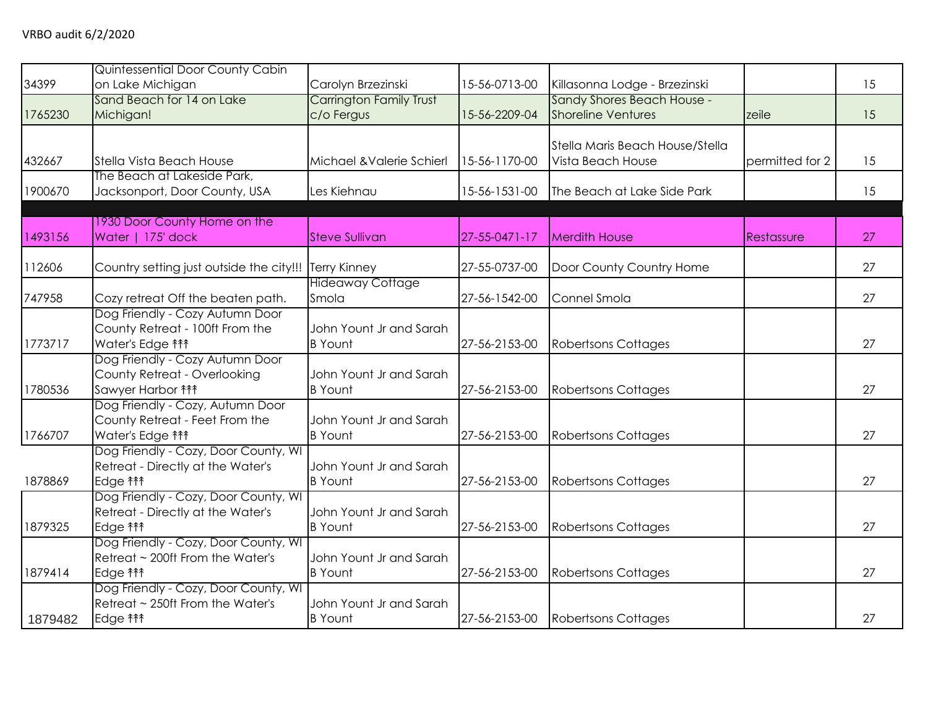| 34399   | Quintessential Door County Cabin<br>on Lake Michigan                                             | Carolyn Brzezinski                           | 15-56-0713-00 | Killasonna Lodge - Brzezinski                           |                 | 15 |
|---------|--------------------------------------------------------------------------------------------------|----------------------------------------------|---------------|---------------------------------------------------------|-----------------|----|
| 1765230 | Sand Beach for 14 on Lake<br>Michigan!                                                           | <b>Carrington Family Trust</b><br>c/o Fergus | 15-56-2209-04 | Sandy Shores Beach House -<br><b>Shoreline Ventures</b> | zeile           | 15 |
| 432667  | Stella Vista Beach House                                                                         | Michael & Valerie Schierl                    | 15-56-1170-00 | Stella Maris Beach House/Stella<br>Vista Beach House    | permitted for 2 | 15 |
| 1900670 | The Beach at Lakeside Park,<br>Jacksonport, Door County, USA                                     | Les Kiehnau                                  | 15-56-1531-00 | The Beach at Lake Side Park                             |                 | 15 |
| 1493156 | 1930 Door County Home on the<br>Water   175' dock                                                | <b>Steve Sullivan</b>                        | 27-55-0471-17 | <b>Merdith House</b>                                    | Restassure      | 27 |
| 112606  | Country setting just outside the city!!!                                                         | <b>Terry Kinney</b>                          | 27-55-0737-00 | Door County Country Home                                |                 | 27 |
| 747958  | Cozy retreat Off the beaten path.                                                                | <b>Hideaway Cottage</b><br>Smola             | 27-56-1542-00 | Connel Smola                                            |                 | 27 |
| 1773717 | Dog Friendly - Cozy Autumn Door<br>County Retreat - 100ft From the<br>Water's Edge <sup>11</sup> | John Yount Jr and Sarah<br><b>B</b> Yount    | 27-56-2153-00 | <b>Robertsons Cottages</b>                              |                 | 27 |
| 1780536 | Dog Friendly - Cozy Autumn Door<br>County Retreat - Overlooking<br>Sawyer Harbor <sup>14</sup>   | John Yount Jr and Sarah<br><b>B</b> Yount    | 27-56-2153-00 | <b>Robertsons Cottages</b>                              |                 | 27 |
| 1766707 | Dog Friendly - Cozy, Autumn Door<br>County Retreat - Feet From the<br>Water's Edge <sup>11</sup> | John Yount Jr and Sarah<br><b>B</b> Yount    | 27-56-2153-00 | <b>Robertsons Cottages</b>                              |                 | 27 |
| 1878869 | Dog Friendly - Cozy, Door County, WI<br>Retreat - Directly at the Water's<br>Edge <b>fff</b>     | John Yount Jr and Sarah<br><b>B</b> Yount    | 27-56-2153-00 | <b>Robertsons Cottages</b>                              |                 | 27 |
| 1879325 | Dog Friendly - Cozy, Door County, WI<br>Retreat - Directly at the Water's<br>Edge <b>fff</b>     | John Yount Jr and Sarah<br><b>B</b> Yount    | 27-56-2153-00 | <b>Robertsons Cottages</b>                              |                 | 27 |
| 1879414 | Dog Friendly - Cozy, Door County, WI<br>Retreat ~ 200ft From the Water's<br>Edge <b>fff</b>      | John Yount Jr and Sarah<br><b>B</b> Yount    | 27-56-2153-00 | <b>Robertsons Cottages</b>                              |                 | 27 |
| 1879482 | Dog Friendly - Cozy, Door County, WI<br>Retreat ~ 250ft From the Water's<br>Edge <b>fff</b>      | John Yount Jr and Sarah<br><b>B</b> Yount    | 27-56-2153-00 | Robertsons Cottages                                     |                 | 27 |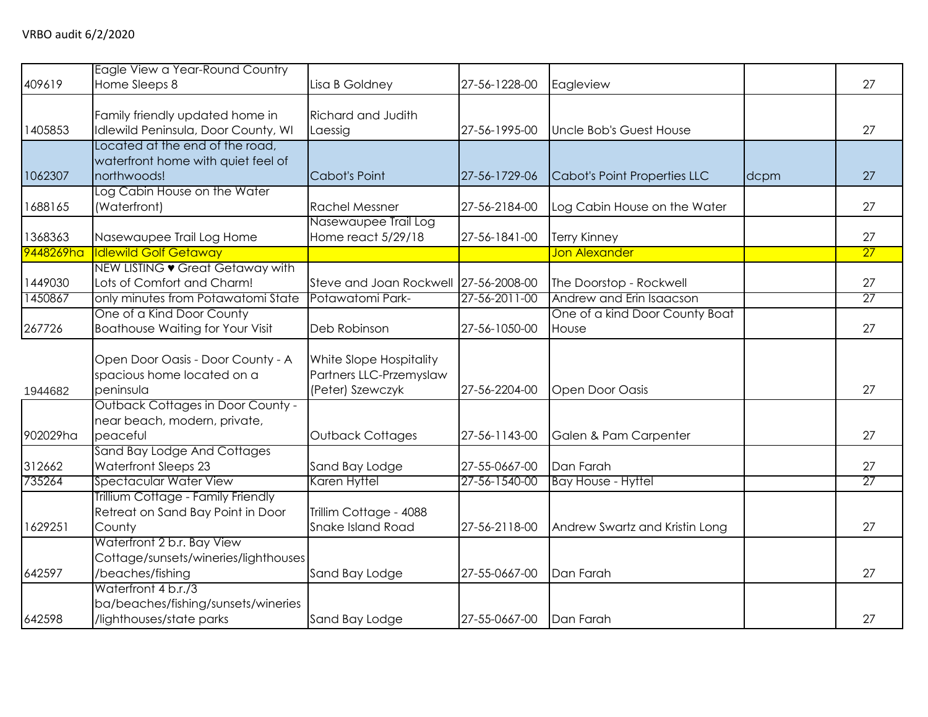| 409619    | Eagle View a Year-Round Country<br>Home Sleeps 8                                       | Lisa B Goldney                                                         | 27-56-1228-00 | Eagleview                      |      | 27 |
|-----------|----------------------------------------------------------------------------------------|------------------------------------------------------------------------|---------------|--------------------------------|------|----|
| 1405853   | Family friendly updated home in<br>Idlewild Peninsula, Door County, WI                 | <b>Richard and Judith</b><br>Laessig                                   | 27-56-1995-00 | Uncle Bob's Guest House        |      | 27 |
| 1062307   | Located at the end of the road,<br>waterfront home with quiet feel of<br>northwoods!   | Cabot's Point                                                          | 27-56-1729-06 | Cabot's Point Properties LLC   | dcpm | 27 |
| 1688165   | Log Cabin House on the Water<br>(Waterfront)                                           | <b>Rachel Messner</b>                                                  | 27-56-2184-00 | Log Cabin House on the Water   |      | 27 |
| 1368363   | Nasewaupee Trail Log Home                                                              | Nasewaupee Trail Log<br>Home react 5/29/18                             | 27-56-1841-00 | <b>Terry Kinney</b>            |      | 27 |
| 9448269ha | <b>Idlewild Golf Getaway</b>                                                           |                                                                        |               | <b>Jon Alexander</b>           |      | 27 |
| 1449030   | NEW LISTING • Great Getaway with<br>Lots of Comfort and Charm!                         | Steve and Joan Rockwell 27-56-2008-00                                  |               | The Doorstop - Rockwell        |      | 27 |
| 1450867   | only minutes from Potawatomi State                                                     | Potawatomi Park-                                                       | 27-56-2011-00 | Andrew and Erin Isaacson       |      | 27 |
|           | One of a Kind Door County                                                              |                                                                        |               | One of a kind Door County Boat |      |    |
| 267726    | <b>Boathouse Waiting for Your Visit</b>                                                | Deb Robinson                                                           | 27-56-1050-00 | House                          |      | 27 |
| 1944682   | Open Door Oasis - Door County - A<br>spacious home located on a<br>peninsula           | White Slope Hospitality<br>Partners LLC-Przemyslaw<br>(Peter) Szewczyk | 27-56-2204-00 | Open Door Oasis                |      | 27 |
| 902029ha  | <b>Outback Cottages in Door County -</b><br>near beach, modern, private,<br>peaceful   | <b>Outback Cottages</b>                                                | 27-56-1143-00 | Galen & Pam Carpenter          |      | 27 |
| 312662    | Sand Bay Lodge And Cottages<br>Waterfront Sleeps 23                                    | Sand Bay Lodge                                                         | 27-55-0667-00 | Dan Farah                      |      | 27 |
| 735264    | Spectacular Water View                                                                 | Karen Hyttel                                                           | 27-56-1540-00 | <b>Bay House - Hyttel</b>      |      | 27 |
| 1629251   | Trillium Cottage - Family Friendly<br>Retreat on Sand Bay Point in Door<br>County      | Trillim Cottage - 4088<br>Snake Island Road                            | 27-56-2118-00 | Andrew Swartz and Kristin Long |      | 27 |
| 642597    | Waterfront 2 b.r. Bay View<br>Cottage/sunsets/wineries/lighthouses<br>/beaches/fishing | Sand Bay Lodge                                                         | 27-55-0667-00 | Dan Farah                      |      | 27 |
| 642598    | Waterfront 4 b.r./3<br>ba/beaches/fishing/sunsets/wineries<br>/lighthouses/state parks | Sand Bay Lodge                                                         | 27-55-0667-00 | Dan Farah                      |      | 27 |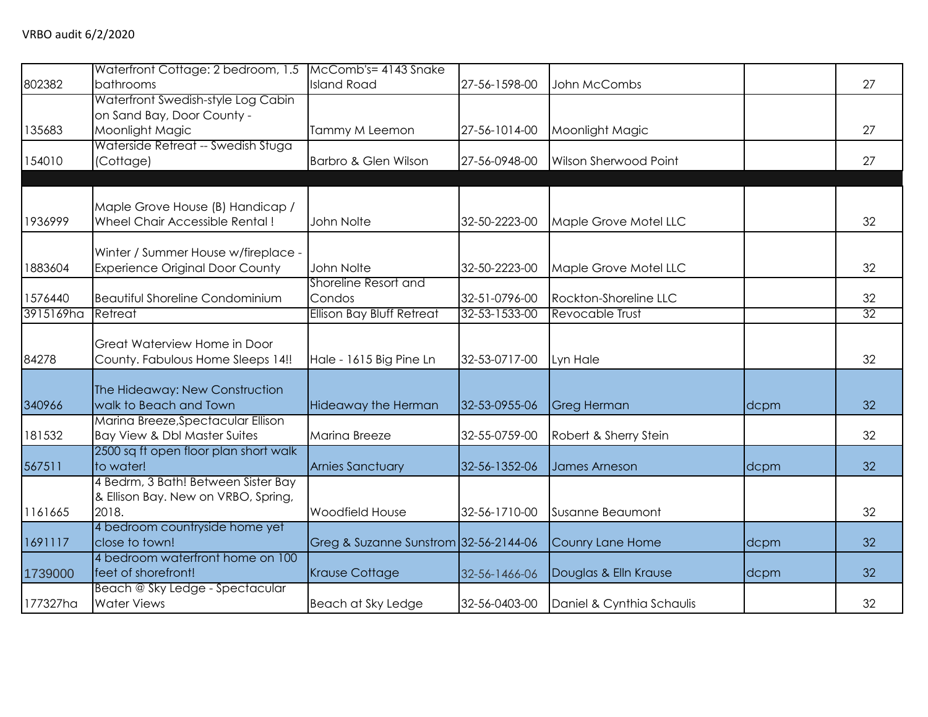|           | Waterfront Cottage: 2 bedroom, 1.5 McComb's= 4143 Snake |                                       |               |                           |      |    |
|-----------|---------------------------------------------------------|---------------------------------------|---------------|---------------------------|------|----|
| 802382    | bathrooms                                               | <b>Island Road</b>                    | 27-56-1598-00 | John McCombs              |      | 27 |
|           | Waterfront Swedish-style Log Cabin                      |                                       |               |                           |      |    |
|           | on Sand Bay, Door County -                              |                                       |               |                           |      |    |
| 135683    | Moonlight Magic                                         | Tammy M Leemon                        | 27-56-1014-00 | Moonlight Magic           |      | 27 |
|           | Waterside Retreat -- Swedish Stuga                      |                                       |               |                           |      |    |
| 154010    | (Cottage)                                               | Barbro & Glen Wilson                  | 27-56-0948-00 | Wilson Sherwood Point     |      | 27 |
|           |                                                         |                                       |               |                           |      |    |
|           |                                                         |                                       |               |                           |      |    |
|           | Maple Grove House (B) Handicap /                        |                                       |               |                           |      |    |
| 1936999   | Wheel Chair Accessible Rental!                          | John Nolte                            | 32-50-2223-00 | Maple Grove Motel LLC     |      | 32 |
|           |                                                         |                                       |               |                           |      |    |
|           | Winter / Summer House w/fireplace -                     |                                       |               |                           |      |    |
| 1883604   | <b>Experience Original Door County</b>                  | John Nolte                            | 32-50-2223-00 | Maple Grove Motel LLC     |      | 32 |
|           |                                                         | Shoreline Resort and                  |               |                           |      |    |
| 1576440   | <b>Beautiful Shoreline Condominium</b>                  | Condos                                | 32-51-0796-00 | Rockton-Shoreline LLC     |      | 32 |
| 3915169ha | Retreat                                                 | <b>Ellison Bay Bluff Retreat</b>      | 32-53-1533-00 | Revocable Trust           |      | 32 |
|           |                                                         |                                       |               |                           |      |    |
|           | Great Waterview Home in Door                            |                                       |               |                           |      |    |
| 84278     | County. Fabulous Home Sleeps 14!!                       | Hale - 1615 Big Pine Ln               | 32-53-0717-00 | Lyn Hale                  |      | 32 |
|           |                                                         |                                       |               |                           |      |    |
|           | The Hideaway: New Construction                          |                                       |               |                           |      |    |
| 340966    | walk to Beach and Town                                  | Hideaway the Herman                   | 32-53-0955-06 | <b>Greg Herman</b>        | dcpm | 32 |
|           | Marina Breeze, Spectacular Ellison                      |                                       |               |                           |      |    |
| 181532    | Bay View & Dbl Master Suites                            | Marina Breeze                         | 32-55-0759-00 | Robert & Sherry Stein     |      | 32 |
|           | 2500 sq ft open floor plan short walk                   |                                       |               |                           |      |    |
| 567511    | to water!                                               | <b>Arnies Sanctuary</b>               | 32-56-1352-06 | <b>James Arneson</b>      | dcpm | 32 |
|           | 4 Bedrm, 3 Bath! Between Sister Bay                     |                                       |               |                           |      |    |
|           | & Ellison Bay. New on VRBO, Spring,                     |                                       |               |                           |      |    |
| 1161665   | 2018.                                                   | Woodfield House                       | 32-56-1710-00 | Susanne Beaumont          |      | 32 |
|           | 4 bedroom countryside home yet                          |                                       |               |                           |      |    |
| 1691117   | close to town!                                          | Greg & Suzanne Sunstrom 32-56-2144-06 |               | Counry Lane Home          | dcpm | 32 |
|           | 4 bedroom waterfront home on 100                        |                                       |               |                           |      |    |
| 1739000   | feet of shorefront!                                     | <b>Krause Cottage</b>                 | 32-56-1466-06 | Douglas & Elln Krause     | dcpm | 32 |
|           | Beach @ Sky Ledge - Spectacular                         |                                       |               |                           |      |    |
| 177327ha  | <b>Water Views</b>                                      | Beach at Sky Ledge                    | 32-56-0403-00 | Daniel & Cynthia Schaulis |      | 32 |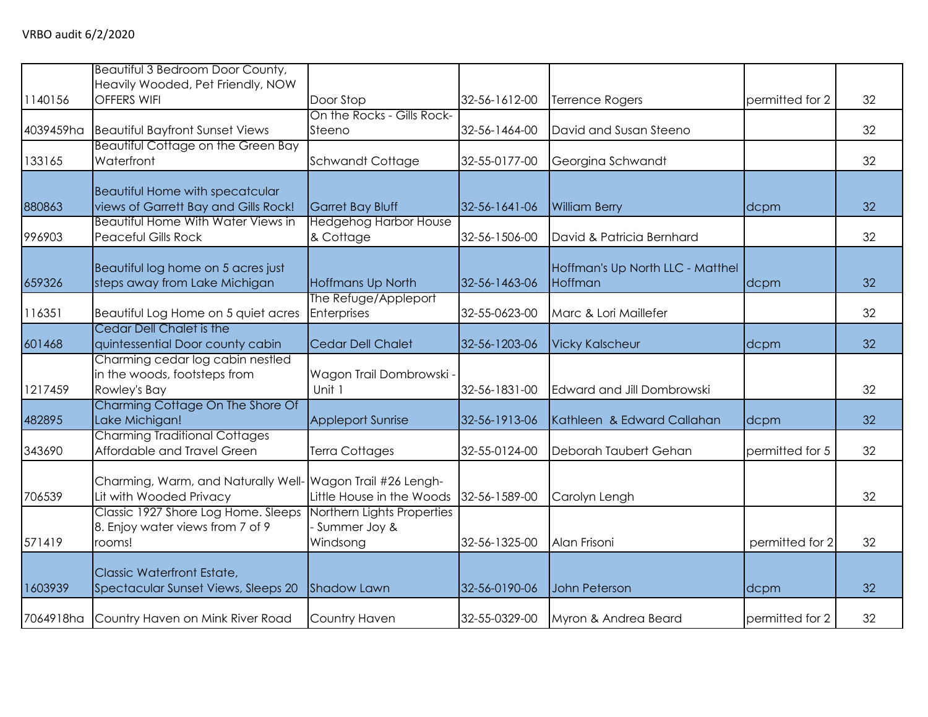|           | Beautiful 3 Bedroom Door County,<br>Heavily Wooded, Pet Friendly, NOW             |                                                        |               |                                             |                 |    |
|-----------|-----------------------------------------------------------------------------------|--------------------------------------------------------|---------------|---------------------------------------------|-----------------|----|
| 1140156   | <b>OFFERS WIFI</b>                                                                | Door Stop                                              | 32-56-1612-00 | Terrence Rogers                             | permitted for 2 | 32 |
| 4039459ha | <b>Beautiful Bayfront Sunset Views</b>                                            | On the Rocks - Gills Rock-<br>Steeno                   | 32-56-1464-00 | David and Susan Steeno                      |                 | 32 |
| 133165    | Beautiful Cottage on the Green Bay<br>Waterfront                                  | Schwandt Cottage                                       | 32-55-0177-00 | Georgina Schwandt                           |                 | 32 |
| 880863    | <b>Beautiful Home with specatcular</b><br>views of Garrett Bay and Gills Rock!    | Garret Bay Bluff                                       | 32-56-1641-06 | <b>William Berry</b>                        | dcpm            | 32 |
| 996903    | <b>Beautiful Home With Water Views in</b><br><b>Peaceful Gills Rock</b>           | <b>Hedgehog Harbor House</b><br>& Cottage              | 32-56-1506-00 | David & Patricia Bernhard                   |                 | 32 |
| 659326    | Beautiful log home on 5 acres just<br>steps away from Lake Michigan               | Hoffmans Up North                                      | 32-56-1463-06 | Hoffman's Up North LLC - Matthel<br>Hoffman | dcpm            | 32 |
| 116351    | Beautiful Log Home on 5 quiet acres                                               | The Refuge/Appleport<br>Enterprises                    | 32-55-0623-00 | Marc & Lori Maillefer                       |                 | 32 |
| 601468    | Cedar Dell Chalet is the<br>quintessential Door county cabin                      | <b>Cedar Dell Chalet</b>                               | 32-56-1203-06 | <b>Vicky Kalscheur</b>                      | dcpm            | 32 |
| 1217459   | Charming cedar log cabin nestled<br>in the woods, footsteps from<br>Rowley's Bay  | Wagon Trail Dombrowski -<br>Unit 1                     | 32-56-1831-00 | <b>Edward and Jill Dombrowski</b>           |                 | 32 |
| 482895    | Charming Cottage On The Shore Of<br>Lake Michigan!                                | <b>Appleport Sunrise</b>                               | 32-56-1913-06 | Kathleen & Edward Callahan                  | dcpm            | 32 |
| 343690    | <b>Charming Traditional Cottages</b><br>Affordable and Travel Green               | <b>Terra Cottages</b>                                  | 32-55-0124-00 | Deborah Taubert Gehan                       | permitted for 5 | 32 |
| 706539    | Charming, Warm, and Naturally Well-<br>Lit with Wooded Privacy                    | Wagon Trail #26 Lengh-<br>Little House in the Woods    | 32-56-1589-00 | Carolyn Lengh                               |                 | 32 |
| 571419    | Classic 1927 Shore Log Home. Sleeps<br>8. Enjoy water views from 7 of 9<br>rooms! | Northern Lights Properties<br>Summer Joy &<br>Windsong | 32-56-1325-00 | Alan Frisoni                                | permitted for 2 | 32 |
| 1603939   | <b>Classic Waterfront Estate,</b><br>Spectacular Sunset Views, Sleeps 20          | <b>Shadow Lawn</b>                                     | 32-56-0190-06 | John Peterson                               | dcpm            | 32 |
| 7064918ha | Country Haven on Mink River Road                                                  | Country Haven                                          | 32-55-0329-00 | Myron & Andrea Beard                        | permitted for 2 | 32 |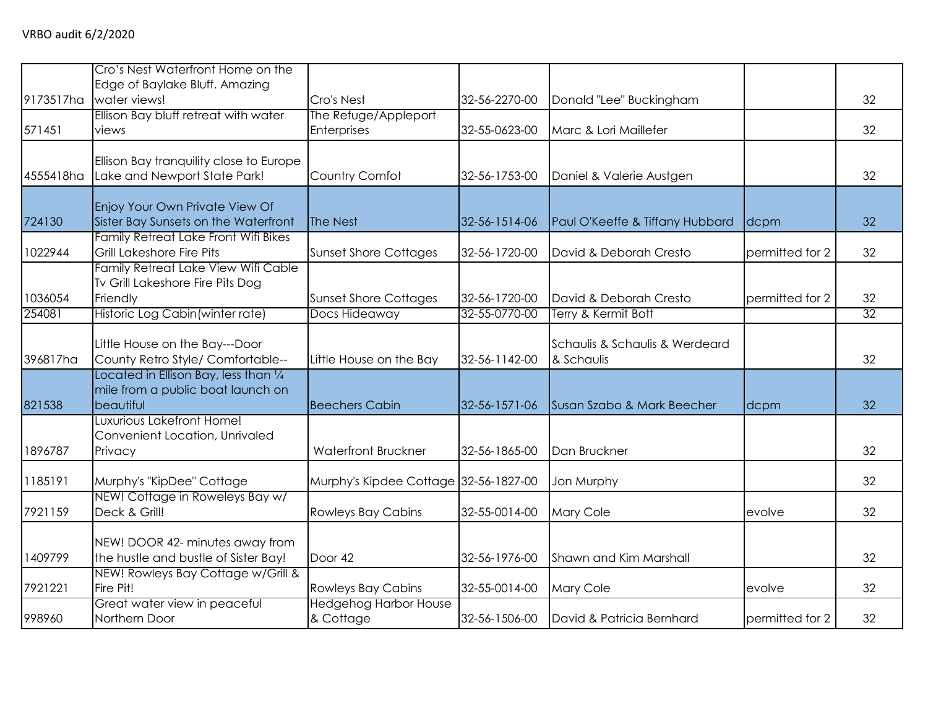|           | Cro's Nest Waterfront Home on the                                      |                                       |               |                                 |                 |    |
|-----------|------------------------------------------------------------------------|---------------------------------------|---------------|---------------------------------|-----------------|----|
| 9173517ha | Edge of Baylake Bluff. Amazing<br>water views!                         | Cro's Nest                            | 32-56-2270-00 | Donald "Lee" Buckingham         |                 | 32 |
|           | Ellison Bay bluff retreat with water                                   | The Refuge/Appleport                  |               |                                 |                 |    |
| 571451    | views                                                                  | Enterprises                           | 32-55-0623-00 | Marc & Lori Maillefer           |                 | 32 |
|           | Ellison Bay tranquility close to Europe                                |                                       |               |                                 |                 |    |
| 4555418ha | Lake and Newport State Park!                                           | Country Comfot                        | 32-56-1753-00 | Daniel & Valerie Austgen        |                 | 32 |
|           |                                                                        |                                       |               |                                 |                 |    |
| 724130    | Enjoy Your Own Private View Of<br>Sister Bay Sunsets on the Waterfront | The Nest                              | 32-56-1514-06 | Paul O'Keeffe & Tiffany Hubbard | dcpm            | 32 |
|           | Family Retreat Lake Front Wifi Bikes                                   |                                       |               |                                 |                 |    |
| 1022944   | Grill Lakeshore Fire Pits                                              | <b>Sunset Shore Cottages</b>          | 32-56-1720-00 | David & Deborah Cresto          | permitted for 2 | 32 |
|           | Family Retreat Lake View Wifi Cable                                    |                                       |               |                                 |                 |    |
|           | Tv Grill Lakeshore Fire Pits Dog                                       |                                       |               |                                 |                 |    |
| 1036054   | Friendly                                                               | <b>Sunset Shore Cottages</b>          | 32-56-1720-00 | David & Deborah Cresto          | permitted for 2 | 32 |
| 254081    | Historic Log Cabin (winter rate)                                       | Docs Hideaway                         | 32-55-0770-00 | Terry & Kermit Bott             |                 | 32 |
|           | Little House on the Bay---Door                                         |                                       |               | Schaulis & Schaulis & Werdeard  |                 |    |
| 396817ha  | County Retro Style/ Comfortable--                                      | Little House on the Bay               | 32-56-1142-00 | & Schaulis                      |                 | 32 |
|           | Located in Ellison Bay, less than $\frac{1}{4}$                        |                                       |               |                                 |                 |    |
|           | mile from a public boat launch on                                      |                                       |               |                                 |                 |    |
| 821538    | beautiful                                                              | <b>Beechers Cabin</b>                 | 32-56-1571-06 | Susan Szabo & Mark Beecher      | dcpm            | 32 |
|           | Luxurious Lakefront Home!                                              |                                       |               |                                 |                 |    |
|           | Convenient Location, Unrivaled                                         |                                       |               |                                 |                 |    |
| 1896787   | Privacy                                                                | Waterfront Bruckner                   | 32-56-1865-00 | Dan Bruckner                    |                 | 32 |
| 1185191   | Murphy's "KipDee" Cottage                                              | Murphy's Kipdee Cottage 32-56-1827-00 |               | Jon Murphy                      |                 | 32 |
|           | NEW! Cottage in Roweleys Bay w/                                        |                                       |               |                                 |                 |    |
| 7921159   | Deck & Grill!                                                          | <b>Rowleys Bay Cabins</b>             | 32-55-0014-00 | Mary Cole                       | evolve          | 32 |
|           | NEW! DOOR 42- minutes away from                                        |                                       |               |                                 |                 |    |
| 1409799   | the hustle and bustle of Sister Bay!                                   | Door 42                               | 32-56-1976-00 | Shawn and Kim Marshall          |                 | 32 |
|           | NEW! Rowleys Bay Cottage w/Grill &                                     |                                       |               |                                 |                 |    |
| 7921221   | Fire Pit!                                                              | <b>Rowleys Bay Cabins</b>             | 32-55-0014-00 | Mary Cole                       | evolve          | 32 |
|           | Great water view in peaceful                                           | <b>Hedgehog Harbor House</b>          |               |                                 |                 |    |
| 998960    | Northern Door                                                          | & Cottage                             | 32-56-1506-00 | David & Patricia Bernhard       | permitted for 2 | 32 |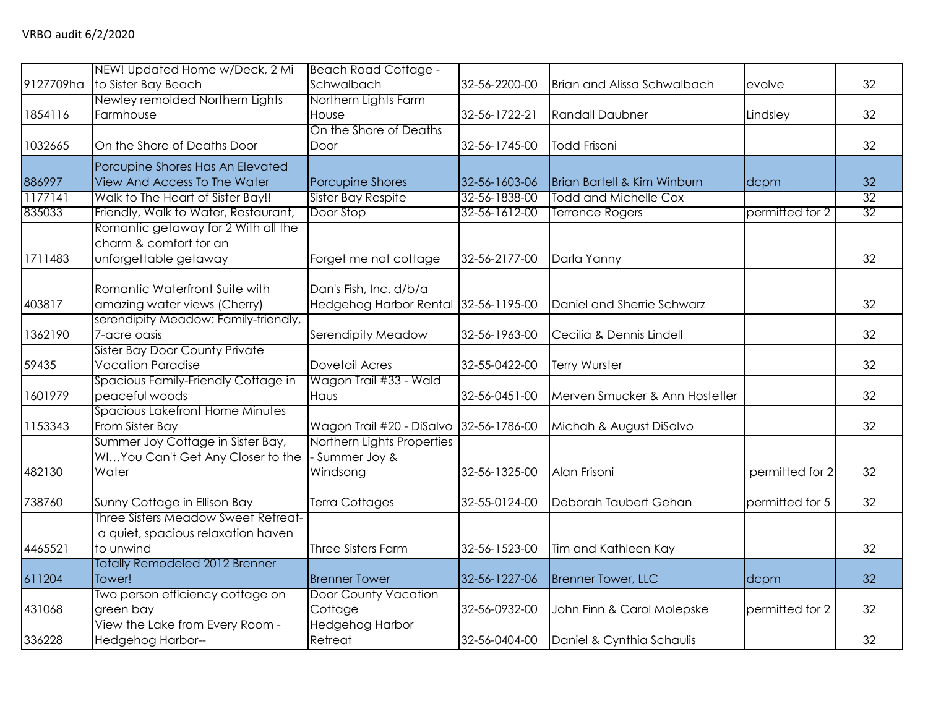| 9127709ha | NEW! Updated Home w/Deck, 2 Mi<br>to Sister Bay Beach                                  | <b>Beach Road Cottage -</b><br>Schwalbach                      | 32-56-2200-00 | <b>Brian and Alissa Schwalbach</b> | evolve          | 32              |
|-----------|----------------------------------------------------------------------------------------|----------------------------------------------------------------|---------------|------------------------------------|-----------------|-----------------|
| 1854116   | Newley remolded Northern Lights<br>Farmhouse                                           | Northern Lights Farm<br>House                                  | 32-56-1722-21 | <b>Randall Daubner</b>             | Lindsley        | 32              |
| 1032665   | On the Shore of Deaths Door                                                            | On the Shore of Deaths<br>Door                                 | 32-56-1745-00 | <b>Todd Frisoni</b>                |                 | 32              |
| 886997    | Porcupine Shores Has An Elevated<br>View And Access To The Water                       | Porcupine Shores                                               | 32-56-1603-06 | Brian Bartell & Kim Winburn        | dcpm            | 32              |
| 1177141   | Walk to The Heart of Sister Bay!!                                                      | Sister Bay Respite                                             | 32-56-1838-00 | <b>Todd and Michelle Cox</b>       |                 | $\overline{32}$ |
| 835033    | Friendly, Walk to Water, Restaurant,                                                   | Door Stop                                                      | 32-56-1612-00 | <b>Terrence Rogers</b>             | permitted for 2 | 32              |
| 1711483   | Romantic getaway for 2 With all the<br>charm & comfort for an<br>unforgettable getaway | Forget me not cottage                                          | 32-56-2177-00 | Darla Yanny                        |                 | 32              |
| 403817    | Romantic Waterfront Suite with<br>amazing water views (Cherry)                         | Dan's Fish, Inc. d/b/a<br>Hedgehog Harbor Rental 32-56-1195-00 |               | Daniel and Sherrie Schwarz         |                 | 32              |
| 1362190   | serendipity Meadow: Family-friendly,<br>7-acre oasis                                   | Serendipity Meadow                                             | 32-56-1963-00 | Cecilia & Dennis Lindell           |                 | 32              |
| 59435     | <b>Sister Bay Door County Private</b><br><b>Vacation Paradise</b>                      | Dovetail Acres                                                 | 32-55-0422-00 | Terry Wurster                      |                 | 32              |
| 1601979   | Spacious Family-Friendly Cottage in<br>peaceful woods                                  | Wagon Trail #33 - Wald<br>Haus                                 | 32-56-0451-00 | Merven Smucker & Ann Hostetler     |                 | 32              |
| 1153343   | Spacious Lakefront Home Minutes<br>From Sister Bay                                     | Wagon Trail #20 - DiSalvo 32-56-1786-00                        |               | Michah & August DiSalvo            |                 | 32              |
| 482130    | Summer Joy Cottage in Sister Bay,<br>WIYou Can't Get Any Closer to the<br>Water        | Northern Lights Properties<br>Summer Joy &<br>Windsong         | 32-56-1325-00 | Alan Frisoni                       | permitted for 2 | 32              |
| 738760    | Sunny Cottage in Ellison Bay                                                           | Terra Cottages                                                 | 32-55-0124-00 | Deborah Taubert Gehan              | permitted for 5 | 32              |
| 4465521   | Three Sisters Meadow Sweet Retreat-<br>a quiet, spacious relaxation haven<br>to unwind | Three Sisters Farm                                             | 32-56-1523-00 | Tim and Kathleen Kay               |                 | 32              |
| 611204    | Totally Remodeled 2012 Brenner<br>Tower!                                               | <b>Brenner Tower</b>                                           | 32-56-1227-06 | <b>Brenner Tower, LLC</b>          | dcpm            | 32              |
| 431068    | Two person efficiency cottage on<br>green bay                                          | <b>Door County Vacation</b><br>Cottage                         | 32-56-0932-00 | John Finn & Carol Molepske         | permitted for 2 | 32              |
| 336228    | View the Lake from Every Room -<br><b>Hedgehog Harbor--</b>                            | Hedgehog Harbor<br>Retreat                                     | 32-56-0404-00 | Daniel & Cynthia Schaulis          |                 | 32              |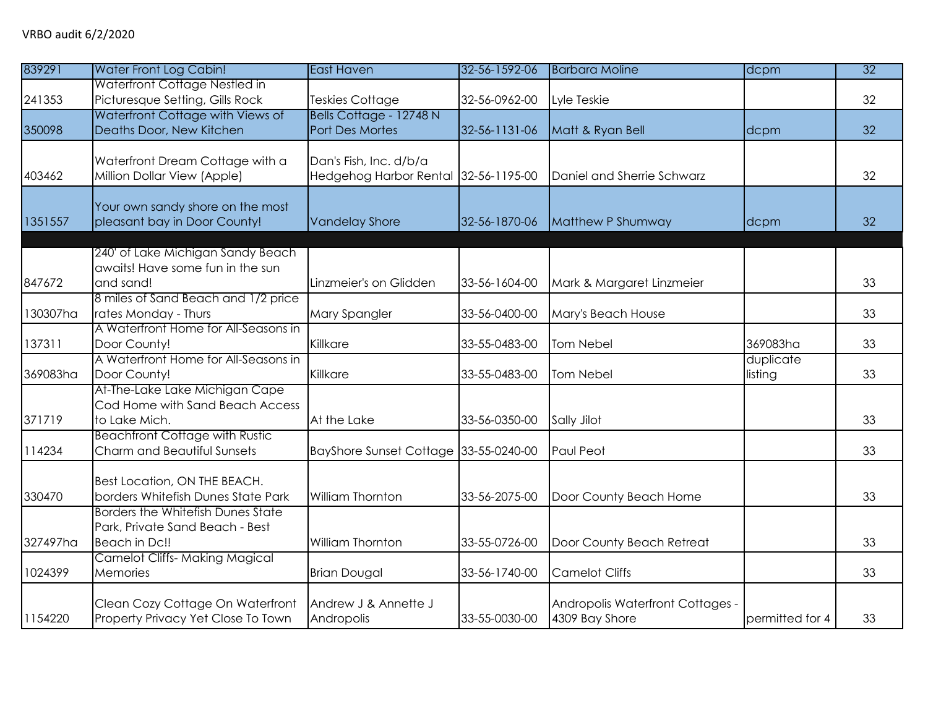| 839291   | <b>Water Front Log Cabin!</b>                                                                | <b>East Haven</b>                                              | 32-56-1592-06 | <b>Barbara Moline</b>                              | dcpm                 | 32 |
|----------|----------------------------------------------------------------------------------------------|----------------------------------------------------------------|---------------|----------------------------------------------------|----------------------|----|
| 241353   | Waterfront Cottage Nestled in<br>Picturesque Setting, Gills Rock                             | <b>Teskies Cottage</b>                                         | 32-56-0962-00 | Lyle Teskie                                        |                      | 32 |
| 350098   | Waterfront Cottage with Views of<br>Deaths Door, New Kitchen                                 | Bells Cottage - 12748 N<br>Port Des Mortes                     | 32-56-1131-06 | Matt & Ryan Bell                                   | dcpm                 | 32 |
| 403462   | Waterfront Dream Cottage with a<br>Million Dollar View (Apple)                               | Dan's Fish, Inc. d/b/a<br>Hedgehog Harbor Rental 32-56-1195-00 |               | Daniel and Sherrie Schwarz                         |                      | 32 |
| 1351557  | Your own sandy shore on the most<br>pleasant bay in Door County!                             | <b>Vandelay Shore</b>                                          | 32-56-1870-06 | Matthew P Shumway                                  | dcpm                 | 32 |
| 847672   | 240' of Lake Michigan Sandy Beach<br>awaits! Have some fun in the sun<br>and sand!           | Linzmeier's on Glidden                                         | 33-56-1604-00 | Mark & Margaret Linzmeier                          |                      | 33 |
| 130307ha | 8 miles of Sand Beach and 1/2 price<br>rates Monday - Thurs                                  | Mary Spangler                                                  | 33-56-0400-00 | Mary's Beach House                                 |                      | 33 |
| 137311   | A Waterfront Home for All-Seasons in<br>Door County!                                         | Killkare                                                       | 33-55-0483-00 | <b>Tom Nebel</b>                                   | 369083ha             | 33 |
| 369083ha | A Waterfront Home for All-Seasons in<br>Door County!                                         | Killkare                                                       | 33-55-0483-00 | <b>Tom Nebel</b>                                   | duplicate<br>listing | 33 |
| 371719   | At-The-Lake Lake Michigan Cape<br>Cod Home with Sand Beach Access<br>to Lake Mich.           | At the Lake                                                    | 33-56-0350-00 | Sally Jilot                                        |                      | 33 |
| 114234   | <b>Beachfront Cottage with Rustic</b><br>Charm and Beautiful Sunsets                         | BayShore Sunset Cottage 33-55-0240-00                          |               | Paul Peot                                          |                      | 33 |
| 330470   | Best Location, ON THE BEACH.<br>borders Whitefish Dunes State Park                           | William Thornton                                               | 33-56-2075-00 | Door County Beach Home                             |                      | 33 |
| 327497ha | <b>Borders the Whitefish Dunes State</b><br>Park, Private Sand Beach - Best<br>Beach in Dc!! | William Thornton                                               | 33-55-0726-00 | Door County Beach Retreat                          |                      | 33 |
| 1024399  | <b>Camelot Cliffs-Making Magical</b><br>Memories                                             | <b>Brian Dougal</b>                                            | 33-56-1740-00 | <b>Camelot Cliffs</b>                              |                      | 33 |
| 1154220  | Clean Cozy Cottage On Waterfront<br>Property Privacy Yet Close To Town                       | Andrew J & Annette J<br>Andropolis                             | 33-55-0030-00 | Andropolis Waterfront Cottages -<br>4309 Bay Shore | permitted for 4      | 33 |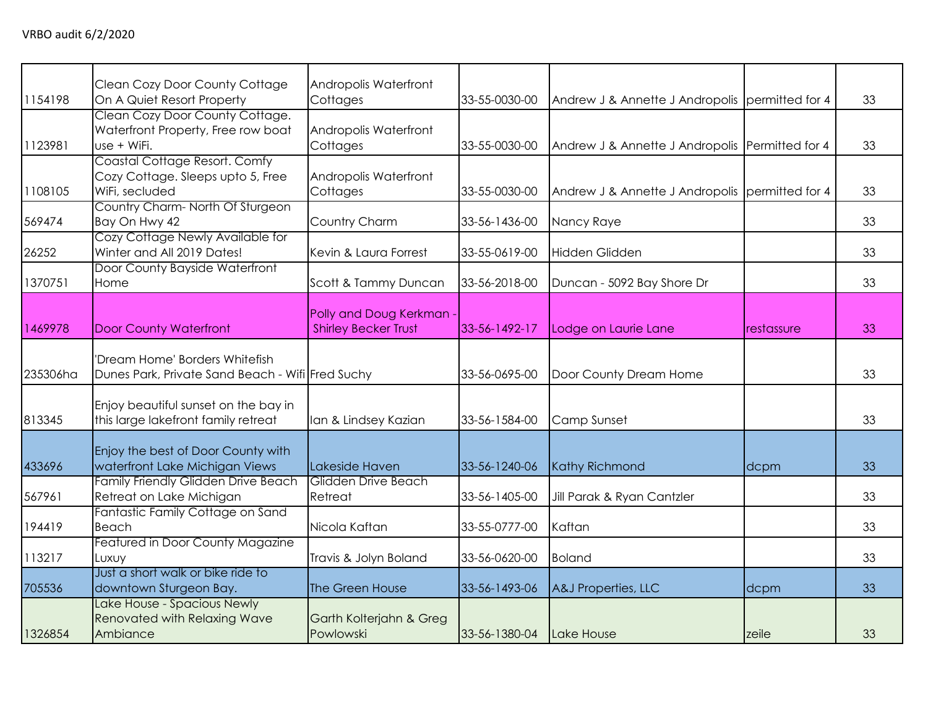| 1154198  | Clean Cozy Door County Cottage<br>On A Quiet Resort Property                         | Andropolis Waterfront<br>Cottages                     | 33-55-0030-00 | Andrew J & Annette J Andropolis permitted for 4 |            | 33 |
|----------|--------------------------------------------------------------------------------------|-------------------------------------------------------|---------------|-------------------------------------------------|------------|----|
| 1123981  | Clean Cozy Door County Cottage.<br>Waterfront Property, Free row boat<br>use + WiFi. | Andropolis Waterfront<br>Cottages                     | 33-55-0030-00 | Andrew J & Annette J Andropolis Permitted for 4 |            | 33 |
| 1108105  | Coastal Cottage Resort. Comfy<br>Cozy Cottage. Sleeps upto 5, Free<br>WiFi, secluded | Andropolis Waterfront<br>Cottages                     | 33-55-0030-00 | Andrew J & Annette J Andropolis permitted for 4 |            | 33 |
| 569474   | Country Charm-North Of Sturgeon<br>Bay On Hwy 42                                     | Country Charm                                         | 33-56-1436-00 | Nancy Raye                                      |            | 33 |
| 26252    | Cozy Cottage Newly Available for<br>Winter and All 2019 Dates!                       | Kevin & Laura Forrest                                 | 33-55-0619-00 | <b>Hidden Glidden</b>                           |            | 33 |
| 1370751  | Door County Bayside Waterfront<br>Home                                               | Scott & Tammy Duncan                                  | 33-56-2018-00 | Duncan - 5092 Bay Shore Dr                      |            | 33 |
| 1469978  | <b>Door County Waterfront</b>                                                        | Polly and Doug Kerkman<br><b>Shirley Becker Trust</b> | 33-56-1492-17 | Lodge on Laurie Lane                            | restassure | 33 |
| 235306ha | 'Dream Home' Borders Whitefish<br>Dunes Park, Private Sand Beach - Wifi Fred Suchy   |                                                       | 33-56-0695-00 | Door County Dream Home                          |            | 33 |
| 813345   | Enjoy beautiful sunset on the bay in<br>this large lakefront family retreat          | Ian & Lindsey Kazian                                  | 33-56-1584-00 | Camp Sunset                                     |            | 33 |
| 433696   | Enjoy the best of Door County with<br>waterfront Lake Michigan Views                 | Lakeside Haven                                        | 33-56-1240-06 | <b>Kathy Richmond</b>                           | dcpm       | 33 |
| 567961   | Family Friendly Glidden Drive Beach<br>Retreat on Lake Michigan                      | Glidden Drive Beach<br>Retreat                        | 33-56-1405-00 | Jill Parak & Ryan Cantzler                      |            | 33 |
| 194419   | Fantastic Family Cottage on Sand<br><b>Beach</b>                                     | Nicola Kaftan                                         | 33-55-0777-00 | Kaftan                                          |            | 33 |
| 113217   | Featured in Door County Magazine<br>Luxuy                                            | Travis & Jolyn Boland                                 | 33-56-0620-00 | <b>Boland</b>                                   |            | 33 |
| 705536   | Just a short walk or bike ride to<br>downtown Sturgeon Bay.                          | The Green House                                       | 33-56-1493-06 | A&J Properties, LLC                             | dcpm       | 33 |
| 1326854  | Lake House - Spacious Newly<br><b>Renovated with Relaxing Wave</b><br>Ambiance       | Garth Kolterjahn & Greg<br>Powlowski                  | 33-56-1380-04 | Lake House                                      | zeile      | 33 |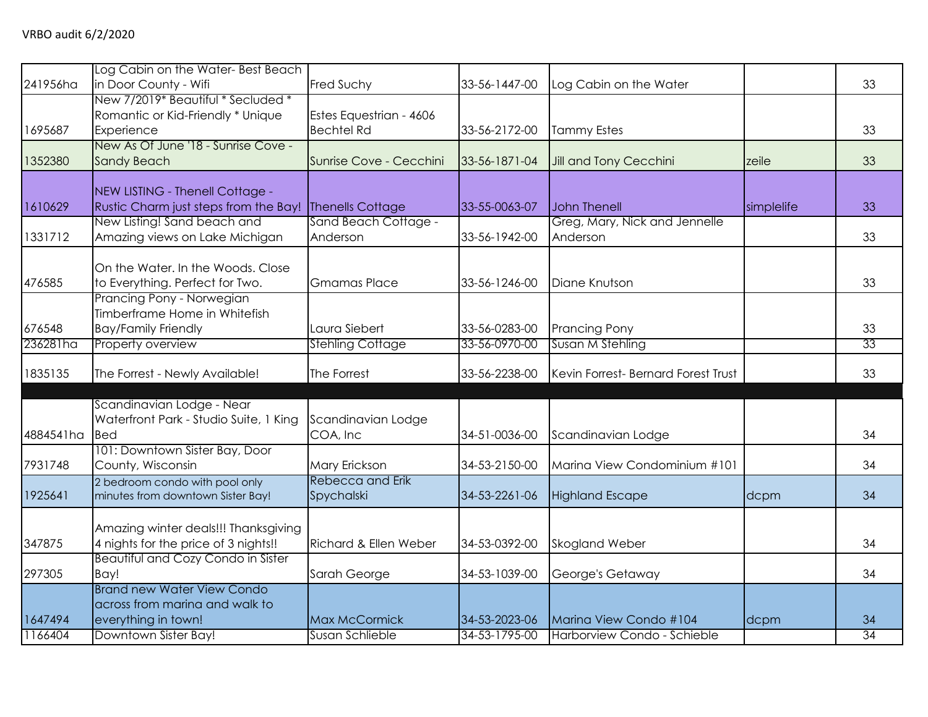| 241956ha  | Log Cabin on the Water-Best Beach<br>in Door County - Wifi                                 | Fred Suchy                                   | 33-56-1447-00 | Log Cabin on the Water                    |            | 33              |
|-----------|--------------------------------------------------------------------------------------------|----------------------------------------------|---------------|-------------------------------------------|------------|-----------------|
| 1695687   | New 7/2019* Beautiful * Secluded *<br>Romantic or Kid-Friendly * Unique<br>Experience      | Estes Equestrian - 4606<br><b>Bechtel Rd</b> | 33-56-2172-00 | <b>Tammy Estes</b>                        |            | 33              |
| 1352380   | New As Of June '18 - Sunrise Cove -<br><b>Sandy Beach</b>                                  | Sunrise Cove - Cecchini                      | 33-56-1871-04 | Jill and Tony Cecchini                    | zeile      | 33              |
| 1610629   | NEW LISTING - Thenell Cottage -<br>Rustic Charm just steps from the Bay!                   | <b>Thenells Cottage</b>                      | 33-55-0063-07 | <b>John Thenell</b>                       | simplelife | 33              |
| 1331712   | New Listing! Sand beach and<br>Amazing views on Lake Michigan                              | Sand Beach Cottage -<br>Anderson             | 33-56-1942-00 | Greg, Mary, Nick and Jennelle<br>Anderson |            | 33              |
| 476585    | On the Water. In the Woods. Close<br>to Everything. Perfect for Two.                       | <b>Gmamas Place</b>                          | 33-56-1246-00 | Diane Knutson                             |            | 33              |
| 676548    | Prancing Pony - Norwegian<br>Timberframe Home in Whitefish<br><b>Bay/Family Friendly</b>   | Laura Siebert                                | 33-56-0283-00 | <b>Prancing Pony</b>                      |            | 33              |
| 236281ha  | Property overview                                                                          | <b>Stehling Cottage</b>                      | 33-56-0970-00 | Susan M Stehling                          |            | 33              |
| 1835135   | The Forrest - Newly Available!                                                             | The Forrest                                  | 33-56-2238-00 | Kevin Forrest- Bernard Forest Trust       |            | 33              |
| 4884541ha | Scandinavian Lodge - Near<br>Waterfront Park - Studio Suite, 1 King<br><b>Bed</b>          | Scandinavian Lodge<br>COA, Inc               | 34-51-0036-00 | Scandinavian Lodge                        |            | 34              |
| 7931748   | 101: Downtown Sister Bay, Door<br>County, Wisconsin                                        | Mary Erickson                                | 34-53-2150-00 | Marina View Condominium #101              |            | 34              |
| 1925641   | 2 bedroom condo with pool only<br>minutes from downtown Sister Bay!                        | Rebecca and Erik<br>Spychalski               | 34-53-2261-06 | <b>Highland Escape</b>                    | dcpm       | 34              |
| 347875    | Amazing winter deals!!! Thanksgiving<br>4 nights for the price of 3 nights!!               | Richard & Ellen Weber                        | 34-53-0392-00 | Skogland Weber                            |            | 34              |
| 297305    | <b>Beautiful and Cozy Condo in Sister</b><br>Bay!                                          | Sarah George                                 | 34-53-1039-00 | George's Getaway                          |            | 34              |
| 1647494   | <b>Brand new Water View Condo</b><br>across from marina and walk to<br>everything in town! | Max McCormick                                | 34-53-2023-06 | Marina View Condo #104                    | dcpm       | 34              |
| 1166404   | Downtown Sister Bay!                                                                       | Susan Schlieble                              | 34-53-1795-00 | Harborview Condo - Schieble               |            | $\overline{34}$ |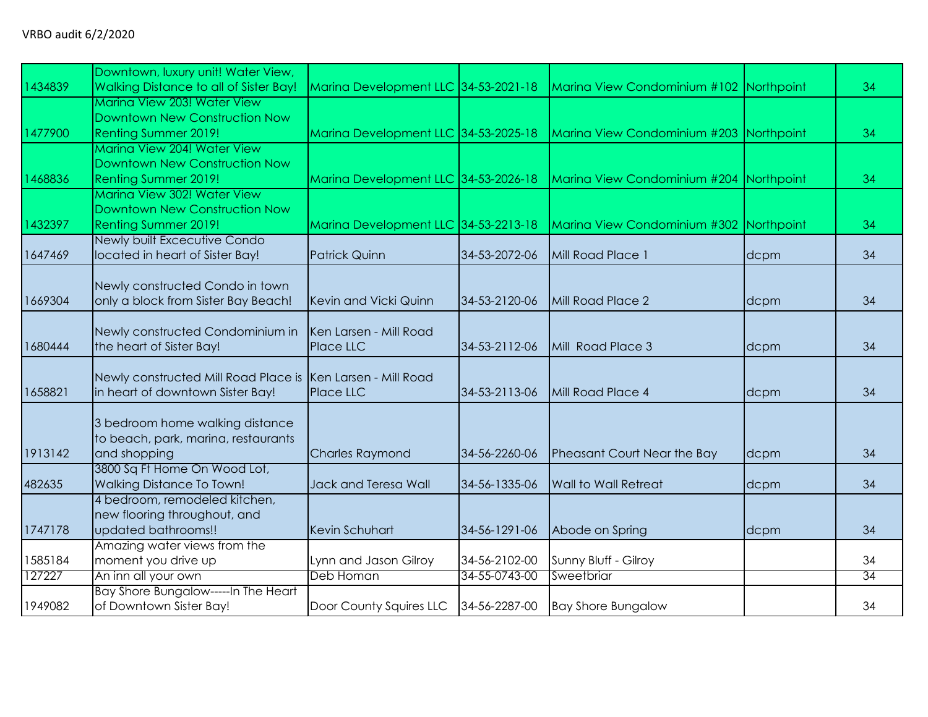|         | Downtown, luxury unit! Water View,                          |                                      |               |                                         |      |    |
|---------|-------------------------------------------------------------|--------------------------------------|---------------|-----------------------------------------|------|----|
| 1434839 | Walking Distance to all of Sister Bay!                      | Marina Development LLC 34-53-2021-18 |               | Marina View Condominium #102 Northpoint |      | 34 |
|         | Marina View 203! Water View                                 |                                      |               |                                         |      |    |
|         | Downtown New Construction Now                               |                                      |               |                                         |      |    |
| 1477900 | <b>Renting Summer 2019!</b>                                 | Marina Development LLC 34-53-2025-18 |               | Marina View Condominium #203 Northpoint |      | 34 |
|         | Marina View 204! Water View                                 |                                      |               |                                         |      |    |
|         | Downtown New Construction Now                               |                                      |               |                                         |      |    |
| 1468836 | Renting Summer 2019!                                        | Marina Development LLC 34-53-2026-18 |               | Marina View Condominium #204 Northpoint |      | 34 |
|         | Marina View 302! Water View                                 |                                      |               |                                         |      |    |
|         | Downtown New Construction Now                               |                                      |               |                                         |      |    |
| 1432397 | <b>Renting Summer 2019!</b>                                 | Marina Development LLC 34-53-2213-18 |               | Marina View Condominium #302 Northpoint |      | 34 |
|         | Newly built Excecutive Condo                                |                                      |               |                                         |      |    |
| 1647469 | located in heart of Sister Bay!                             | <b>Patrick Quinn</b>                 | 34-53-2072-06 | Mill Road Place 1                       | dcpm | 34 |
|         |                                                             |                                      |               |                                         |      |    |
|         | Newly constructed Condo in town                             |                                      |               |                                         |      |    |
| 1669304 | only a block from Sister Bay Beach!                         | Kevin and Vicki Quinn                | 34-53-2120-06 | Mill Road Place 2                       | dcpm | 34 |
|         |                                                             |                                      |               |                                         |      |    |
|         | Newly constructed Condominium in                            | Ken Larsen - Mill Road               |               |                                         |      |    |
| 1680444 | the heart of Sister Bay!                                    | Place LLC                            | 34-53-2112-06 | Mill Road Place 3                       | dcpm | 34 |
|         |                                                             |                                      |               |                                         |      |    |
|         | Newly constructed Mill Road Place is Ken Larsen - Mill Road |                                      |               |                                         |      |    |
| 1658821 | in heart of downtown Sister Bay!                            | Place LLC                            | 34-53-2113-06 | Mill Road Place 4                       | dcpm | 34 |
|         |                                                             |                                      |               |                                         |      |    |
|         | 3 bedroom home walking distance                             |                                      |               |                                         |      |    |
|         | to beach, park, marina, restaurants                         |                                      |               |                                         |      |    |
| 1913142 | and shopping                                                | <b>Charles Raymond</b>               | 34-56-2260-06 | Pheasant Court Near the Bay             | dcpm | 34 |
|         | 3800 Sq Ft Home On Wood Lot,                                |                                      |               |                                         |      |    |
| 482635  | <b>Walking Distance To Town!</b>                            | Jack and Teresa Wall                 | 34-56-1335-06 | <b>Wall to Wall Retreat</b>             | dcpm | 34 |
|         | 4 bedroom, remodeled kitchen,                               |                                      |               |                                         |      |    |
|         | new flooring throughout, and                                |                                      |               |                                         |      |    |
| 1747178 | updated bathrooms!!                                         | <b>Kevin Schuhart</b>                | 34-56-1291-06 | Abode on Spring                         | dcpm | 34 |
|         | Amazing water views from the                                |                                      |               |                                         |      |    |
| 1585184 | moment you drive up                                         | Lynn and Jason Gilroy                | 34-56-2102-00 | Sunny Bluff - Gilroy                    |      | 34 |
| 127227  | An inn all your own                                         | Deb Homan                            | 34-55-0743-00 | Sweetbriar                              |      | 34 |
|         | Bay Shore Bungalow-----In The Heart                         |                                      |               |                                         |      |    |
| 1949082 | of Downtown Sister Bay!                                     | Door County Squires LLC              | 34-56-2287-00 | <b>Bay Shore Bungalow</b>               |      | 34 |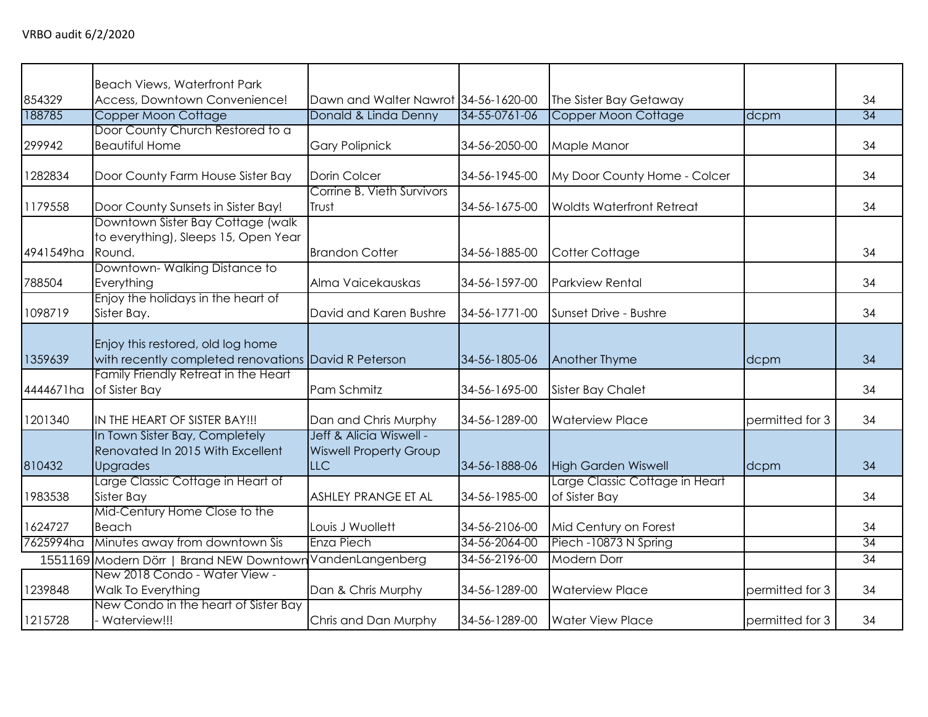|           | <b>Beach Views, Waterfront Park</b>                                                       |                                                                        |               |                                                 |                 |                 |
|-----------|-------------------------------------------------------------------------------------------|------------------------------------------------------------------------|---------------|-------------------------------------------------|-----------------|-----------------|
| 854329    | Access, Downtown Convenience!                                                             | Dawn and Walter Nawrot 34-56-1620-00                                   |               | The Sister Bay Getaway                          |                 | 34              |
| 188785    | Copper Moon Cottage                                                                       | Donald & Linda Denny                                                   | 34-55-0761-06 | Copper Moon Cottage                             | dcpm            | 34              |
| 299942    | Door County Church Restored to a<br><b>Beautiful Home</b>                                 | <b>Gary Polipnick</b>                                                  | 34-56-2050-00 | Maple Manor                                     |                 | 34              |
| 1282834   | Door County Farm House Sister Bay                                                         | Dorin Colcer                                                           | 34-56-1945-00 | My Door County Home - Colcer                    |                 | 34              |
| 1179558   | Door County Sunsets in Sister Bay!                                                        | Corrine B. Vieth Survivors<br>Trust                                    | 34-56-1675-00 | <b>Woldts Waterfront Retreat</b>                |                 | 34              |
| 4941549ha | Downtown Sister Bay Cottage (walk<br>to everything), Sleeps 15, Open Year<br>Round.       | <b>Brandon Cotter</b>                                                  | 34-56-1885-00 | Cotter Cottage                                  |                 | 34              |
| 788504    | Downtown-Walking Distance to<br>Everything                                                | Alma Vaicekauskas                                                      | 34-56-1597-00 | <b>Parkview Rental</b>                          |                 | 34              |
| 1098719   | Enjoy the holidays in the heart of<br>Sister Bay.                                         | David and Karen Bushre                                                 | 34-56-1771-00 | Sunset Drive - Bushre                           |                 | 34              |
| 1359639   | Enjoy this restored, old log home<br>with recently completed renovations David R Peterson |                                                                        | 34-56-1805-06 | Another Thyme                                   | dcpm            | 34              |
| 4444671ha | Family Friendly Retreat in the Heart<br>of Sister Bay                                     | Pam Schmitz                                                            | 34-56-1695-00 | Sister Bay Chalet                               |                 | 34              |
| 1201340   | IN THE HEART OF SISTER BAY!!!                                                             | Dan and Chris Murphy                                                   | 34-56-1289-00 | <b>Waterview Place</b>                          | permitted for 3 | 34              |
| 810432    | In Town Sister Bay, Completely<br>Renovated In 2015 With Excellent<br><b>Upgrades</b>     | Jeff & Alicia Wiswell -<br><b>Wiswell Property Group</b><br><b>LLC</b> | 34-56-1888-06 | <b>High Garden Wiswell</b>                      | dcpm            | 34              |
| 1983538   | Large Classic Cottage in Heart of<br>Sister Bay                                           | ASHLEY PRANGE ET AL                                                    | 34-56-1985-00 | Large Classic Cottage in Heart<br>of Sister Bay |                 | 34              |
| 1624727   | Mid-Century Home Close to the<br>Beach                                                    | Louis J Wuollett                                                       | 34-56-2106-00 | Mid Century on Forest                           |                 | 34              |
| 7625994ha | Minutes away from downtown Sis                                                            | Enza Piech                                                             | 34-56-2064-00 | Piech - 10873 N Spring                          |                 | 34              |
|           | 1551169 Modern Dörr   Brand NEW Downtown                                                  | VandenLangenberg                                                       | 34-56-2196-00 | Modern Dorr                                     |                 | $\overline{34}$ |
| 1239848   | New 2018 Condo - Water View -<br>Walk To Everything                                       | Dan & Chris Murphy                                                     | 34-56-1289-00 | <b>Waterview Place</b>                          | permitted for 3 | 34              |
| 1215728   | New Condo in the heart of Sister Bay<br>Waterview!!!                                      | Chris and Dan Murphy                                                   | 34-56-1289-00 | <b>Water View Place</b>                         | permitted for 3 | 34              |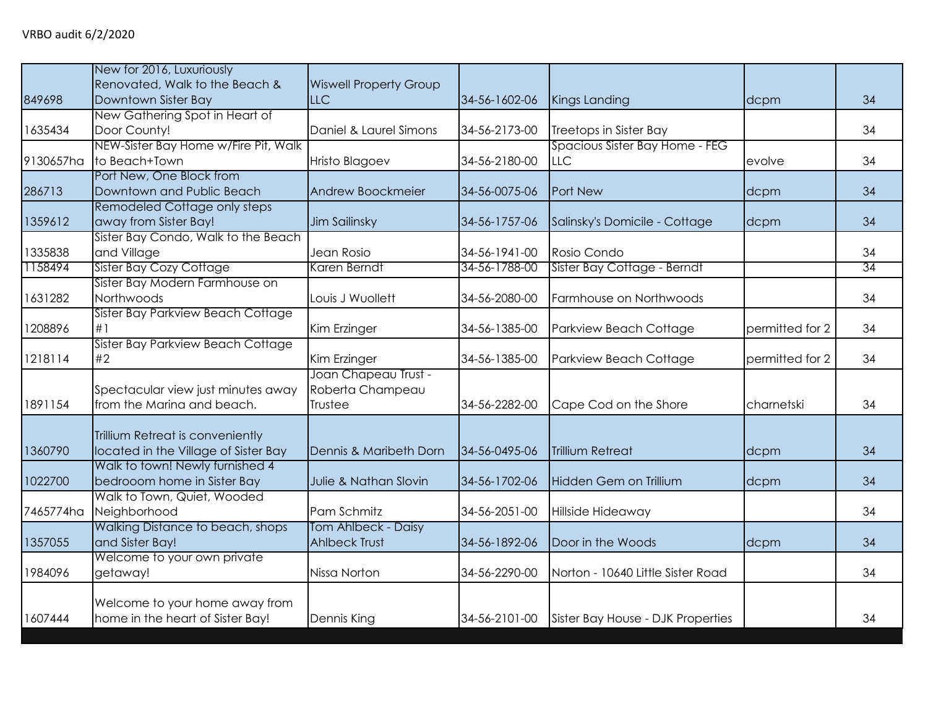|                    | New for 2016, Luxuriously                             |                                             |                                |                                            |                 |          |
|--------------------|-------------------------------------------------------|---------------------------------------------|--------------------------------|--------------------------------------------|-----------------|----------|
| 849698             | Renovated, Walk to the Beach &<br>Downtown Sister Bay | <b>Wiswell Property Group</b><br><b>LLC</b> | 34-56-1602-06                  |                                            |                 | 34       |
|                    | New Gathering Spot in Heart of                        |                                             |                                | Kings Landing                              | dcpm            |          |
| 1635434            | Door County!                                          | Daniel & Laurel Simons                      | 34-56-2173-00                  | Treetops in Sister Bay                     |                 | 34       |
|                    | NEW-Sister Bay Home w/Fire Pit, Walk                  |                                             |                                | Spacious Sister Bay Home - FEG             |                 |          |
| 9130657ha          | to Beach+Town                                         | <b>Hristo Blagoev</b>                       | 34-56-2180-00                  | <b>LLC</b>                                 | evolve          | 34       |
|                    | Port New, One Block from                              |                                             |                                |                                            |                 |          |
| 286713             | Downtown and Public Beach                             | Andrew Boockmeier                           | 34-56-0075-06                  | Port New                                   | dcpm            | 34       |
|                    | Remodeled Cottage only steps                          |                                             |                                |                                            |                 |          |
| 1359612            | away from Sister Bay!                                 | Jim Sailinsky                               | 34-56-1757-06                  | Salinsky's Domicile - Cottage              | dcpm            | 34       |
|                    | Sister Bay Condo, Walk to the Beach                   |                                             |                                |                                            |                 |          |
| 1335838<br>1158494 | and Village<br>Sister Bay Cozy Cottage                | Jean Rosio<br>Karen Berndt                  | 34-56-1941-00<br>34-56-1788-00 | Rosio Condo<br>Sister Bay Cottage - Berndt |                 | 34<br>34 |
|                    | Sister Bay Modern Farmhouse on                        |                                             |                                |                                            |                 |          |
| 1631282            | Northwoods                                            | Louis J Wuollett                            | 34-56-2080-00                  | Farmhouse on Northwoods                    |                 | 34       |
|                    | Sister Bay Parkview Beach Cottage                     |                                             |                                |                                            |                 |          |
| 1208896            | #1                                                    | Kim Erzinger                                | 34-56-1385-00                  | Parkview Beach Cottage                     | permitted for 2 | 34       |
|                    | Sister Bay Parkview Beach Cottage                     |                                             |                                |                                            |                 |          |
| 1218114            | #2                                                    | Kim Erzinger                                | 34-56-1385-00                  | Parkview Beach Cottage                     | permitted for 2 | 34       |
|                    |                                                       | Joan Chapeau Trust -                        |                                |                                            |                 |          |
|                    | Spectacular view just minutes away                    | Roberta Champeau                            |                                |                                            |                 |          |
| 1891154            | from the Marina and beach.                            | Trustee                                     | 34-56-2282-00                  | Cape Cod on the Shore                      | charnetski      | 34       |
|                    | Trillium Retreat is conveniently                      |                                             |                                |                                            |                 |          |
| 1360790            | located in the Village of Sister Bay                  | Dennis & Maribeth Dorn                      | 34-56-0495-06                  | <b>Trillium Retreat</b>                    | dcpm            | 34       |
|                    | Walk to town! Newly furnished 4                       |                                             |                                |                                            |                 |          |
| 1022700            | bedrooom home in Sister Bay                           | Julie & Nathan Slovin                       | 34-56-1702-06                  | Hidden Gem on Trillium                     | dcpm            | 34       |
|                    | Walk to Town, Quiet, Wooded                           |                                             |                                |                                            |                 |          |
| 7465774ha          | Neighborhood                                          | Pam Schmitz                                 | 34-56-2051-00                  | Hillside Hideaway                          |                 | 34       |
|                    | Walking Distance to beach, shops                      | Tom Ahlbeck - Daisy                         |                                |                                            |                 |          |
| 1357055            | and Sister Bay!                                       | <b>Ahlbeck Trust</b>                        | 34-56-1892-06                  | Door in the Woods                          | dcpm            | 34       |
|                    | Welcome to your own private                           |                                             |                                |                                            |                 |          |
| 1984096            | getaway!                                              | Nissa Norton                                | 34-56-2290-00                  | Norton - 10640 Little Sister Road          |                 | 34       |
|                    | Welcome to your home away from                        |                                             |                                |                                            |                 |          |
| 1607444            | home in the heart of Sister Bay!                      | Dennis King                                 | 34-56-2101-00                  | Sister Bay House - DJK Properties          |                 | 34       |
|                    |                                                       |                                             |                                |                                            |                 |          |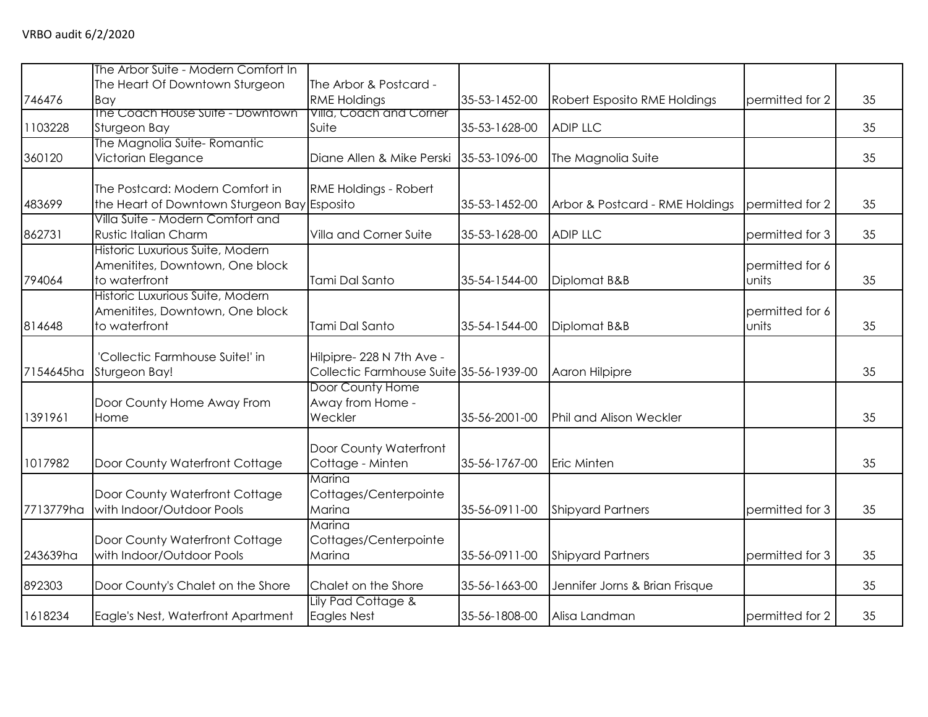|           | The Arbor Suite - Modern Comfort In         |                                                             |               |                                 |                 |    |
|-----------|---------------------------------------------|-------------------------------------------------------------|---------------|---------------------------------|-----------------|----|
|           | The Heart Of Downtown Sturgeon              | The Arbor & Postcard -                                      |               |                                 |                 |    |
| 746476    | Bay                                         | <b>RME Holdings</b>                                         | 35-53-1452-00 | Robert Esposito RME Holdings    | permitted for 2 | 35 |
|           | The Coach House Suite - Downtown            | Villa, Coach and Corner                                     |               |                                 |                 |    |
| 1103228   | Sturgeon Bay                                | Suite                                                       | 35-53-1628-00 | <b>ADIP LLC</b>                 |                 | 35 |
|           | The Magnolia Suite-Romantic                 |                                                             |               |                                 |                 |    |
| 360120    | Victorian Elegance                          | Diane Allen & Mike Perski                                   | 35-53-1096-00 | The Magnolia Suite              |                 | 35 |
|           | The Postcard: Modern Comfort in             | RME Holdings - Robert                                       |               |                                 |                 |    |
| 483699    | the Heart of Downtown Sturgeon Bay Esposito |                                                             | 35-53-1452-00 | Arbor & Postcard - RME Holdings | permitted for 2 | 35 |
|           | Villa Suite - Modern Comfort and            |                                                             |               |                                 |                 |    |
| 862731    | <b>Rustic Italian Charm</b>                 | Villa and Corner Suite                                      | 35-53-1628-00 | <b>ADIP LLC</b>                 | permitted for 3 | 35 |
|           | Historic Luxurious Suite, Modern            |                                                             |               |                                 |                 |    |
|           | Amenitites, Downtown, One block             |                                                             |               |                                 | permitted for 6 |    |
| 794064    | to waterfront                               | Tami Dal Santo                                              | 35-54-1544-00 | Diplomat B&B                    | units           | 35 |
|           | Historic Luxurious Suite, Modern            |                                                             |               |                                 |                 |    |
|           | Amenitites, Downtown, One block             |                                                             |               |                                 | permitted for 6 |    |
| 814648    | to waterfront                               | Tami Dal Santo                                              | 35-54-1544-00 | Diplomat B&B                    | units           | 35 |
|           |                                             |                                                             |               |                                 |                 |    |
|           | 'Collectic Farmhouse Suite!' in             | Hilpipre- 228 N 7th Ave -                                   |               |                                 |                 |    |
| 7154645ha | Sturgeon Bay!                               | Collectic Farmhouse Suite 35-56-1939-00<br>Door County Home |               | Aaron Hilpipre                  |                 | 35 |
|           | Door County Home Away From                  | Away from Home -                                            |               |                                 |                 |    |
| 1391961   | Home                                        | Weckler                                                     | 35-56-2001-00 | <b>Phil and Alison Weckler</b>  |                 | 35 |
|           |                                             |                                                             |               |                                 |                 |    |
|           |                                             | Door County Waterfront                                      |               |                                 |                 |    |
| 1017982   | Door County Waterfront Cottage              | Cottage - Minten                                            | 35-56-1767-00 | Eric Minten                     |                 | 35 |
|           |                                             | Marina                                                      |               |                                 |                 |    |
|           | Door County Waterfront Cottage              | Cottages/Centerpointe                                       |               |                                 |                 |    |
| 7713779ha | with Indoor/Outdoor Pools                   | Marina                                                      | 35-56-0911-00 | <b>Shipyard Partners</b>        | permitted for 3 | 35 |
|           |                                             | Marina                                                      |               |                                 |                 |    |
|           | Door County Waterfront Cottage              | Cottages/Centerpointe                                       |               |                                 |                 |    |
| 243639ha  | with Indoor/Outdoor Pools                   | Marina                                                      | 35-56-0911-00 | <b>Shipyard Partners</b>        | permitted for 3 | 35 |
|           |                                             |                                                             |               |                                 |                 |    |
| 892303    | Door County's Chalet on the Shore           | Chalet on the Shore                                         | 35-56-1663-00 | Jennifer Jorns & Brian Frisque  |                 | 35 |
| 1618234   | Eagle's Nest, Waterfront Apartment          | Lily Pad Cottage &<br>Eagles Nest                           | 35-56-1808-00 | Alisa Landman                   | permitted for 2 | 35 |
|           |                                             |                                                             |               |                                 |                 |    |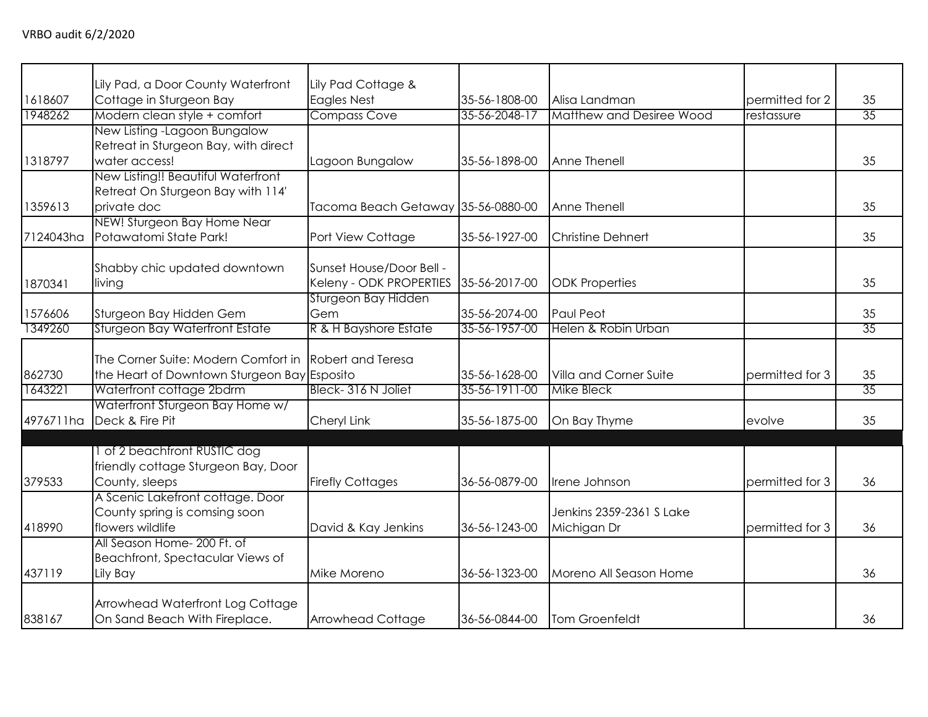|           | Lily Pad, a Door County Waterfront          | Lily Pad Cottage &                 |               |                                 |                 |    |
|-----------|---------------------------------------------|------------------------------------|---------------|---------------------------------|-----------------|----|
| 1618607   | Cottage in Sturgeon Bay                     | <b>Eagles Nest</b>                 | 35-56-1808-00 | Alisa Landman                   | permitted for 2 | 35 |
| 1948262   | Modern clean style + comfort                | <b>Compass Cove</b>                | 35-56-2048-17 | <b>Matthew and Desiree Wood</b> | restassure      | 35 |
|           | New Listing - Lagoon Bungalow               |                                    |               |                                 |                 |    |
|           | Retreat in Sturgeon Bay, with direct        |                                    |               |                                 |                 |    |
| 1318797   | water access!                               | Lagoon Bungalow                    | 35-56-1898-00 | Anne Thenell                    |                 | 35 |
|           | New Listing!! Beautiful Waterfront          |                                    |               |                                 |                 |    |
|           | Retreat On Sturgeon Bay with 114'           |                                    |               |                                 |                 |    |
| 1359613   | private doc                                 | Tacoma Beach Getaway 35-56-0880-00 |               | Anne Thenell                    |                 | 35 |
|           | NEW! Sturgeon Bay Home Near                 |                                    |               |                                 |                 |    |
| 7124043ha | Potawatomi State Park!                      | Port View Cottage                  | 35-56-1927-00 | <b>Christine Dehnert</b>        |                 | 35 |
|           |                                             |                                    |               |                                 |                 |    |
|           | Shabby chic updated downtown                | Sunset House/Door Bell -           |               |                                 |                 |    |
| 1870341   | living                                      | Keleny - ODK PROPERTIES            | 35-56-2017-00 | <b>ODK Properties</b>           |                 | 35 |
| 1576606   | Sturgeon Bay Hidden Gem                     | Sturgeon Bay Hidden<br>Gem         | 35-56-2074-00 | Paul Peot                       |                 | 35 |
| 1349260   | <b>Sturgeon Bay Waterfront Estate</b>       | R & H Bayshore Estate              | 35-56-1957-00 | Helen & Robin Urban             |                 | 35 |
|           |                                             |                                    |               |                                 |                 |    |
|           | The Corner Suite: Modern Comfort in         | <b>Robert and Teresa</b>           |               |                                 |                 |    |
| 862730    | the Heart of Downtown Sturgeon Bay Esposito |                                    | 35-56-1628-00 | Villa and Corner Suite          | permitted for 3 | 35 |
| 1643221   | Waterfront cottage 2bdrm                    | Bleck-316 N Joliet                 | 35-56-1911-00 | <b>Mike Bleck</b>               |                 | 35 |
|           | Waterfront Sturgeon Bay Home w/             |                                    |               |                                 |                 |    |
| 4976711ha | Deck & Fire Pit                             | Cheryl Link                        | 35-56-1875-00 | On Bay Thyme                    | evolve          | 35 |
|           |                                             |                                    |               |                                 |                 |    |
|           | 1 of 2 beachfront RUSTIC dog                |                                    |               |                                 |                 |    |
|           | friendly cottage Sturgeon Bay, Door         |                                    |               |                                 |                 |    |
| 379533    | County, sleeps                              | <b>Firefly Cottages</b>            | 36-56-0879-00 | Irene Johnson                   | permitted for 3 | 36 |
|           | A Scenic Lakefront cottage. Door            |                                    |               |                                 |                 |    |
|           | County spring is comsing soon               |                                    |               | Jenkins 2359-2361 S Lake        |                 |    |
| 418990    | flowers wildlife                            | David & Kay Jenkins                | 36-56-1243-00 | Michigan Dr                     | permitted for 3 | 36 |
|           | All Season Home- 200 Ft. of                 |                                    |               |                                 |                 |    |
|           | Beachfront, Spectacular Views of            |                                    |               |                                 |                 |    |
| 437119    | Lily Bay                                    | Mike Moreno                        | 36-56-1323-00 | Moreno All Season Home          |                 | 36 |
|           |                                             |                                    |               |                                 |                 |    |
|           | Arrowhead Waterfront Log Cottage            |                                    |               |                                 |                 |    |
| 838167    | On Sand Beach With Fireplace.               | <b>Arrowhead Cottage</b>           | 36-56-0844-00 | Tom Groenfeldt                  |                 | 36 |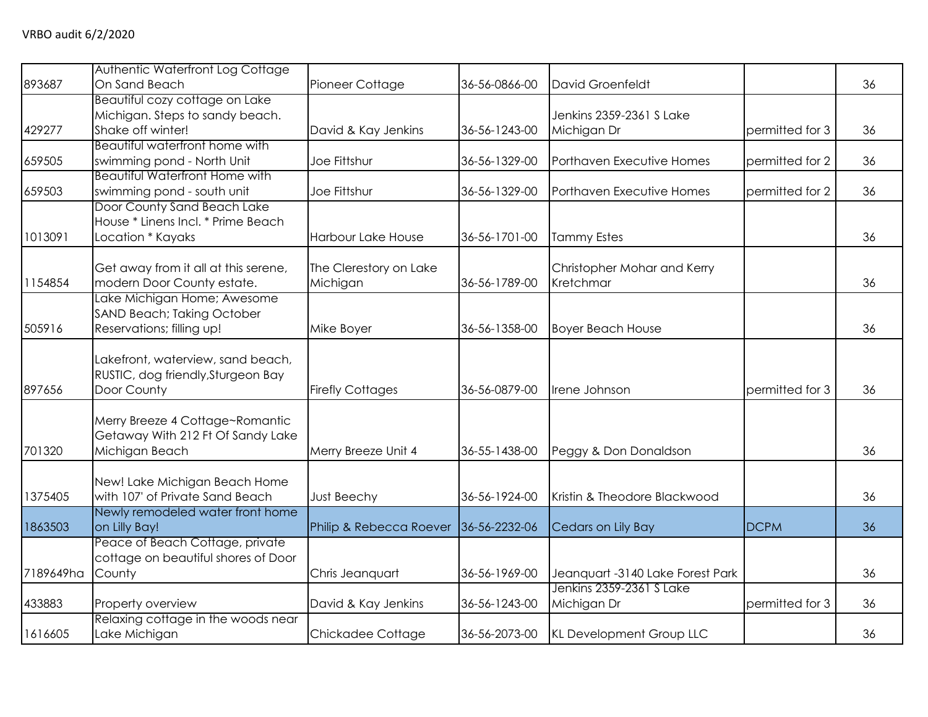| 893687    | Authentic Waterfront Log Cottage<br>On Sand Beach       | Pioneer Cottage           | 36-56-0866-00 | David Groenfeldt                 |                 | 36 |
|-----------|---------------------------------------------------------|---------------------------|---------------|----------------------------------|-----------------|----|
|           | <b>Beautiful cozy cottage on Lake</b>                   |                           |               |                                  |                 |    |
|           | Michigan. Steps to sandy beach.                         |                           |               | Jenkins 2359-2361 S Lake         |                 |    |
| 429277    | Shake off winter!                                       | David & Kay Jenkins       | 36-56-1243-00 | Michigan Dr                      | permitted for 3 | 36 |
|           | Beautiful waterfront home with                          |                           |               |                                  |                 |    |
| 659505    | swimming pond - North Unit                              | Joe Fittshur              | 36-56-1329-00 | Porthaven Executive Homes        | permitted for 2 | 36 |
|           | <b>Beautiful Waterfront Home with</b>                   |                           |               |                                  |                 |    |
| 659503    | swimming pond - south unit                              | Joe Fittshur              | 36-56-1329-00 | Porthaven Executive Homes        | permitted for 2 | 36 |
|           | Door County Sand Beach Lake                             |                           |               |                                  |                 |    |
|           | House * Linens Incl. * Prime Beach                      |                           |               |                                  |                 |    |
| 1013091   | Location * Kayaks                                       | <b>Harbour Lake House</b> | 36-56-1701-00 | <b>Tammy Estes</b>               |                 | 36 |
|           | Get away from it all at this serene,                    | The Clerestory on Lake    |               | Christopher Mohar and Kerry      |                 |    |
| 1154854   | modern Door County estate.                              | Michigan                  | 36-56-1789-00 | Kretchmar                        |                 | 36 |
|           | Lake Michigan Home; Awesome                             |                           |               |                                  |                 |    |
|           | SAND Beach; Taking October                              |                           |               |                                  |                 |    |
| 505916    | Reservations; filling up!                               | Mike Boyer                | 36-56-1358-00 | <b>Boyer Beach House</b>         |                 | 36 |
|           |                                                         |                           |               |                                  |                 |    |
|           | Lakefront, waterview, sand beach,                       |                           |               |                                  |                 |    |
|           | RUSTIC, dog friendly, Sturgeon Bay                      |                           |               |                                  |                 |    |
| 897656    | Door County                                             | <b>Firefly Cottages</b>   | 36-56-0879-00 | Irene Johnson                    | permitted for 3 | 36 |
|           | Merry Breeze 4 Cottage~Romantic                         |                           |               |                                  |                 |    |
|           | Getaway With 212 Ft Of Sandy Lake                       |                           |               |                                  |                 |    |
| 701320    | Michigan Beach                                          | Merry Breeze Unit 4       | 36-55-1438-00 | Peggy & Don Donaldson            |                 | 36 |
|           |                                                         |                           |               |                                  |                 |    |
|           | New! Lake Michigan Beach Home                           |                           |               |                                  |                 |    |
| 1375405   | with 107' of Private Sand Beach                         | Just Beechy               | 36-56-1924-00 | Kristin & Theodore Blackwood     |                 | 36 |
|           | Newly remodeled water front home                        |                           |               |                                  |                 |    |
| 1863503   | on Lilly Bay!                                           | Philip & Rebecca Roever   | 36-56-2232-06 | Cedars on Lily Bay               | <b>DCPM</b>     | 36 |
|           | Peace of Beach Cottage, private                         |                           |               |                                  |                 |    |
|           | cottage on beautiful shores of Door                     |                           |               |                                  |                 |    |
| 7189649ha | County                                                  | Chris Jeanquart           | 36-56-1969-00 | Jeanguart -3140 Lake Forest Park |                 | 36 |
|           |                                                         |                           |               | Jenkins 2359-2361 S Lake         |                 |    |
| 433883    | Property overview<br>Relaxing cottage in the woods near | David & Kay Jenkins       | 36-56-1243-00 | Michigan Dr                      | permitted for 3 | 36 |
| 1616605   | Lake Michigan                                           | Chickadee Cottage         | 36-56-2073-00 | KL Development Group LLC         |                 | 36 |
|           |                                                         |                           |               |                                  |                 |    |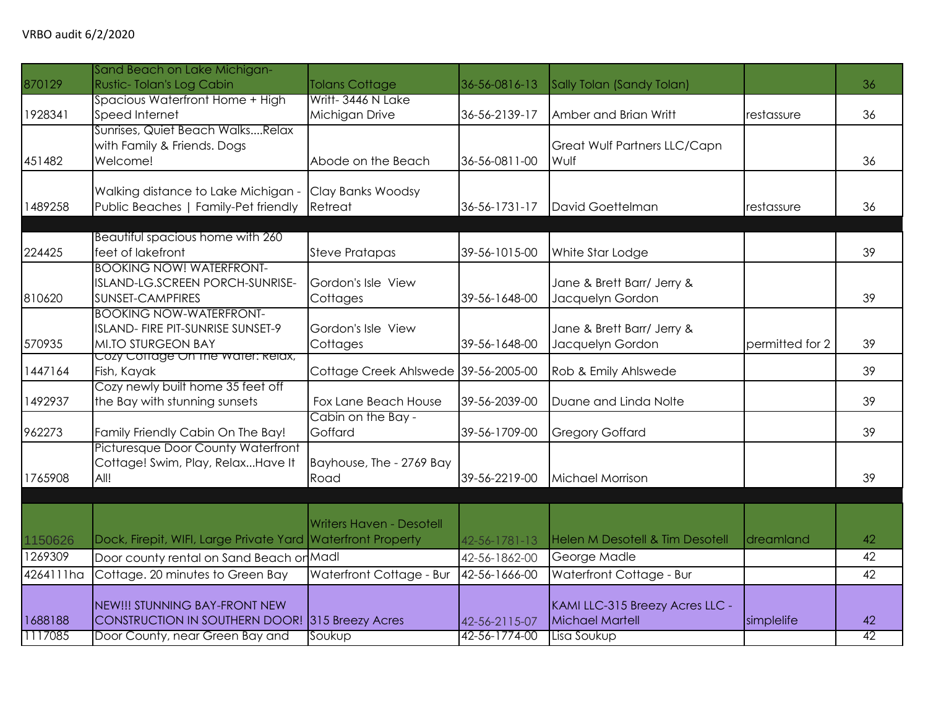|           | Sand Beach on Lake Michigan-                                  |                                            |               |                                 |                 |    |
|-----------|---------------------------------------------------------------|--------------------------------------------|---------------|---------------------------------|-----------------|----|
| 870129    | Rustic-Tolan's Log Cabin                                      | <b>Tolans Cottage</b>                      | 36-56-0816-13 | Sally Tolan (Sandy Tolan)       |                 | 36 |
|           | Spacious Waterfront Home + High                               | Writt-3446 N Lake                          |               |                                 |                 |    |
| 1928341   | Speed Internet                                                | Michigan Drive                             | 36-56-2139-17 | Amber and Brian Writt           | restassure      | 36 |
|           | Sunrises, Quiet Beach WalksRelax                              |                                            |               |                                 |                 |    |
|           | with Family & Friends. Dogs                                   |                                            |               | Great Wulf Partners LLC/Capn    |                 |    |
| 451482    | Welcome!                                                      | Abode on the Beach                         | 36-56-0811-00 | Wulf                            |                 | 36 |
|           |                                                               |                                            |               |                                 |                 |    |
| 1489258   | Walking distance to Lake Michigan -                           | Clay Banks Woodsy<br>Retreat               | 36-56-1731-17 | David Goettelman                | restassure      | 36 |
|           | Public Beaches   Family-Pet friendly                          |                                            |               |                                 |                 |    |
|           | Beautiful spacious home with 260                              |                                            |               |                                 |                 |    |
| 224425    | feet of lakefront                                             | <b>Steve Pratapas</b>                      | 39-56-1015-00 | White Star Lodge                |                 | 39 |
|           | <b>BOOKING NOW! WATERFRONT-</b>                               |                                            |               |                                 |                 |    |
|           | ISLAND-LG.SCREEN PORCH-SUNRISE-                               | Gordon's Isle View                         |               | Jane & Brett Barr/ Jerry &      |                 |    |
| 810620    | SUNSET-CAMPFIRES                                              | Cottages                                   | 39-56-1648-00 | Jacquelyn Gordon                |                 | 39 |
|           | <b>BOOKING NOW-WATERFRONT-</b>                                |                                            |               |                                 |                 |    |
|           | ISLAND- FIRE PIT-SUNRISE SUNSET-9                             | Gordon's Isle View                         |               | Jane & Brett Barr/ Jerry &      |                 |    |
| 570935    | MI.TO STURGEON BAY                                            | Cottages                                   | 39-56-1648-00 | Jacquelyn Gordon                | permitted for 2 | 39 |
|           | Cozy Cottage On the water: Relax,                             |                                            |               |                                 |                 |    |
| 1447164   | Fish, Kayak                                                   | Cottage Creek Ahlswede 39-56-2005-00       |               | Rob & Emily Ahlswede            |                 | 39 |
|           | Cozy newly built home 35 feet off                             |                                            |               |                                 |                 |    |
| 1492937   | the Bay with stunning sunsets                                 | Fox Lane Beach House<br>Cabin on the Bay - | 39-56-2039-00 | Duane and Linda Nolte           |                 | 39 |
| 962273    | Family Friendly Cabin On The Bay!                             | Goffard                                    | 39-56-1709-00 | <b>Gregory Goffard</b>          |                 | 39 |
|           | Picturesque Door County Waterfront                            |                                            |               |                                 |                 |    |
|           | Cottage! Swim, Play, RelaxHave It                             | Bayhouse, The - 2769 Bay                   |               |                                 |                 |    |
| 1765908   | All!                                                          | Road                                       | 39-56-2219-00 | Michael Morrison                |                 | 39 |
|           |                                                               |                                            |               |                                 |                 |    |
|           |                                                               |                                            |               |                                 |                 |    |
|           |                                                               | <b>Writers Haven - Desotell</b>            |               |                                 |                 |    |
| 1150626   | Dock, Firepit, WIFI, Large Private Yard   Waterfront Property |                                            | 42-56-1781-13 | Helen M Desotell & Tim Desotell | dreamland       | 42 |
| 1269309   | Door county rental on Sand Beach or Madl                      |                                            | 42-56-1862-00 | George Madle                    |                 | 42 |
| 4264111ha | Cottage. 20 minutes to Green Bay                              | Waterfront Cottage - Bur                   | 42-56-1666-00 | Waterfront Cottage - Bur        |                 | 42 |
|           |                                                               |                                            |               |                                 |                 |    |
|           | NEW!!! STUNNING BAY-FRONT NEW                                 |                                            |               | KAMI LLC-315 Breezy Acres LLC - |                 |    |
| 1688188   | <b>CONSTRUCTION IN SOUTHERN DOOR!</b>                         | 315 Breezy Acres                           | 42-56-2115-07 | <b>Michael Martell</b>          | simplelife      | 42 |
| 1117085   | Door County, near Green Bay and                               | Soukup                                     | 42-56-1774-00 | Lisa Soukup                     |                 | 42 |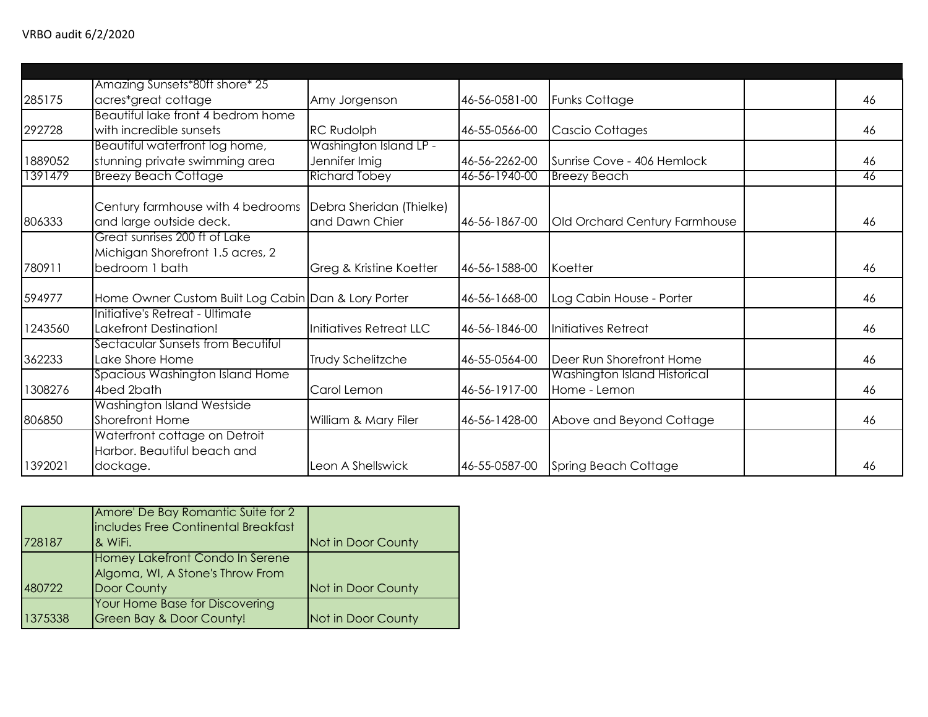|         | Amazing Sunsets*80ft shore* 25                      |                          |               |                               |    |
|---------|-----------------------------------------------------|--------------------------|---------------|-------------------------------|----|
| 285175  | acres*great cottage                                 | Amy Jorgenson            | 46-56-0581-00 | <b>Funks Cottage</b>          | 46 |
|         | Beautiful lake front 4 bedrom home                  |                          |               |                               |    |
| 292728  | with incredible sunsets                             | <b>RC Rudolph</b>        | 46-55-0566-00 | Cascio Cottages               | 46 |
|         | Beautiful waterfront log home,                      | Washington Island LP -   |               |                               |    |
| 1889052 | stunning private swimming area                      | Jennifer Imig            | 46-56-2262-00 | Sunrise Cove - 406 Hemlock    | 46 |
| 1391479 | <b>Breezy Beach Cottage</b>                         | <b>Richard Tobey</b>     | 46-56-1940-00 | <b>Breezy Beach</b>           | 46 |
|         |                                                     |                          |               |                               |    |
|         | Century farmhouse with 4 bedrooms                   | Debra Sheridan (Thielke) |               |                               |    |
| 806333  | and large outside deck.                             | and Dawn Chier           | 46-56-1867-00 | Old Orchard Century Farmhouse | 46 |
|         | Great sunrises 200 ft of Lake                       |                          |               |                               |    |
|         | Michigan Shorefront 1.5 acres, 2                    |                          |               |                               |    |
| 780911  | bedroom 1 bath                                      | Greg & Kristine Koetter  | 46-56-1588-00 | Koetter                       | 46 |
| 594977  | Home Owner Custom Built Log Cabin Dan & Lory Porter |                          | 46-56-1668-00 | Log Cabin House - Porter      | 46 |
|         | Initiative's Retreat - Ultimate                     |                          |               |                               |    |
| 1243560 | Lakefront Destination!                              | Initiatives Retreat LLC  | 46-56-1846-00 | Initiatives Retreat           | 46 |
|         | Sectacular Sunsets from Becutiful                   |                          |               |                               |    |
| 362233  | Lake Shore Home                                     | <b>Trudy Schelitzche</b> | 46-55-0564-00 | Deer Run Shorefront Home      | 46 |
|         | Spacious Washington Island Home                     |                          |               | Washington Island Historical  |    |
| 1308276 | 4bed 2bath                                          | Carol Lemon              | 46-56-1917-00 | Home - Lemon                  | 46 |
|         | Washington Island Westside                          |                          |               |                               |    |
| 806850  | Shorefront Home                                     | William & Mary Filer     | 46-56-1428-00 | Above and Beyond Cottage      | 46 |
|         | Waterfront cottage on Detroit                       |                          |               |                               |    |
|         | Harbor. Beautiful beach and                         |                          |               |                               |    |
| 1392021 | dockage.                                            | Leon A Shellswick        | 46-55-0587-00 | Spring Beach Cottage          | 46 |

| 728187  | Amore' De Bay Romantic Suite for 2<br>includes Free Continental Breakfast<br><b>&amp; WiFi.</b> | Not in Door County |
|---------|-------------------------------------------------------------------------------------------------|--------------------|
| 480722  | Homey Lakefront Condo In Serene<br>Algoma, WI, A Stone's Throw From<br>Door County              | Not in Door County |
| 1375338 | Your Home Base for Discovering<br><b>Green Bay &amp; Door County!</b>                           | Not in Door County |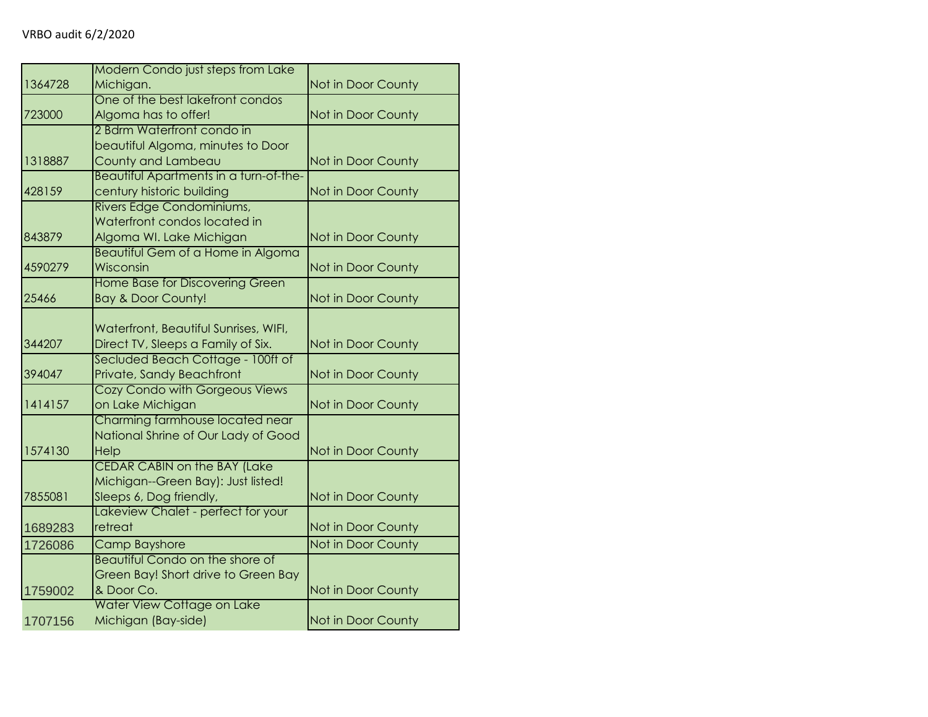|         | Modern Condo just steps from Lake      |                    |
|---------|----------------------------------------|--------------------|
| 1364728 | Michigan.                              | Not in Door County |
|         | One of the best lakefront condos       |                    |
| 723000  | Algoma has to offer!                   | Not in Door County |
|         | 2 Bdrm Waterfront condo in             |                    |
|         | beautiful Algoma, minutes to Door      |                    |
| 1318887 | County and Lambeau                     | Not in Door County |
|         | Beautiful Apartments in a turn-of-the- |                    |
| 428159  | century historic building              | Not in Door County |
|         | Rivers Edge Condominiums,              |                    |
|         | Waterfront condos located in           |                    |
| 843879  | Algoma WI. Lake Michigan               | Not in Door County |
|         | Beautiful Gem of a Home in Algoma      |                    |
| 4590279 | Wisconsin                              | Not in Door County |
|         | Home Base for Discovering Green        |                    |
| 25466   | <b>Bay &amp; Door County!</b>          | Not in Door County |
|         | Waterfront, Beautiful Sunrises, WIFI,  |                    |
| 344207  | Direct TV, Sleeps a Family of Six.     | Not in Door County |
|         | Secluded Beach Cottage - 100ft of      |                    |
| 394047  | Private, Sandy Beachfront              | Not in Door County |
|         | Cozy Condo with Gorgeous Views         |                    |
| 1414157 | on Lake Michigan                       | Not in Door County |
|         | Charming farmhouse located near        |                    |
|         | National Shrine of Our Lady of Good    |                    |
| 1574130 | Help                                   | Not in Door County |
|         | <b>CEDAR CABIN on the BAY (Lake</b>    |                    |
|         | Michigan--Green Bay): Just listed!     |                    |
| 7855081 | Sleeps 6, Dog friendly,                | Not in Door County |
|         | Lakeview Chalet - perfect for your     |                    |
| 1689283 | retreat                                | Not in Door County |
| 1726086 | <b>Camp Bayshore</b>                   | Not in Door County |
|         | Beautiful Condo on the shore of        |                    |
|         | Green Bay! Short drive to Green Bay    |                    |
| 1759002 | & Door Co.                             | Not in Door County |
|         | Water View Cottage on Lake             |                    |
| 1707156 | Michigan (Bay-side)                    | Not in Door County |